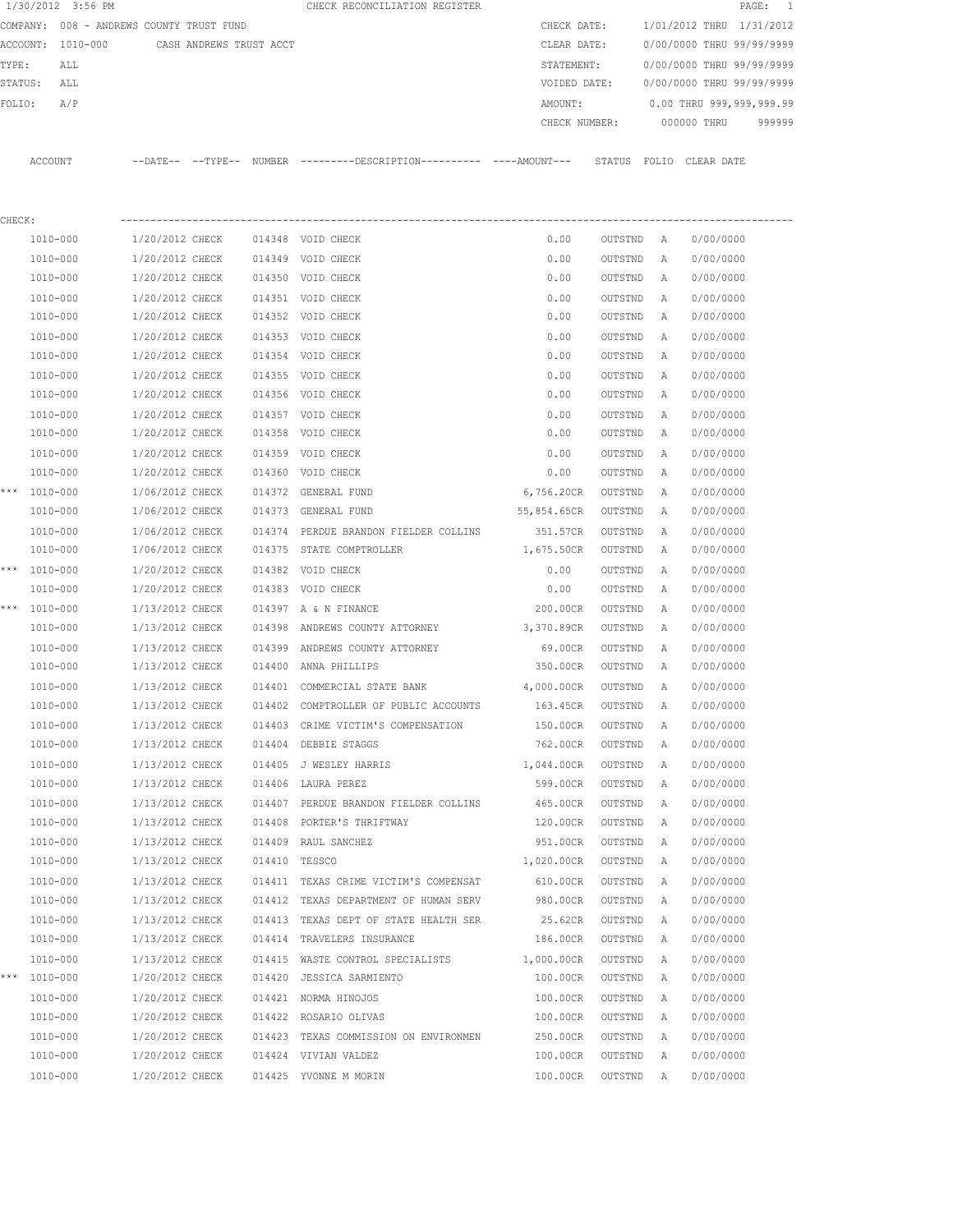|         | 1/30/2012 3:56 PM                        |                 |                         |               | CHECK RECONCILIATION REGISTER                                         |               |         |              | PAGE:                     | 1         |
|---------|------------------------------------------|-----------------|-------------------------|---------------|-----------------------------------------------------------------------|---------------|---------|--------------|---------------------------|-----------|
|         | COMPANY: 008 - ANDREWS COUNTY TRUST FUND |                 |                         |               |                                                                       | CHECK DATE:   |         |              | 1/01/2012 THRU            | 1/31/2012 |
|         | ACCOUNT:<br>1010-000                     |                 | CASH ANDREWS TRUST ACCT |               |                                                                       | CLEAR DATE:   |         |              | 0/00/0000 THRU 99/99/9999 |           |
| TYPE:   | ALL                                      |                 |                         |               |                                                                       | STATEMENT:    |         |              | 0/00/0000 THRU 99/99/9999 |           |
| STATUS: | ALL                                      |                 |                         |               |                                                                       | VOIDED DATE:  |         |              | 0/00/0000 THRU 99/99/9999 |           |
| FOLIO:  | A/P                                      |                 |                         |               |                                                                       | AMOUNT:       |         |              | 0.00 THRU 999,999,999.99  |           |
|         |                                          |                 |                         |               |                                                                       | CHECK NUMBER: |         |              | 000000 THRU               | 999999    |
|         | ACCOUNT                                  |                 |                         |               | --DATE-- --TYPE-- NUMBER ---------DESCRIPTION---------- ----AMOUNT--- |               |         |              | STATUS FOLIO CLEAR DATE   |           |
|         |                                          |                 |                         |               |                                                                       |               |         |              |                           |           |
| CHECK:  |                                          |                 |                         |               |                                                                       |               |         |              |                           |           |
|         | 1010-000                                 | 1/20/2012 CHECK |                         |               | 014348 VOID CHECK                                                     | 0.00          | OUTSTND | Α            | 0/00/0000                 |           |
|         | 1010-000                                 | 1/20/2012 CHECK |                         |               | 014349 VOID CHECK                                                     | 0.00          | OUTSTND | Α            | 0/00/0000                 |           |
|         | 1010-000                                 | 1/20/2012 CHECK |                         |               | 014350 VOID CHECK                                                     | 0.00          | OUTSTND | Α            | 0/00/0000                 |           |
|         | 1010-000                                 | 1/20/2012 CHECK |                         |               | 014351 VOID CHECK                                                     | 0.00          | OUTSTND | Α            | 0/00/0000                 |           |
|         | 1010-000                                 | 1/20/2012 CHECK |                         |               | 014352 VOID CHECK                                                     | 0.00          | OUTSTND | A            | 0/00/0000                 |           |
|         | 1010-000                                 | 1/20/2012 CHECK |                         | 014353        | VOID CHECK                                                            | 0.00          | OUTSTND | Α            | 0/00/0000                 |           |
|         | 1010-000                                 | 1/20/2012 CHECK |                         |               | 014354 VOID CHECK                                                     | 0.00          | OUTSTND | Α            | 0/00/0000                 |           |
|         | 1010-000                                 | 1/20/2012 CHECK |                         |               | 014355 VOID CHECK                                                     | 0.00          | OUTSTND | Α            | 0/00/0000                 |           |
|         | 1010-000                                 | 1/20/2012 CHECK |                         |               | 014356 VOID CHECK                                                     | 0.00          | OUTSTND | Α            | 0/00/0000                 |           |
|         | 1010-000                                 | 1/20/2012 CHECK |                         |               | 014357 VOID CHECK                                                     | 0.00          | OUTSTND | Α            | 0/00/0000                 |           |
|         | 1010-000                                 | 1/20/2012 CHECK |                         | 014358        | VOID CHECK                                                            | 0.00          | OUTSTND | Α            | 0/00/0000                 |           |
|         | 1010-000                                 | 1/20/2012 CHECK |                         | 014359        | VOID CHECK                                                            | 0.00          | OUTSTND | Α            | 0/00/0000                 |           |
|         | 1010-000                                 | 1/20/2012 CHECK |                         | 014360        | VOID CHECK                                                            | 0.00          | OUTSTND | Α            | 0/00/0000                 |           |
|         | *** 1010-000                             | 1/06/2012 CHECK |                         | 014372        | <b>GENERAL FUND</b>                                                   | 6,756.20CR    | OUTSTND | Α            | 0/00/0000                 |           |
|         | 1010-000                                 | 1/06/2012 CHECK |                         | 014373        | GENERAL FUND                                                          | 55,854.65CR   | OUTSTND | Α            | 0/00/0000                 |           |
|         | 1010-000                                 | 1/06/2012 CHECK |                         | 014374        | PERDUE BRANDON FIELDER COLLINS                                        | 351.57CR      | OUTSTND | Α            | 0/00/0000                 |           |
|         | 1010-000                                 | 1/06/2012 CHECK |                         | 014375        | STATE COMPTROLLER                                                     | 1,675.50CR    | OUTSTND | Α            | 0/00/0000                 |           |
|         | *** 1010-000                             | 1/20/2012 CHECK |                         | 014382        | VOID CHECK                                                            | 0.00          | OUTSTND | Α            | 0/00/0000                 |           |
|         | 1010-000                                 | 1/20/2012 CHECK |                         |               | 014383 VOID CHECK                                                     | 0.00          | OUTSTND | Α            | 0/00/0000                 |           |
| ***     | 1010-000                                 | 1/13/2012 CHECK |                         |               | 014397 A & N FINANCE                                                  | 200.00CR      | OUTSTND | Α            | 0/00/0000                 |           |
|         | 1010-000                                 | 1/13/2012 CHECK |                         | 014398        | ANDREWS COUNTY ATTORNEY                                               | 3,370.89CR    | OUTSTND | Α            | 0/00/0000                 |           |
|         | 1010-000                                 | 1/13/2012 CHECK |                         | 014399        | ANDREWS COUNTY ATTORNEY                                               | 69.00CR       | OUTSTND | А            | 0/00/0000                 |           |
|         | 1010-000                                 | 1/13/2012 CHECK |                         | 014400        | ANNA PHILLIPS                                                         | 350.00CR      | OUTSTND | Α            | 0/00/0000                 |           |
|         | 1010-000                                 | 1/13/2012 CHECK |                         | 014401        | COMMERCIAL STATE BANK                                                 | 4,000.00CR    | OUTSTND | Α            | 0/00/0000                 |           |
|         | 1010-000                                 | 1/13/2012 CHECK |                         |               | 014402 COMPTROLLER OF PUBLIC ACCOUNTS                                 | 163.45CR      | OUTSTND | A            | 0/00/0000                 |           |
|         | 1010-000                                 | 1/13/2012 CHECK |                         |               | 014403 CRIME VICTIM'S COMPENSATION                                    | 150.00CR      | OUTSTND | Α            | 0/00/0000                 |           |
|         | 1010-000                                 | 1/13/2012 CHECK |                         |               | 014404 DEBBIE STAGGS                                                  | 762.00CR      | OUTSTND | Α            | 0/00/0000                 |           |
|         | 1010-000                                 | 1/13/2012 CHECK |                         | 014405        | J WESLEY HARRIS                                                       | 1,044.00CR    | OUTSTND | Α            | 0/00/0000                 |           |
|         | 1010-000                                 | 1/13/2012 CHECK |                         |               | 014406 LAURA PEREZ                                                    | 599.00CR      | OUTSTND | Α            | 0/00/0000                 |           |
|         | 1010-000                                 | 1/13/2012 CHECK |                         |               | 014407 PERDUE BRANDON FIELDER COLLINS                                 | 465.00CR      | OUTSTND | Α            | 0/00/0000                 |           |
|         | 1010-000                                 | 1/13/2012 CHECK |                         | 014408        | PORTER'S THRIFTWAY                                                    | 120.00CR      | OUTSTND | Α            | 0/00/0000                 |           |
|         | $1010 - 000$                             | 1/13/2012 CHECK |                         |               | 014409 RAUL SANCHEZ                                                   | 951.00CR      | OUTSTND | Α            | 0/00/0000                 |           |
|         | 1010-000                                 | 1/13/2012 CHECK |                         | 014410 TESSCO |                                                                       | 1,020.00CR    | OUTSTND | Α            | 0/00/0000                 |           |
|         | 1010-000                                 | 1/13/2012 CHECK |                         |               | 014411 TEXAS CRIME VICTIM'S COMPENSAT                                 | 610.00CR      | OUTSTND | Α            | 0/00/0000                 |           |
|         | 1010-000                                 | 1/13/2012 CHECK |                         |               | 014412 TEXAS DEPARTMENT OF HUMAN SERV                                 | 980.00CR      | OUTSTND | Α            | 0/00/0000                 |           |
|         | 1010-000                                 | 1/13/2012 CHECK |                         | 014413        | TEXAS DEPT OF STATE HEALTH SER                                        | 25.62CR       | OUTSTND | Α            | 0/00/0000                 |           |
|         | 1010-000                                 | 1/13/2012 CHECK |                         | 014414        | TRAVELERS INSURANCE                                                   | 186.00CR      | OUTSTND | Α            | 0/00/0000                 |           |
|         | 1010-000                                 | 1/13/2012 CHECK |                         |               | 014415 WASTE CONTROL SPECIALISTS                                      | 1,000.00CR    | OUTSTND | Α            | 0/00/0000                 |           |
|         | *** 1010-000                             | 1/20/2012 CHECK |                         |               | 014420 JESSICA SARMIENTO                                              | 100.00CR      | OUTSTND | Α            | 0/00/0000                 |           |
|         | 1010-000                                 | 1/20/2012 CHECK |                         |               | 014421 NORMA HINOJOS                                                  | 100.00CR      | OUTSTND | Α            | 0/00/0000                 |           |
|         | 1010-000                                 | 1/20/2012 CHECK |                         |               | 014422 ROSARIO OLIVAS                                                 | 100.00CR      | OUTSTND | Α            | 0/00/0000                 |           |
|         | 1010-000                                 | 1/20/2012 CHECK |                         |               | 014423 TEXAS COMMISSION ON ENVIRONMEN                                 | 250.00CR      | OUTSTND | Α            | 0/00/0000                 |           |
|         | 1010-000                                 | 1/20/2012 CHECK |                         |               | 014424 VIVIAN VALDEZ                                                  | 100.00CR      | OUTSTND | A            | 0/00/0000                 |           |
|         | 1010-000                                 | 1/20/2012 CHECK |                         |               | 014425 YVONNE M MORIN                                                 | 100.00CR      | OUTSTND | $\mathbb{A}$ | 0/00/0000                 |           |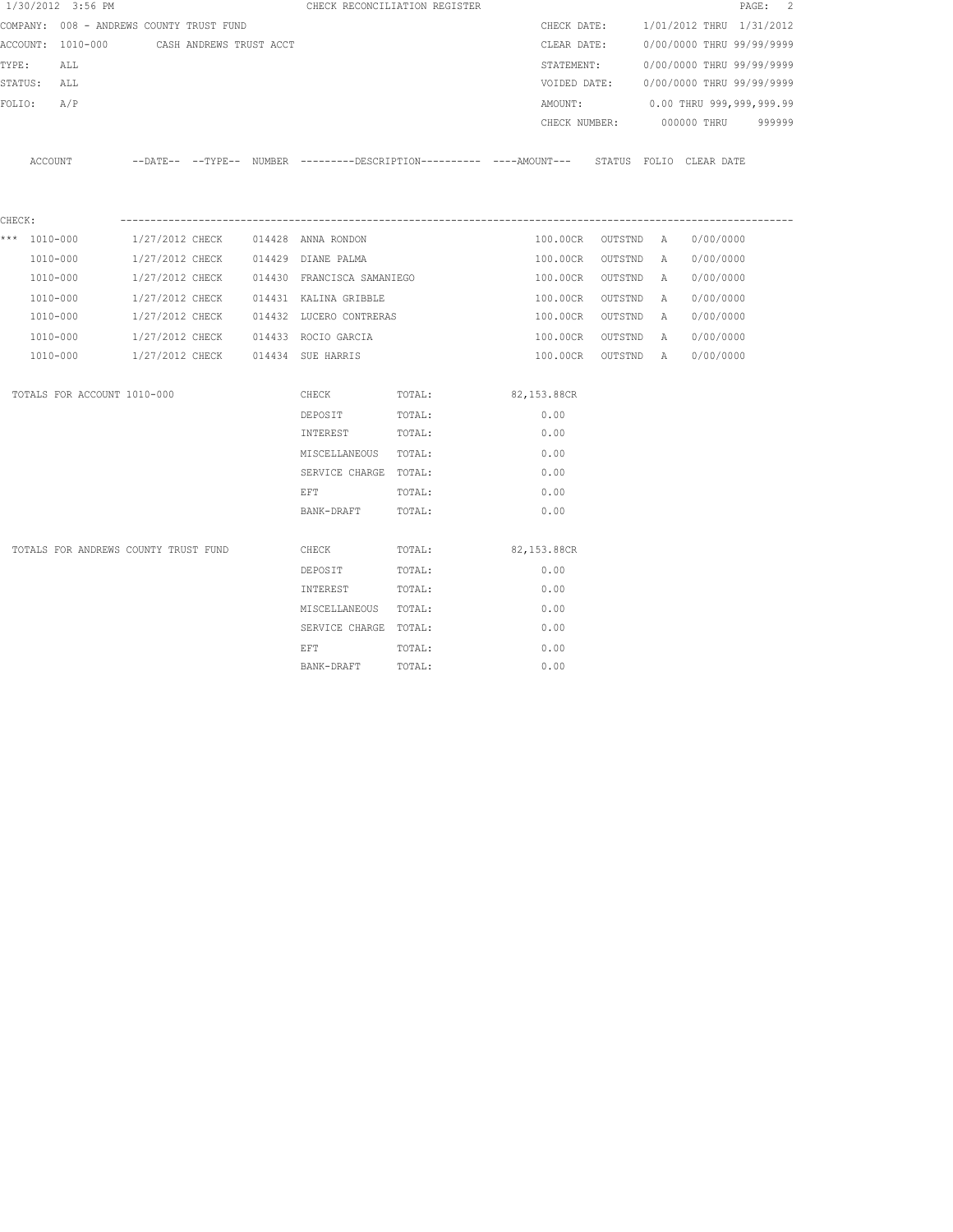|        | 1/30/2012 3:56 PM                         |                 |  |                                           | CHECK RECONCILIATION REGISTER                                                               |             |                    |           |                                        | PAGE: 2 |
|--------|-------------------------------------------|-----------------|--|-------------------------------------------|---------------------------------------------------------------------------------------------|-------------|--------------------|-----------|----------------------------------------|---------|
|        | COMPANY: 008 - ANDREWS COUNTY TRUST FUND  |                 |  |                                           |                                                                                             |             | CHECK DATE:        |           | 1/01/2012 THRU 1/31/2012               |         |
|        | ACCOUNT: 1010-000 CASH ANDREWS TRUST ACCT |                 |  |                                           |                                                                                             |             | CLEAR DATE:        |           | 0/00/0000 THRU 99/99/9999              |         |
| TYPE:  | ALL                                       |                 |  |                                           |                                                                                             |             | STATEMENT:         |           | 0/00/0000 THRU 99/99/9999              |         |
|        | STATUS: ALL                               |                 |  |                                           |                                                                                             |             |                    |           | VOIDED DATE: 0/00/0000 THRU 99/99/9999 |         |
| FOLIO: | A/P                                       |                 |  |                                           |                                                                                             |             | AMOUNT:            |           | $0.00$ THRU 999,999,999.99             |         |
|        |                                           |                 |  |                                           |                                                                                             |             |                    |           | CHECK NUMBER: 000000 THRU 999999       |         |
|        | ACCOUNT                                   |                 |  |                                           | --DATE-- --TYPE-- NUMBER --------DESCRIPTION--------- ----AMOUNT--- STATUS FOLIO CLEAR-DATE |             |                    |           |                                        |         |
| CHECK: |                                           |                 |  |                                           |                                                                                             |             |                    |           |                                        |         |
|        | *** 1010-000                              |                 |  | 1/27/2012 CHECK 014428 ANNA RONDON        |                                                                                             |             | 100.00CR OUTSTND A |           | 0/00/0000                              |         |
|        | 1010-000                                  |                 |  | 1/27/2012 CHECK 014429 DIANE PALMA        |                                                                                             |             | 100.00CR           | OUTSTND A | 0/00/0000                              |         |
|        | 1010-000                                  | 1/27/2012 CHECK |  | 014430 FRANCISCA SAMANIEGO                |                                                                                             |             | 100.00CR           | OUTSTND A | 0/00/0000                              |         |
|        | 1010-000                                  |                 |  | $1/27/2012$ CHECK $014431$ KALINA GRIBBLE |                                                                                             |             | 100.00CR           | OUTSTND A | 0/00/0000                              |         |
|        | 1010-000                                  |                 |  | 1/27/2012 CHECK 014432 LUCERO CONTRERAS   |                                                                                             |             | 100.00CR           | OUTSTND A | 0/00/0000                              |         |
|        | 1010-000                                  |                 |  | 1/27/2012 CHECK 014433 ROCIO GARCIA       |                                                                                             |             | 100.00CR           | OUTSTND A | 0/00/0000                              |         |
|        | 1010-000                                  |                 |  | 1/27/2012 CHECK 014434 SUE HARRIS         |                                                                                             |             | 100.00CR           | OUTSTND A | 0/00/0000                              |         |
|        | TOTALS FOR ACCOUNT 1010-000               |                 |  | CHECK                                     | TOTAL:                                                                                      |             | 82,153.88CR        |           |                                        |         |
|        |                                           |                 |  | DEPOSIT                                   | TOTAL:                                                                                      |             | 0.00               |           |                                        |         |
|        |                                           |                 |  | INTEREST                                  | TOTAL:                                                                                      |             | 0.00               |           |                                        |         |
|        |                                           |                 |  | MISCELLANEOUS TOTAL:                      |                                                                                             |             | 0.00               |           |                                        |         |
|        |                                           |                 |  | SERVICE CHARGE TOTAL:                     |                                                                                             |             | 0.00               |           |                                        |         |
|        |                                           |                 |  | EFT                                       | TOTAL:                                                                                      |             | 0.00               |           |                                        |         |
|        |                                           |                 |  | BANK-DRAFT                                | TOTAL:                                                                                      |             | 0.00               |           |                                        |         |
|        | TOTALS FOR ANDREWS COUNTY TRUST FUND      |                 |  | CHECK                                     | TOTAL:                                                                                      | 82,153.88CR |                    |           |                                        |         |
|        |                                           |                 |  | DEPOSIT                                   | TOTAL:                                                                                      |             | 0.00               |           |                                        |         |
|        |                                           |                 |  | INTEREST                                  | TOTAL:                                                                                      |             | 0.00               |           |                                        |         |
|        |                                           |                 |  | MISCELLANEOUS TOTAL:                      |                                                                                             |             | 0.00               |           |                                        |         |
|        |                                           |                 |  | SERVICE CHARGE TOTAL:                     |                                                                                             |             | 0.00               |           |                                        |         |
|        |                                           |                 |  | EFT                                       | TOTAL:                                                                                      |             | 0.00               |           |                                        |         |
|        |                                           |                 |  | BANK-DRAFT                                | TOTAL:                                                                                      |             | 0.00               |           |                                        |         |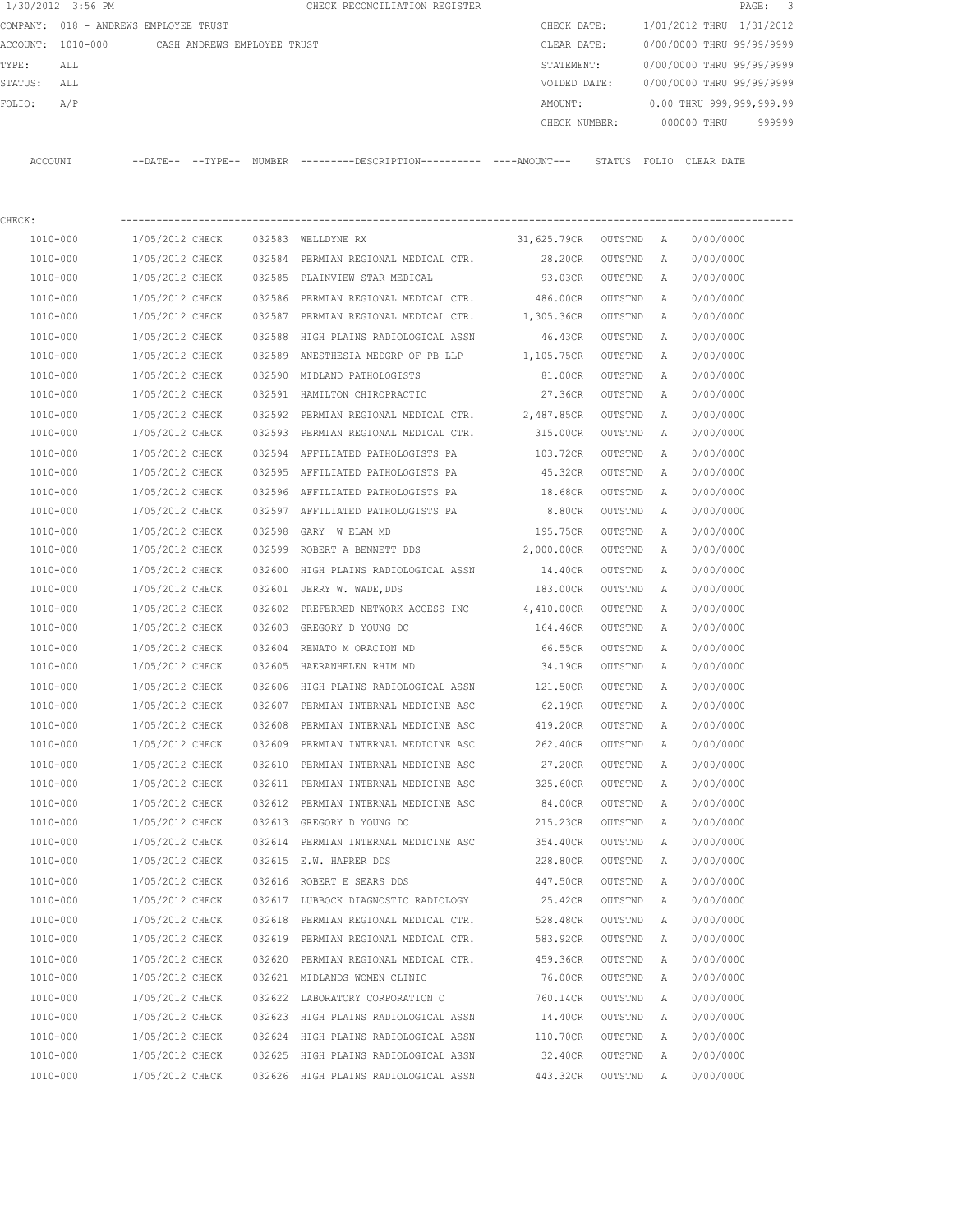|         | 1/30/2012 3:56 PM |                                       |        | CHECK RECONCILIATION REGISTER |               |        |                           |            | PAGE: 3 |  |
|---------|-------------------|---------------------------------------|--------|-------------------------------|---------------|--------|---------------------------|------------|---------|--|
|         |                   | COMPANY: 018 - ANDREWS EMPLOYEE TRUST |        |                               | CHECK DATE:   |        | 1/01/2012 THRU 1/31/2012  |            |         |  |
|         | ACCOUNT: 1010-000 | CASH ANDREWS EMPLOYEE TRUST           |        |                               | CLEAR DATE:   |        | 0/00/0000 THRU 99/99/9999 |            |         |  |
| TYPE:   | ALL               |                                       |        |                               | STATEMENT:    |        | 0/00/0000 THRU 99/99/9999 |            |         |  |
| STATUS: | ALL               |                                       |        |                               | VOIDED DATE:  |        | 0/00/0000 THRU 99/99/9999 |            |         |  |
| FOLIO:  | A/P               |                                       |        |                               | AMOUNT:       |        | 0.00 THRU 999,999,999.99  |            |         |  |
|         |                   |                                       |        |                               | CHECK NUMBER: |        | 000000 THRU               |            | 999999  |  |
|         |                   |                                       |        |                               |               |        |                           |            |         |  |
| ACCOUNT |                   | --DATE-- --TYPE--                     | NUMBER |                               |               | STATUS | FOLIO                     | CLEAR DATE |         |  |

| CHECK:       |                 |        |                                               |             |         |   |           |
|--------------|-----------------|--------|-----------------------------------------------|-------------|---------|---|-----------|
| 1010-000     | 1/05/2012 CHECK |        | 032583 WELLDYNE RX                            | 31,625.79CR | OUTSTND | A | 0/00/0000 |
| 1010-000     | 1/05/2012 CHECK |        | 032584 PERMIAN REGIONAL MEDICAL CTR.          | 28.20CR     | OUTSTND | Α | 0/00/0000 |
| 1010-000     | 1/05/2012 CHECK | 032585 | PLAINVIEW STAR MEDICAL                        | 93.03CR     | OUTSTND | Α | 0/00/0000 |
| $1010 - 000$ | 1/05/2012 CHECK |        | 032586 PERMIAN REGIONAL MEDICAL CTR. 486.00CR |             | OUTSTND | Α | 0/00/0000 |
| 1010-000     | 1/05/2012 CHECK | 032587 | PERMIAN REGIONAL MEDICAL CTR.                 | 1,305.36CR  | OUTSTND | Α | 0/00/0000 |
| 1010-000     | 1/05/2012 CHECK | 032588 | HIGH PLAINS RADIOLOGICAL ASSN                 | 46.43CR     | OUTSTND | Α | 0/00/0000 |
| 1010-000     | 1/05/2012 CHECK |        | 032589 ANESTHESIA MEDGRP OF PB LLP            | 1,105.75CR  | OUTSTND | Α | 0/00/0000 |
| 1010-000     | 1/05/2012 CHECK | 032590 | MIDLAND PATHOLOGISTS                          | 81.00CR     | OUTSTND | Α | 0/00/0000 |
| 1010-000     | 1/05/2012 CHECK |        | 032591 HAMILTON CHIROPRACTIC                  | 27.36CR     | OUTSTND | Α | 0/00/0000 |
| 1010-000     | 1/05/2012 CHECK | 032592 | PERMIAN REGIONAL MEDICAL CTR.                 | 2,487.85CR  | OUTSTND | Α | 0/00/0000 |
| 1010-000     | 1/05/2012 CHECK | 032593 | PERMIAN REGIONAL MEDICAL CTR.                 | 315.00CR    | OUTSTND | Α | 0/00/0000 |
| 1010-000     | 1/05/2012 CHECK | 032594 | AFFILIATED PATHOLOGISTS PA                    | 103.72CR    | OUTSTND | Α | 0/00/0000 |
| 1010-000     | 1/05/2012 CHECK |        | 032595 AFFILIATED PATHOLOGISTS PA             | 45.32CR     | OUTSTND | Α | 0/00/0000 |
| 1010-000     | 1/05/2012 CHECK |        | 032596 AFFILIATED PATHOLOGISTS PA             | 18.68CR     | OUTSTND | Α | 0/00/0000 |
| 1010-000     | 1/05/2012 CHECK |        | 032597 AFFILIATED PATHOLOGISTS PA             | 8.80CR      | OUTSTND | Α | 0/00/0000 |
| 1010-000     | 1/05/2012 CHECK | 032598 | GARY W ELAM MD                                | 195.75CR    | OUTSTND | Α | 0/00/0000 |
| 1010-000     | 1/05/2012 CHECK |        | 032599 ROBERT A BENNETT DDS                   | 2,000.00CR  | OUTSTND | Α | 0/00/0000 |
| 1010-000     | 1/05/2012 CHECK | 032600 | HIGH PLAINS RADIOLOGICAL ASSN                 | 14.40CR     | OUTSTND | A | 0/00/0000 |
| 1010-000     | 1/05/2012 CHECK |        | 032601 JERRY W. WADE, DDS                     | 183.00CR    | OUTSTND | A | 0/00/0000 |
| 1010-000     | 1/05/2012 CHECK | 032602 | PREFERRED NETWORK ACCESS INC                  | 4,410.00CR  | OUTSTND | Α | 0/00/0000 |
| 1010-000     | 1/05/2012 CHECK | 032603 | GREGORY D YOUNG DC                            | 164.46CR    | OUTSTND | Α | 0/00/0000 |
| 1010-000     | 1/05/2012 CHECK | 032604 | RENATO M ORACION MD                           | 66.55CR     | OUTSTND | Α | 0/00/0000 |
| 1010-000     | 1/05/2012 CHECK | 032605 | HAERANHELEN RHIM MD                           | 34.19CR     | OUTSTND | Α | 0/00/0000 |
| 1010-000     | 1/05/2012 CHECK | 032606 | HIGH PLAINS RADIOLOGICAL ASSN                 | 121.50CR    | OUTSTND | Α | 0/00/0000 |
| 1010-000     | 1/05/2012 CHECK | 032607 | PERMIAN INTERNAL MEDICINE ASC                 | 62.19CR     | OUTSTND | Α | 0/00/0000 |
| 1010-000     | 1/05/2012 CHECK | 032608 | PERMIAN INTERNAL MEDICINE ASC                 | 419.20CR    | OUTSTND | Α | 0/00/0000 |
| 1010-000     | 1/05/2012 CHECK | 032609 | PERMIAN INTERNAL MEDICINE ASC                 | 262.40CR    | OUTSTND | Α | 0/00/0000 |
| 1010-000     | 1/05/2012 CHECK | 032610 | PERMIAN INTERNAL MEDICINE ASC                 | 27.20CR     | OUTSTND | Α | 0/00/0000 |
| 1010-000     | 1/05/2012 CHECK |        | 032611 PERMIAN INTERNAL MEDICINE ASC          | 325.60CR    | OUTSTND | Α | 0/00/0000 |
| 1010-000     | 1/05/2012 CHECK |        | 032612 PERMIAN INTERNAL MEDICINE ASC          | 84.00CR     | OUTSTND | Α | 0/00/0000 |
| 1010-000     | 1/05/2012 CHECK |        | 032613 GREGORY D YOUNG DC                     | 215.23CR    | OUTSTND | Α | 0/00/0000 |
| 1010-000     | 1/05/2012 CHECK | 032614 | PERMIAN INTERNAL MEDICINE ASC                 | 354.40CR    | OUTSTND | Α | 0/00/0000 |
| 1010-000     | 1/05/2012 CHECK |        | 032615 E.W. HAPRER DDS                        | 228.80CR    | OUTSTND | Α | 0/00/0000 |
| 1010-000     | 1/05/2012 CHECK |        | 032616 ROBERT E SEARS DDS                     | 447.50CR    | OUTSTND | Α | 0/00/0000 |
| 1010-000     | 1/05/2012 CHECK |        | 032617 LUBBOCK DIAGNOSTIC RADIOLOGY           | 25.42CR     | OUTSTND | A | 0/00/0000 |
| 1010-000     | 1/05/2012 CHECK | 032618 | PERMIAN REGIONAL MEDICAL CTR.                 | 528.48CR    | OUTSTND | Α | 0/00/0000 |
| 1010-000     | 1/05/2012 CHECK | 032619 | PERMIAN REGIONAL MEDICAL CTR.                 | 583.92CR    | OUTSTND | Α | 0/00/0000 |
| 1010-000     | 1/05/2012 CHECK | 032620 | PERMIAN REGIONAL MEDICAL CTR.                 | 459.36CR    | OUTSTND | Α | 0/00/0000 |
| $1010 - 000$ | 1/05/2012 CHECK |        | 032621 MIDLANDS WOMEN CLINIC                  | 76.00CR     | OUTSTND | Α | 0/00/0000 |
| $1010 - 000$ | 1/05/2012 CHECK |        | 032622 LABORATORY CORPORATION O               | 760.14CR    | OUTSTND | Α | 0/00/0000 |
| 1010-000     | 1/05/2012 CHECK |        | 032623 HIGH PLAINS RADIOLOGICAL ASSN          | 14.40CR     | OUTSTND | Α | 0/00/0000 |
| $1010 - 000$ | 1/05/2012 CHECK |        | 032624 HIGH PLAINS RADIOLOGICAL ASSN          | 110.70CR    | OUTSTND | Α | 0/00/0000 |
| 1010-000     | 1/05/2012 CHECK |        | 032625 HIGH PLAINS RADIOLOGICAL ASSN          | 32.40CR     | OUTSTND | Α | 0/00/0000 |
| 1010-000     | 1/05/2012 CHECK |        | 032626 HIGH PLAINS RADIOLOGICAL ASSN          | 443.32CR    | OUTSTND | Α | 0/00/0000 |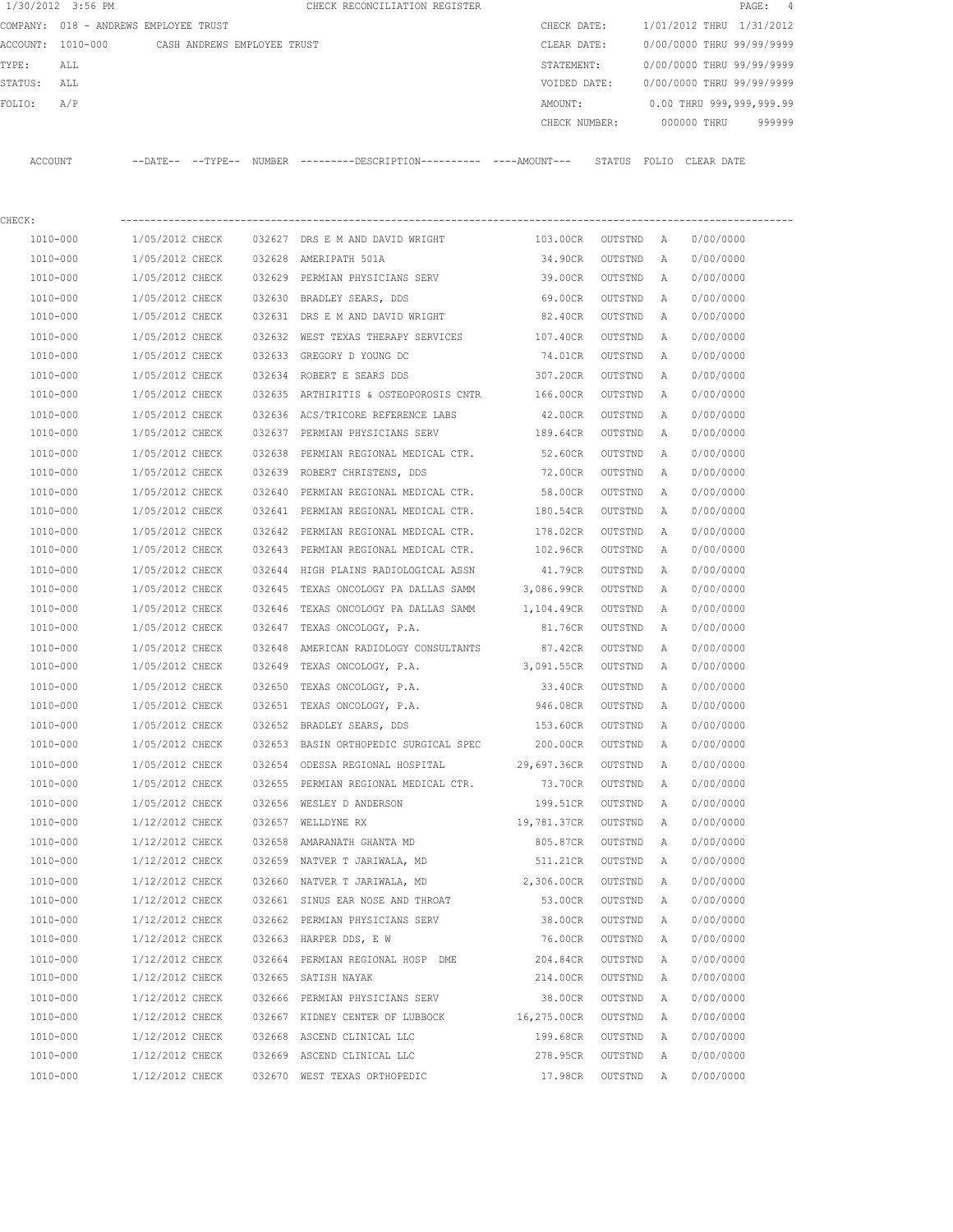|         | 1/30/2012 3:56 PM                     |                             |        | CHECK RECONCILIATION REGISTER                                                                |                   |           |              |                           | PAGE:<br>4 |
|---------|---------------------------------------|-----------------------------|--------|----------------------------------------------------------------------------------------------|-------------------|-----------|--------------|---------------------------|------------|
|         | COMPANY: 018 - ANDREWS EMPLOYEE TRUST |                             |        |                                                                                              | CHECK DATE:       |           |              | 1/01/2012 THRU 1/31/2012  |            |
|         | ACCOUNT: 1010-000                     | CASH ANDREWS EMPLOYEE TRUST |        |                                                                                              | CLEAR DATE:       |           |              | 0/00/0000 THRU 99/99/9999 |            |
| TYPE:   | ALL                                   |                             |        |                                                                                              | STATEMENT:        |           |              | 0/00/0000 THRU 99/99/9999 |            |
| STATUS: | ALL                                   |                             |        |                                                                                              | VOIDED DATE:      |           |              | 0/00/0000 THRU 99/99/9999 |            |
| FOLIO:  | A/P                                   |                             |        |                                                                                              | AMOUNT:           |           |              | 0.00 THRU 999,999,999.99  |            |
|         |                                       |                             |        |                                                                                              | CHECK NUMBER:     |           |              | 000000 THRU               | 999999     |
|         | ACCOUNT                               |                             |        | --DATE-- --TYPE-- NUMBER --------DESCRIPTION---------- ----AMOUNT--- STATUS FOLIO CLEAR DATE |                   |           |              |                           |            |
| CHECK:  |                                       |                             |        |                                                                                              |                   |           |              |                           |            |
|         | 1010-000                              | 1/05/2012 CHECK             |        | 032627 DRS E M AND DAVID WRIGHT                                                              | 103.00CR          | OUTSTND A |              | 0/00/0000                 |            |
|         | 1010-000                              | 1/05/2012 CHECK             |        | 032628 AMERIPATH 501A                                                                        | 34.90CR           | OUTSTND   | A            | 0/00/0000                 |            |
|         | 1010-000                              | 1/05/2012 CHECK             |        | 032629 PERMIAN PHYSICIANS SERV                                                               | 39.00CR           | OUTSTND   | A            | 0/00/0000                 |            |
|         | 1010-000                              | 1/05/2012 CHECK             |        | 032630 BRADLEY SEARS, DDS                                                                    | 69.00CR           | OUTSTND   | Α            | 0/00/0000                 |            |
|         | 1010-000                              | 1/05/2012 CHECK             |        | 032631 DRS E M AND DAVID WRIGHT                                                              | 82.40CR           | OUTSTND   | Α            | 0/00/0000                 |            |
|         | 1010-000                              | 1/05/2012 CHECK             |        | 032632 WEST TEXAS THERAPY SERVICES                                                           | 107.40CR          | OUTSTND   | $\mathbb{A}$ | 0/00/0000                 |            |
|         | 1010-000                              | 1/05/2012 CHECK             |        | 032633 GREGORY D YOUNG DC                                                                    | 74.01CR           | OUTSTND   | Α            | 0/00/0000                 |            |
|         | 1010-000                              | 1/05/2012 CHECK             |        | 032634 ROBERT E SEARS DDS                                                                    | 307.20CR          | OUTSTND   | A            | 0/00/0000                 |            |
|         | 1010-000                              | 1/05/2012 CHECK             |        | 032635 ARTHIRITIS & OSTEOPOROSIS CNTR                                                        | 166.00CR          | OUTSTND   | A            | 0/00/0000                 |            |
|         | 1010-000                              | 1/05/2012 CHECK             |        | 032636 ACS/TRICORE REFERENCE LABS                                                            | 42.00CR           | OUTSTND   | Α            | 0/00/0000                 |            |
|         | 1010-000                              | 1/05/2012 CHECK             |        | 032637 PERMIAN PHYSICIANS SERV                                                               | 189.64CR          | OUTSTND   | A            | 0/00/0000                 |            |
|         | 1010-000                              | 1/05/2012 CHECK             | 032638 | PERMIAN REGIONAL MEDICAL CTR.                                                                | 52.60CR           | OUTSTND   | Α            | 0/00/0000                 |            |
|         | 1010-000                              | 1/05/2012 CHECK             |        | 032639 ROBERT CHRISTENS, DDS                                                                 | 72.00CR           | OUTSTND   | Α            | 0/00/0000                 |            |
|         | 1010-000                              | 1/05/2012 CHECK             |        | 032640 PERMIAN REGIONAL MEDICAL CTR.                                                         | 58.00CR           | OUTSTND   | Α            | 0/00/0000                 |            |
|         | 1010-000                              | 1/05/2012 CHECK             |        | 032641 PERMIAN REGIONAL MEDICAL CTR.                                                         | 180.54CR          | OUTSTND   | Α            | 0/00/0000                 |            |
|         | 1010-000                              | 1/05/2012 CHECK             |        | 032642 PERMIAN REGIONAL MEDICAL CTR.                                                         | 178.02CR          | OUTSTND   | Α            | 0/00/0000                 |            |
|         | 1010-000                              | 1/05/2012 CHECK             |        | 032643 PERMIAN REGIONAL MEDICAL CTR.                                                         | 102.96CR          | OUTSTND   | Α            | 0/00/0000                 |            |
|         | 1010-000                              | 1/05/2012 CHECK             | 032644 | HIGH PLAINS RADIOLOGICAL ASSN                                                                | 41.79CR           | OUTSTND   | Α            | 0/00/0000                 |            |
|         | 1010-000                              | 1/05/2012 CHECK             | 032645 | TEXAS ONCOLOGY PA DALLAS SAMM                                                                | 3,086.99CR        | OUTSTND   | Α            | 0/00/0000                 |            |
|         | 1010-000                              | 1/05/2012 CHECK             | 032646 | TEXAS ONCOLOGY PA DALLAS SAMM                                                                | 1,104.49CR        | OUTSTND   | A            | 0/00/0000                 |            |
|         | 1010-000                              | 1/05/2012 CHECK             | 032647 | TEXAS ONCOLOGY, P.A.                                                                         | 81.76CR           | OUTSTND   | A            | 0/00/0000                 |            |
|         | 1010-000                              | 1/05/2012 CHECK             | 032648 | AMERICAN RADIOLOGY CONSULTANTS                                                               | 87.42CR           | OUTSTND   | Α            | 0/00/0000                 |            |
|         | 1010-000                              | 1/05/2012 CHECK             | 032649 | TEXAS ONCOLOGY, P.A. 3,091.55CR                                                              |                   | OUTSTND   | Α            | 0/00/0000                 |            |
|         | 1010-000                              | 1/05/2012 CHECK             |        | 032650 TEXAS ONCOLOGY, P.A.                                                                  | 33.40CR           | OUTSTND   | A            | 0/00/0000                 |            |
|         | 1010-000                              | 1/05/2012 CHECK             |        | 032651 TEXAS ONCOLOGY, P.A.                                                                  | 946.08CR          | OUTSTND   | A            | 0/00/0000                 |            |
|         | 1010-000                              | 1/05/2012 CHECK             |        | 032652 BRADLEY SEARS, DDS                                                                    | 153.60CR          | OUTSTND   | Α            | 0/00/0000                 |            |
|         | 1010-000                              | 1/05/2012 CHECK             |        | 032653 BASIN ORTHOPEDIC SURGICAL SPEC 200.00CR                                               |                   | OUTSTND   | Α            | 0/00/0000                 |            |
|         | 1010-000                              | 1/05/2012 CHECK             |        | 032654 ODESSA REGIONAL HOSPITAL                                                              | 29,697.36CR       | OUTSTND   | Α            | 0/00/0000                 |            |
|         | 1010-000                              | 1/05/2012 CHECK             |        | 032655 PERMIAN REGIONAL MEDICAL CTR.                                                         | 73.70CR           | OUTSTND   | Α            | 0/00/0000                 |            |
|         | 1010-000                              | 1/05/2012 CHECK             |        | 032656 WESLEY D ANDERSON                                                                     | 199.51CR          | OUTSTND   | Α            | 0/00/0000                 |            |
|         | 1010-000                              | 1/12/2012 CHECK             |        | 032657 WELLDYNE RX                                                                           | 19,781.37CR       | OUTSTND   | Α            | 0/00/0000                 |            |
|         | 1010-000                              | 1/12/2012 CHECK             |        | 032658 AMARANATH GHANTA MD                                                                   | 805.87CR          | OUTSTND   | Α            | 0/00/0000                 |            |
|         | 1010-000                              | 1/12/2012 CHECK             |        | 032659 NATVER T JARIWALA, MD                                                                 | 511.21CR          | OUTSTND   | Α            | 0/00/0000                 |            |
|         | 1010-000                              | 1/12/2012 CHECK             |        | 032660 NATVER T JARIWALA, MD 2,306.00CR                                                      |                   | OUTSTND   | Α            | 0/00/0000                 |            |
|         | $1010 - 000$                          | 1/12/2012 CHECK             |        | 032661 SINUS EAR NOSE AND THROAT                                                             | 53.00CR           | OUTSTND   | Α            | 0/00/0000                 |            |
|         | 1010-000                              | 1/12/2012 CHECK             |        | 032662 PERMIAN PHYSICIANS SERV 38.00CR                                                       |                   | OUTSTND   | Α            | 0/00/0000                 |            |
|         | 1010-000                              | 1/12/2012 CHECK             |        | 032663 HARPER DDS, E W                                                                       | 76.00CR           | OUTSTND   | Α            | 0/00/0000                 |            |
|         | 1010-000                              | 1/12/2012 CHECK             |        | 032664 PERMIAN REGIONAL HOSP DME                                                             | 204.84CR          | OUTSTND   | Α            | 0/00/0000                 |            |
|         | 1010-000                              | 1/12/2012 CHECK             |        | 032665 SATISH NAYAK                                                                          | 214.00CR          | OUTSTND   | Α            | 0/00/0000                 |            |
|         | 1010-000                              | 1/12/2012 CHECK             |        | 032666 PERMIAN PHYSICIANS SERV                                                               | 38.00CR           | OUTSTND   | Α            | 0/00/0000                 |            |
|         | 1010-000                              | 1/12/2012 CHECK             |        | 032667 KIDNEY CENTER OF LUBBOCK                                                              | 16,275.00CR       | OUTSTND   | Α            | 0/00/0000                 |            |
|         | 1010-000                              | 1/12/2012 CHECK             |        | 032668 ASCEND CLINICAL LLC                                                                   | 199.68CR          | OUTSTND   | Α            | 0/00/0000                 |            |
|         | 1010-000                              | 1/12/2012 CHECK             |        | 032669 ASCEND CLINICAL LLC                                                                   | 278.95CR          | OUTSTND   | Α            | 0/00/0000                 |            |
|         | 1010-000                              | 1/12/2012 CHECK             |        | 032670 WEST TEXAS ORTHOPEDIC                                                                 | 17.98CR OUTSTND A |           |              | 0/00/0000                 |            |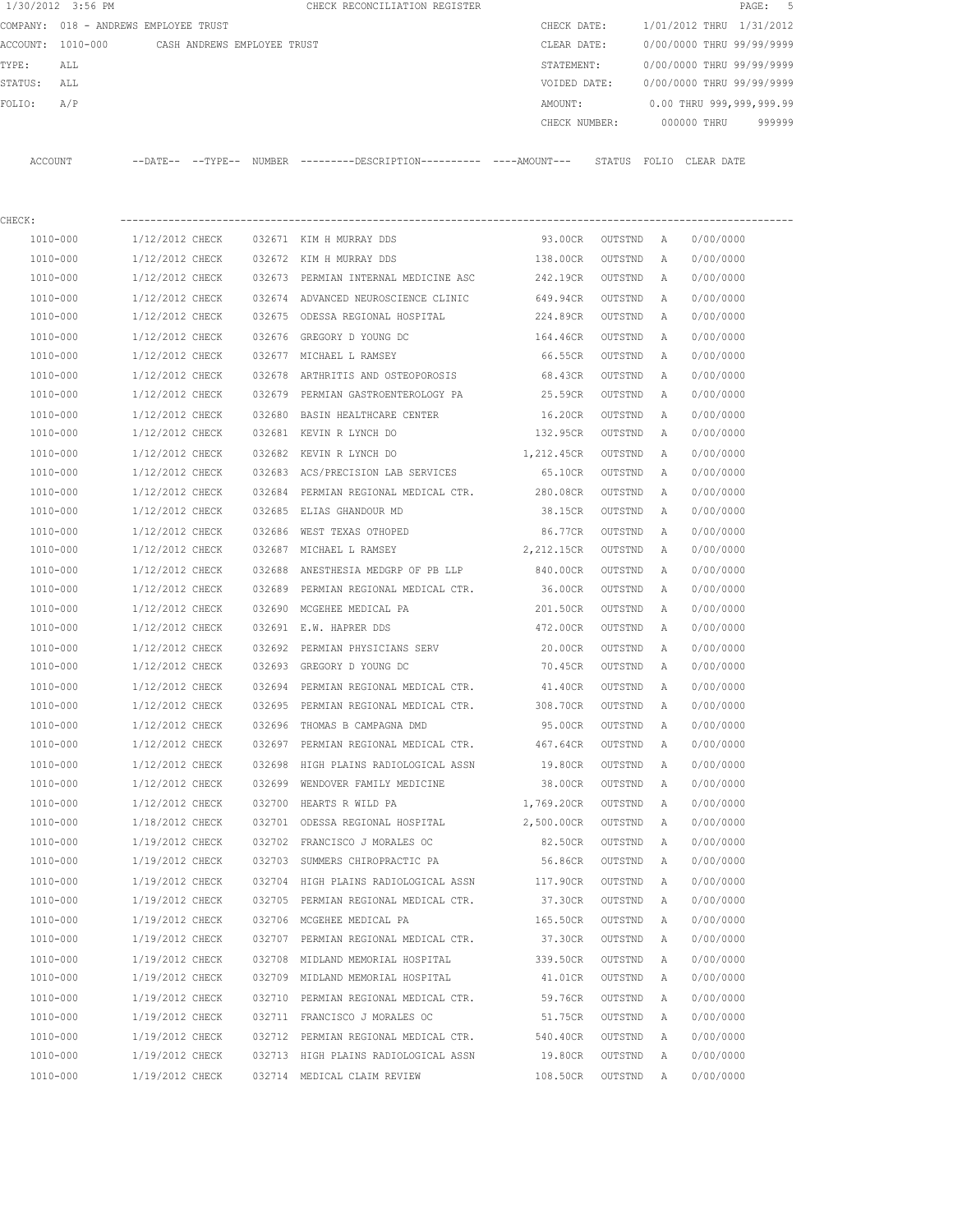|         | 1/30/2012 3:56 PM |                                               | CHECK RECONCILIATION REGISTER                                         |               |                           | PAGE: 5 |  |
|---------|-------------------|-----------------------------------------------|-----------------------------------------------------------------------|---------------|---------------------------|---------|--|
|         |                   | COMPANY: 018 - ANDREWS EMPLOYEE TRUST         |                                                                       | CHECK DATE:   | 1/01/2012 THRU 1/31/2012  |         |  |
|         |                   | ACCOUNT: 1010-000 CASH ANDREWS EMPLOYEE TRUST |                                                                       | CLEAR DATE:   | 0/00/0000 THRU 99/99/9999 |         |  |
| TYPE:   | ALL               |                                               |                                                                       | STATEMENT:    | 0/00/0000 THRU 99/99/9999 |         |  |
| STATUS: | ALL               |                                               |                                                                       | VOIDED DATE:  | 0/00/0000 THRU 99/99/9999 |         |  |
| FOLIO:  | A/P               |                                               |                                                                       | AMOUNT:       | 0.00 THRU 999,999,999.99  |         |  |
|         |                   |                                               |                                                                       | CHECK NUMBER: | 000000 THRU               | 999999  |  |
| ACCOUNT |                   |                                               | --DATE-- --TYPE-- NUMBER ---------DESCRIPTION---------- ----AMOUNT--- | STATUS        | FOLIO CLEAR DATE          |         |  |
| CHECK:  |                   |                                               |                                                                       |               |                           |         |  |

| 1010-000     | 1/12/2012 CHECK |        | 032671 KIM H MURRAY DDS              | 93.00CR    | OUTSTND | A            | 0/00/0000 |
|--------------|-----------------|--------|--------------------------------------|------------|---------|--------------|-----------|
| 1010-000     | 1/12/2012 CHECK |        | 032672 KIM H MURRAY DDS              | 138.00CR   | OUTSTND | A            | 0/00/0000 |
| 1010-000     | 1/12/2012 CHECK |        | 032673 PERMIAN INTERNAL MEDICINE ASC | 242.19CR   | OUTSTND | Α            | 0/00/0000 |
| 1010-000     | 1/12/2012 CHECK |        | 032674 ADVANCED NEUROSCIENCE CLINIC  | 649.94CR   | OUTSTND | A            | 0/00/0000 |
| 1010-000     | 1/12/2012 CHECK |        | 032675 ODESSA REGIONAL HOSPITAL      | 224.89CR   | OUTSTND | A            | 0/00/0000 |
| 1010-000     | 1/12/2012 CHECK |        | 032676 GREGORY D YOUNG DC            | 164.46CR   | OUTSTND | Α            | 0/00/0000 |
| 1010-000     | 1/12/2012 CHECK |        | 032677 MICHAEL L RAMSEY              | 66.55CR    | OUTSTND | Α            | 0/00/0000 |
| 1010-000     | 1/12/2012 CHECK |        | 032678 ARTHRITIS AND OSTEOPOROSIS    | 68.43CR    | OUTSTND | Α            | 0/00/0000 |
| 1010-000     | 1/12/2012 CHECK |        | 032679 PERMIAN GASTROENTEROLOGY PA   | 25.59CR    | OUTSTND | Α            | 0/00/0000 |
| 1010-000     | 1/12/2012 CHECK |        | 032680 BASIN HEALTHCARE CENTER       | 16.20CR    | OUTSTND | A            | 0/00/0000 |
| 1010-000     | 1/12/2012 CHECK |        | 032681 KEVIN R LYNCH DO              | 132.95CR   | OUTSTND | A            | 0/00/0000 |
| 1010-000     | 1/12/2012 CHECK |        | 032682 KEVIN R LYNCH DO              | 1,212.45CR | OUTSTND | Α            | 0/00/0000 |
| $1010 - 000$ | 1/12/2012 CHECK |        | 032683 ACS/PRECISION LAB SERVICES    | 65.10CR    | OUTSTND | A            | 0/00/0000 |
| 1010-000     | 1/12/2012 CHECK |        | 032684 PERMIAN REGIONAL MEDICAL CTR. | 280.08CR   | OUTSTND | A            | 0/00/0000 |
| 1010-000     | 1/12/2012 CHECK |        | 032685 ELIAS GHANDOUR MD             | 38.15CR    | OUTSTND | A            | 0/00/0000 |
| 1010-000     | 1/12/2012 CHECK |        | 032686 WEST TEXAS OTHOPED            | 86.77CR    | OUTSTND | $\mathbb{A}$ | 0/00/0000 |
| 1010-000     | 1/12/2012 CHECK |        | 032687 MICHAEL L RAMSEY              | 2,212.15CR | OUTSTND | A            | 0/00/0000 |
| 1010-000     | 1/12/2012 CHECK |        | 032688 ANESTHESIA MEDGRP OF PB LLP   | 840.00CR   | OUTSTND | Α            | 0/00/0000 |
| 1010-000     | 1/12/2012 CHECK |        | 032689 PERMIAN REGIONAL MEDICAL CTR. | 36.00CR    | OUTSTND | Α            | 0/00/0000 |
| 1010-000     | 1/12/2012 CHECK |        | 032690 MCGEHEE MEDICAL PA            | 201.50CR   | OUTSTND | $\mathbb A$  | 0/00/0000 |
| 1010-000     | 1/12/2012 CHECK |        | 032691 E.W. HAPRER DDS               | 472.00CR   | OUTSTND | Α            | 0/00/0000 |
| 1010-000     | 1/12/2012 CHECK |        | 032692 PERMIAN PHYSICIANS SERV       | 20.00CR    | OUTSTND | A            | 0/00/0000 |
| 1010-000     | 1/12/2012 CHECK |        | 032693 GREGORY D YOUNG DC            | 70.45CR    | OUTSTND | A            | 0/00/0000 |
| 1010-000     | 1/12/2012 CHECK |        | 032694 PERMIAN REGIONAL MEDICAL CTR. | 41.40CR    | OUTSTND | A            | 0/00/0000 |
| 1010-000     | 1/12/2012 CHECK |        | 032695 PERMIAN REGIONAL MEDICAL CTR. | 308.70CR   | OUTSTND | Α            | 0/00/0000 |
| 1010-000     | 1/12/2012 CHECK |        | 032696 THOMAS B CAMPAGNA DMD         | 95.00CR    | OUTSTND | A            | 0/00/0000 |
| 1010-000     | 1/12/2012 CHECK |        | 032697 PERMIAN REGIONAL MEDICAL CTR. | 467.64CR   | OUTSTND | A            | 0/00/0000 |
| 1010-000     | 1/12/2012 CHECK |        | 032698 HIGH PLAINS RADIOLOGICAL ASSN | 19.80CR    | OUTSTND | A            | 0/00/0000 |
| 1010-000     | 1/12/2012 CHECK | 032699 | WENDOVER FAMILY MEDICINE             | 38.00CR    | OUTSTND | Α            | 0/00/0000 |
| 1010-000     | 1/12/2012 CHECK | 032700 | HEARTS R WILD PA                     | 1,769.20CR | OUTSTND | Α            | 0/00/0000 |
| 1010-000     | 1/18/2012 CHECK |        | 032701 ODESSA REGIONAL HOSPITAL      | 2,500.00CR | OUTSTND | Α            | 0/00/0000 |
| 1010-000     | 1/19/2012 CHECK |        | 032702 FRANCISCO J MORALES OC        | 82.50CR    | OUTSTND | Α            | 0/00/0000 |
| 1010-000     | 1/19/2012 CHECK |        | 032703 SUMMERS CHIROPRACTIC PA       | 56.86CR    | OUTSTND | Α            | 0/00/0000 |
| 1010-000     | 1/19/2012 CHECK |        | 032704 HIGH PLAINS RADIOLOGICAL ASSN | 117.90CR   | OUTSTND | A            | 0/00/0000 |
| 1010-000     | 1/19/2012 CHECK |        | 032705 PERMIAN REGIONAL MEDICAL CTR. | 37.30CR    | OUTSTND | A            | 0/00/0000 |
| 1010-000     | 1/19/2012 CHECK |        | 032706 MCGEHEE MEDICAL PA            | 165.50CR   | OUTSTND | A            | 0/00/0000 |
| 1010-000     | 1/19/2012 CHECK |        | 032707 PERMIAN REGIONAL MEDICAL CTR. | 37.30CR    | OUTSTND | Α            | 0/00/0000 |
| 1010-000     | 1/19/2012 CHECK | 032708 | MIDLAND MEMORIAL HOSPITAL            | 339.50CR   | OUTSTND | Α            | 0/00/0000 |
| 1010-000     | 1/19/2012 CHECK |        | 032709 MIDLAND MEMORIAL HOSPITAL     | 41.01CR    | OUTSTND | Α            | 0/00/0000 |
| 1010-000     | 1/19/2012 CHECK | 032710 | PERMIAN REGIONAL MEDICAL CTR.        | 59.76CR    | OUTSTND | Α            | 0/00/0000 |
| 1010-000     | 1/19/2012 CHECK | 032711 | FRANCISCO J MORALES OC               | 51.75CR    | OUTSTND | Α            | 0/00/0000 |
| 1010-000     | 1/19/2012 CHECK | 032712 | PERMIAN REGIONAL MEDICAL CTR.        | 540.40CR   | OUTSTND | Α            | 0/00/0000 |
| $1010 - 000$ | 1/19/2012 CHECK |        | 032713 HIGH PLAINS RADIOLOGICAL ASSN | 19.80CR    | OUTSTND | Α            | 0/00/0000 |
| 1010-000     | 1/19/2012 CHECK |        | 032714 MEDICAL CLAIM REVIEW          | 108.50CR   | OUTSTND | Α            | 0/00/0000 |
|              |                 |        |                                      |            |         |              |           |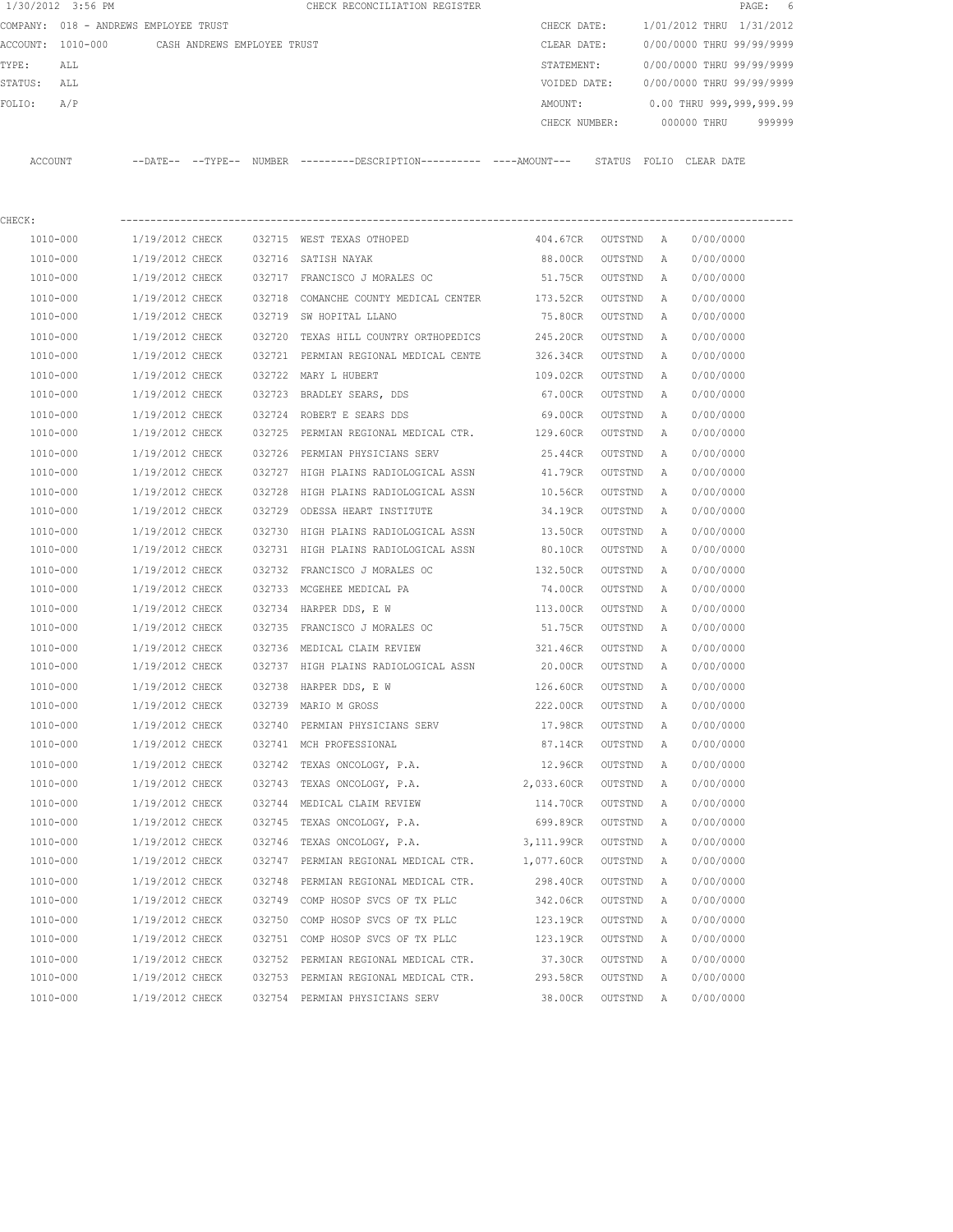|         | 1/30/2012 3:56 PM |                                               |        | CHECK RECONCILIATION REGISTER                                                                 |                    |         |   |                                  | PAGE: 6 |
|---------|-------------------|-----------------------------------------------|--------|-----------------------------------------------------------------------------------------------|--------------------|---------|---|----------------------------------|---------|
|         |                   | COMPANY: 018 - ANDREWS EMPLOYEE TRUST         |        |                                                                                               | CHECK DATE:        |         |   | 1/01/2012 THRU 1/31/2012         |         |
|         |                   | ACCOUNT: 1010-000 CASH ANDREWS EMPLOYEE TRUST |        |                                                                                               | CLEAR DATE:        |         |   | 0/00/0000 THRU 99/99/9999        |         |
| TYPE:   | ALL               |                                               |        |                                                                                               | STATEMENT:         |         |   | 0/00/0000 THRU 99/99/9999        |         |
| STATUS: | ALL               |                                               |        |                                                                                               | VOIDED DATE:       |         |   | 0/00/0000 THRU 99/99/9999        |         |
| FOLIO:  | A/P               |                                               |        |                                                                                               | AMOUNT:            |         |   | 0.00 THRU 999,999,999.99         |         |
|         |                   |                                               |        |                                                                                               |                    |         |   | CHECK NUMBER: 000000 THRU 999999 |         |
|         | ACCOUNT           |                                               |        | --DATE-- --TYPE-- NUMBER ---------DESCRIPTION---------- ----AMOUNT--- STATUS FOLIO CLEAR-DATE |                    |         |   |                                  |         |
|         |                   |                                               |        |                                                                                               |                    |         |   |                                  |         |
| CHECK:  |                   |                                               |        |                                                                                               |                    |         |   |                                  |         |
|         | 1010-000          | 1/19/2012 CHECK                               |        | 032715 WEST TEXAS OTHOPED                                                                     | 404.67CR OUTSTND A |         |   | 0/00/0000                        |         |
|         | 1010-000          | 1/19/2012 CHECK                               |        | 032716 SATISH NAYAK                                                                           | 88.00CR            | OUTSTND | A | 0/00/0000                        |         |
|         | 1010-000          | 1/19/2012 CHECK                               |        | 032717 FRANCISCO J MORALES OC                                                                 | 51.75CR OUTSTND    |         | A | 0/00/0000                        |         |
|         | 1010-000          | 1/19/2012 CHECK                               |        | 032718 COMANCHE COUNTY MEDICAL CENTER                                                         | 173.52CR           | OUTSTND | A | 0/00/0000                        |         |
|         | 1010-000          | 1/19/2012 CHECK                               |        | 032719 SW HOPITAL LLANO                                                                       | 75.80CR            | OUTSTND | A | 0/00/0000                        |         |
|         | 1010-000          | 1/19/2012 CHECK                               | 032720 | TEXAS HILL COUNTRY ORTHOPEDICS 245.20CR                                                       |                    | OUTSTND | A | 0/00/0000                        |         |
|         | 1010-000          | 1/19/2012 CHECK                               |        | 032721 PERMIAN REGIONAL MEDICAL CENTE 326.34CR                                                |                    | OUTSTND | A | 0/00/0000                        |         |
|         | 1010-000          | 1/19/2012 CHECK                               |        | 032722 MARY L HUBERT                                                                          | 109.02CR           | OUTSTND | A | 0/00/0000                        |         |
|         | 1010-000          | 1/19/2012 CHECK                               |        | 032723 BRADLEY SEARS, DDS                                                                     | 67.00CR            | OUTSTND | A | 0/00/0000                        |         |
|         | 1010-000          | 1/19/2012 CHECK                               |        | 032724 ROBERT E SEARS DDS                                                                     | 69.00CR            | OUTSTND | A | 0/00/0000                        |         |
|         | 1010-000          | 1/19/2012 CHECK                               |        | 032725 PERMIAN REGIONAL MEDICAL CTR. 129.60CR                                                 |                    | OUTSTND | A | 0/00/0000                        |         |
|         | 1010-000          | 1/19/2012 CHECK                               |        | 032726 PERMIAN PHYSICIANS SERV                                                                | 25.44CR            | OUTSTND | A | 0/00/0000                        |         |
|         | 1010-000          | 1/19/2012 CHECK                               |        | 032727 HIGH PLAINS RADIOLOGICAL ASSN                                                          | 41.79CR            | OUTSTND | A | 0/00/0000                        |         |
|         | 1010-000          | 1/19/2012 CHECK                               | 032728 | HIGH PLAINS RADIOLOGICAL ASSN                                                                 | 10.56CR            | OUTSTND | A | 0/00/0000                        |         |
|         | 1010-000          | 1/19/2012 CHECK                               |        | 032729 ODESSA HEART INSTITUTE                                                                 | 34.19CR            | OUTSTND | A | 0/00/0000                        |         |
|         | 1010-000          | 1/19/2012 CHECK                               | 032730 | HIGH PLAINS RADIOLOGICAL ASSN                                                                 | 13.50CR            | OUTSTND | A | 0/00/0000                        |         |
|         | 1010-000          | 1/19/2012 CHECK                               |        | 032731 HIGH PLAINS RADIOLOGICAL ASSN                                                          | 80.10CR            | OUTSTND | A | 0/00/0000                        |         |
|         | 1010-000          | 1/19/2012 CHECK                               |        | 032732 FRANCISCO J MORALES OC                                                                 | 132.50CR           | OUTSTND | A | 0/00/0000                        |         |
|         | 1010-000          | 1/19/2012 CHECK                               |        | 032733 MCGEHEE MEDICAL PA                                                                     | 74.00CR            | OUTSTND | A | 0/00/0000                        |         |
|         | 1010-000          | 1/19/2012 CHECK                               |        | 032734 HARPER DDS, E W                                                                        | 113.00CR           | OUTSTND | A | 0/00/0000                        |         |
|         | 1010-000          | 1/19/2012 CHECK                               |        | 032735 FRANCISCO J MORALES OC                                                                 | 51.75CR            | OUTSTND | A | 0/00/0000                        |         |
|         | 1010-000          | 1/19/2012 CHECK                               |        | 032736 MEDICAL CLAIM REVIEW                                                                   | 321.46CR           | OUTSTND | A | 0/00/0000                        |         |
|         | 1010-000          | 1/19/2012 CHECK                               |        | 032737 HIGH PLAINS RADIOLOGICAL ASSN                                                          | 20.00CR            | OUTSTND | A | 0/00/0000                        |         |
|         | 1010-000          | 1/19/2012 CHECK                               |        | 032738 HARPER DDS, E W                                                                        | 126.60CR           | OUTSTND | A | 0/00/0000                        |         |
|         | 1010-000          | 1/19/2012 CHECK                               |        | 032739 MARIO M GROSS                                                                          | 222.00CR           | OUTSTND | Α | 0/00/0000                        |         |
|         | 1010-000          | 1/19/2012 CHECK                               |        | 032740 PERMIAN PHYSICIANS SERV                                                                | 17.98CR            | OUTSTND | Α | 0/00/0000                        |         |
|         | 1010-000          | 1/19/2012 CHECK                               |        | 032741 MCH PROFESSIONAL                                                                       | 87.14CR            | OUTSTND | Α | 0/00/0000                        |         |
|         | 1010-000          | 1/19/2012 CHECK                               |        | 032742 TEXAS ONCOLOGY, P.A.                                                                   | 12.96CR            | OUTSTND | Α | 0/00/0000                        |         |
|         | 1010-000          | 1/19/2012 CHECK                               | 032743 | TEXAS ONCOLOGY, P.A.                                                                          | 2,033.60CR         | OUTSTND | Α | 0/00/0000                        |         |
|         | 1010-000          | 1/19/2012 CHECK                               |        | 032744 MEDICAL CLAIM REVIEW                                                                   | 114.70CR           | OUTSTND | Α | 0/00/0000                        |         |
|         | 1010-000          | 1/19/2012 CHECK                               | 032745 | TEXAS ONCOLOGY, P.A.                                                                          | 699.89CR           | OUTSTND | Α | 0/00/0000                        |         |
|         | 1010-000          | 1/19/2012 CHECK                               | 032746 | TEXAS ONCOLOGY, P.A.                                                                          | 3,111.99CR         | OUTSTND | Α | 0/00/0000                        |         |
|         | 1010-000          | 1/19/2012 CHECK                               | 032747 | PERMIAN REGIONAL MEDICAL CTR.                                                                 | 1,077.60CR         | OUTSTND | Α | 0/00/0000                        |         |
|         | 1010-000          | 1/19/2012 CHECK                               | 032748 | PERMIAN REGIONAL MEDICAL CTR.                                                                 | 298.40CR           | OUTSTND | Α | 0/00/0000                        |         |
|         | 1010-000          | 1/19/2012 CHECK                               | 032749 | COMP HOSOP SVCS OF TX PLLC                                                                    | 342.06CR           | OUTSTND | Α | 0/00/0000                        |         |
|         | 1010-000          | 1/19/2012 CHECK                               | 032750 | COMP HOSOP SVCS OF TX PLLC                                                                    | 123.19CR           | OUTSTND | Α | 0/00/0000                        |         |
|         | 1010-000          | 1/19/2012 CHECK                               | 032751 | COMP HOSOP SVCS OF TX PLLC                                                                    | 123.19CR           | OUTSTND | Α | 0/00/0000                        |         |
|         | 1010-000          | 1/19/2012 CHECK                               | 032752 | PERMIAN REGIONAL MEDICAL CTR.                                                                 | 37.30CR            | OUTSTND | Α | 0/00/0000                        |         |
|         | 1010-000          | 1/19/2012 CHECK                               |        | 032753 PERMIAN REGIONAL MEDICAL CTR.                                                          | 293.58CR           | OUTSTND | Α | 0/00/0000                        |         |
|         | 1010-000          | 1/19/2012 CHECK                               |        | 032754 PERMIAN PHYSICIANS SERV                                                                | 38.00CR            | OUTSTND | Α | 0/00/0000                        |         |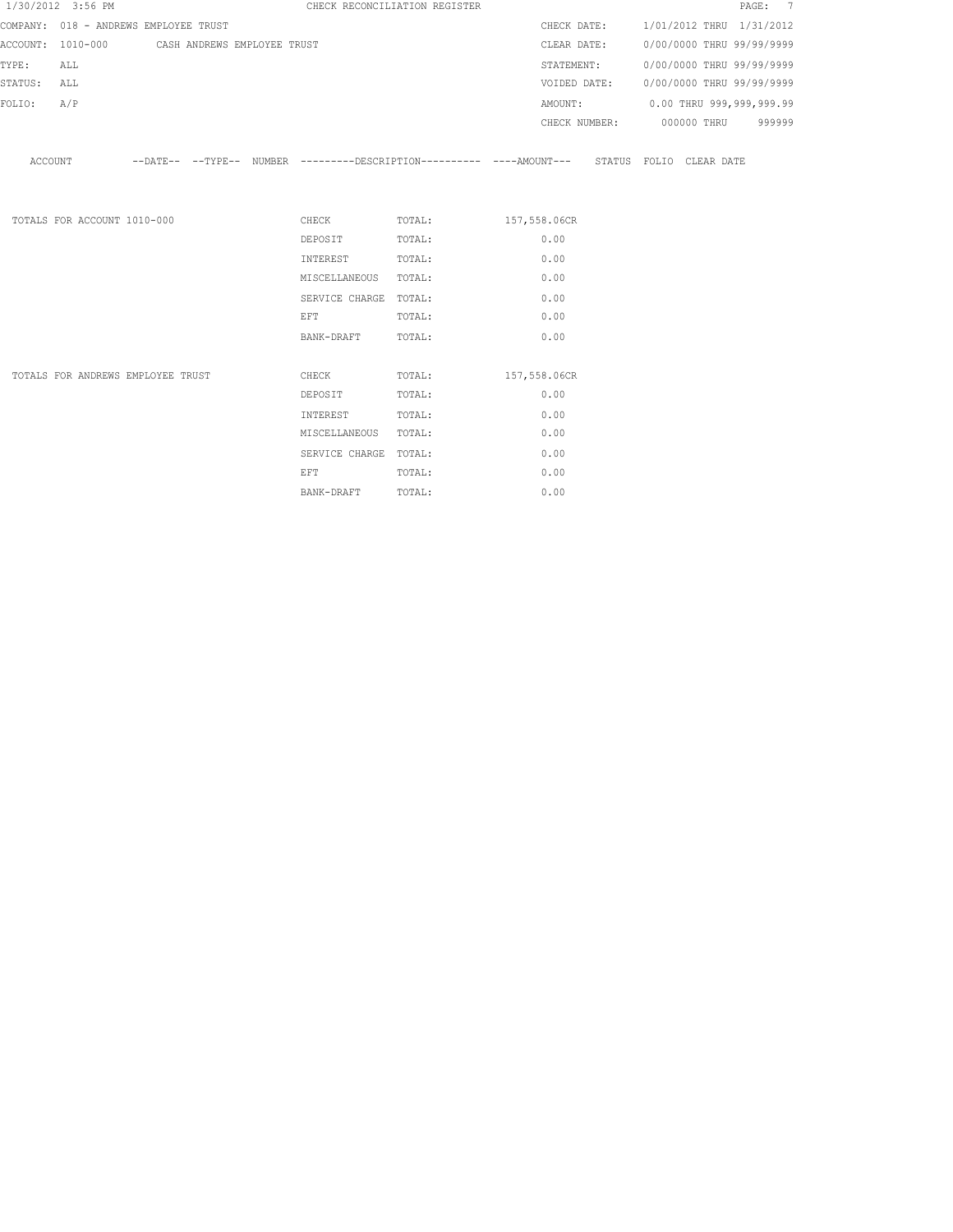|             | 1/30/2012 3:56 PM                             |  |                                                                                                                | CHECK RECONCILIATION REGISTER |      |  | PAGE: 7                                |
|-------------|-----------------------------------------------|--|----------------------------------------------------------------------------------------------------------------|-------------------------------|------|--|----------------------------------------|
|             | COMPANY: 018 - ANDREWS EMPLOYEE TRUST         |  |                                                                                                                |                               |      |  | CHECK DATE: 1/01/2012 THRU 1/31/2012   |
|             | ACCOUNT: 1010-000 CASH ANDREWS EMPLOYEE TRUST |  |                                                                                                                |                               |      |  | CLEAR DATE: 0/00/0000 THRU 99/99/9999  |
| TYPE:       | ALL                                           |  |                                                                                                                |                               |      |  | STATEMENT: 0/00/0000 THRU 99/99/9999   |
| STATUS: ALL |                                               |  |                                                                                                                |                               |      |  | VOIDED DATE: 0/00/0000 THRU 99/99/9999 |
| FOLIO:      | A/P                                           |  |                                                                                                                |                               |      |  | AMOUNT: 0.00 THRU 999,999,999.99       |
|             |                                               |  |                                                                                                                |                               |      |  | CHECK NUMBER: 000000 THRU 999999       |
|             |                                               |  | ACCOUNT --DATE-- --TYPE-- NUMBER ---------DESCRIPTION---------- ----AMOUNT--- STATUS FOLIO CLEAR DATE          |                               |      |  |                                        |
|             | TOTALS FOR ACCOUNT 1010-000                   |  |                                                                                                                | CHECK TOTAL: 157,558.06CR     |      |  |                                        |
|             |                                               |  | DEPOSIT TOTAL:                                                                                                 |                               | 0.00 |  |                                        |
|             |                                               |  | INTEREST TOTAL:                                                                                                |                               | 0.00 |  |                                        |
|             |                                               |  | MISCELLANEOUS TOTAL:                                                                                           |                               | 0.00 |  |                                        |
|             |                                               |  | SERVICE CHARGE TOTAL:                                                                                          |                               | 0.00 |  |                                        |
|             |                                               |  | EFT FOR THE STATE OF THE STATE OF THE STATE OF THE STATE OF THE STATE OF THE STATE OF THE STATE OF THE STATE O | TOTAL:                        | 0.00 |  |                                        |
|             |                                               |  | BANK-DRAFT TOTAL:                                                                                              |                               | 0.00 |  |                                        |
|             | TOTALS FOR ANDREWS EMPLOYEE TRUST             |  |                                                                                                                | CHECK TOTAL: 157,558.06CR     |      |  |                                        |
|             |                                               |  | DEPOSIT                                                                                                        | TOTAL:                        | 0.00 |  |                                        |
|             |                                               |  | INTEREST                                                                                                       | TOTAL:                        | 0.00 |  |                                        |
|             |                                               |  | MISCELLANEOUS TOTAL:                                                                                           |                               | 0.00 |  |                                        |
|             |                                               |  | SERVICE CHARGE TOTAL:                                                                                          |                               | 0.00 |  |                                        |
|             |                                               |  | EFT                                                                                                            | TOTAL:                        | 0.00 |  |                                        |

BANK-DRAFT TOTAL: 0.00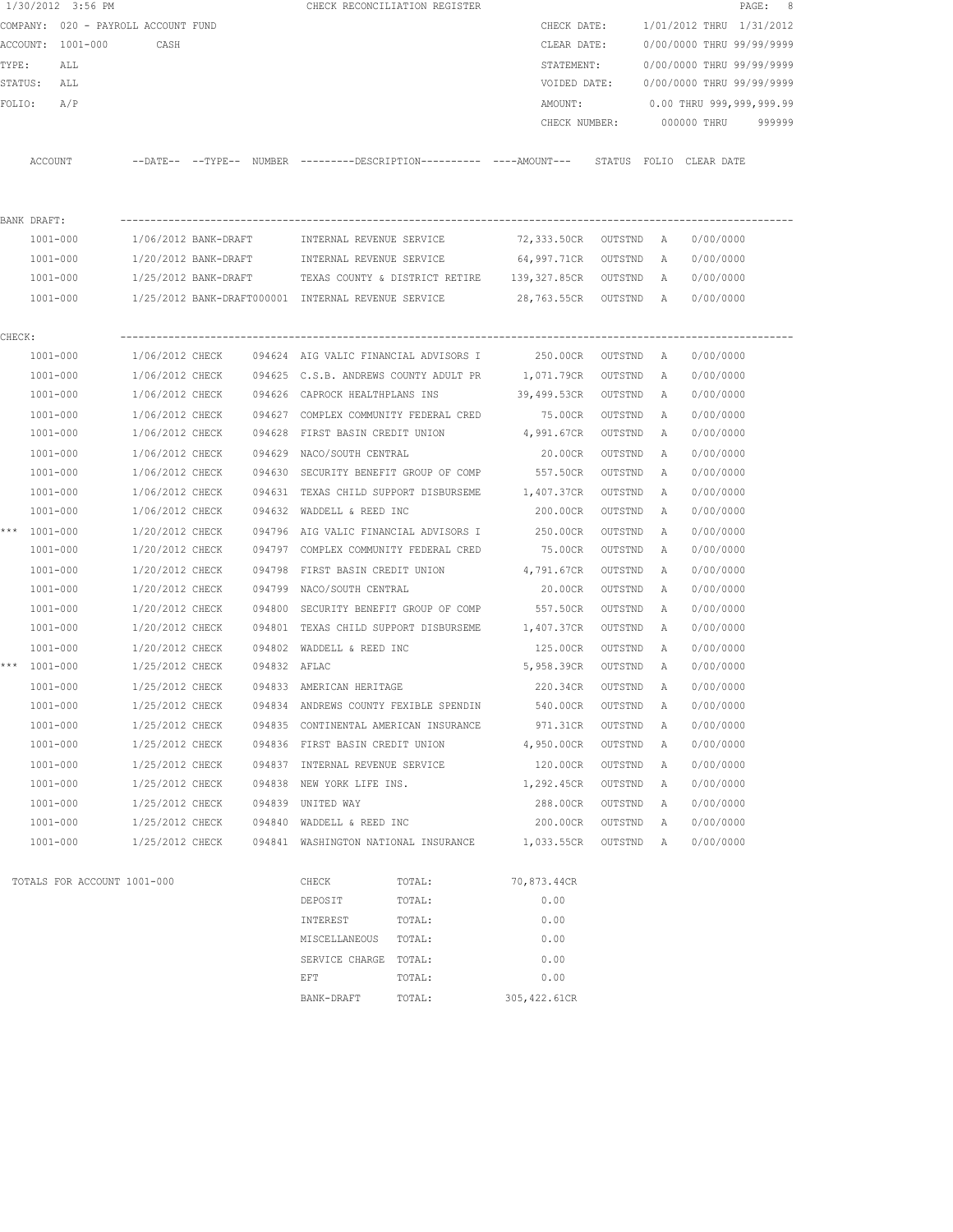|         | 1/30/2012 3:56 PM        |                             |                                     |                        |                                                                   | CHECK RECONCILIATION REGISTER                                                                |                        |                    |                     |                           | PAGE: 8 |
|---------|--------------------------|-----------------------------|-------------------------------------|------------------------|-------------------------------------------------------------------|----------------------------------------------------------------------------------------------|------------------------|--------------------|---------------------|---------------------------|---------|
|         |                          |                             | COMPANY: 020 - PAYROLL ACCOUNT FUND |                        |                                                                   |                                                                                              | CHECK DATE:            |                    |                     | 1/01/2012 THRU 1/31/2012  |         |
|         | ACCOUNT: 1001-000        |                             | CASH                                |                        |                                                                   |                                                                                              | CLEAR DATE:            |                    |                     | 0/00/0000 THRU 99/99/9999 |         |
| TYPE:   | ALL                      |                             |                                     |                        |                                                                   |                                                                                              | STATEMENT:             |                    |                     | 0/00/0000 THRU 99/99/9999 |         |
| STATUS: | ALL                      |                             |                                     |                        |                                                                   |                                                                                              | VOIDED DATE:           |                    |                     | 0/00/0000 THRU 99/99/9999 |         |
| FOLIO:  | A/P                      |                             |                                     |                        |                                                                   |                                                                                              | AMOUNT:                |                    |                     | 0.00 THRU 999,999,999.99  |         |
|         |                          |                             |                                     |                        |                                                                   |                                                                                              | CHECK NUMBER:          |                    |                     | 000000 THRU               | 999999  |
|         | ACCOUNT                  |                             |                                     |                        |                                                                   | --DATE-- --TYPE-- NUMBER --------DESCRIPTION---------- ----AMOUNT--- STATUS FOLIO CLEAR-DATE |                        |                    |                     |                           |         |
|         |                          |                             |                                     |                        |                                                                   |                                                                                              |                        |                    |                     |                           |         |
|         | BANK DRAFT:              |                             |                                     |                        |                                                                   |                                                                                              |                        |                    |                     |                           |         |
|         | 1001-000                 |                             | 1/06/2012 BANK-DRAFT                |                        | INTERNAL REVENUE SERVICE                                          |                                                                                              | 72,333.50CR OUTSTND A  |                    |                     | 0/00/0000                 |         |
|         | 1001-000                 |                             | 1/20/2012 BANK-DRAFT                |                        | INTERNAL REVENUE SERVICE                                          |                                                                                              | 64,997.71CR OUTSTND    |                    | A                   | 0/00/0000                 |         |
|         | 1001-000                 |                             | 1/25/2012 BANK-DRAFT                |                        |                                                                   | TEXAS COUNTY & DISTRICT RETIRE 139,327.85CR OUTSTND                                          |                        |                    | A                   | 0/00/0000                 |         |
|         | 1001-000                 |                             |                                     |                        |                                                                   | 1/25/2012 BANK-DRAFT000001 INTERNAL REVENUE SERVICE $28,763.55$ CR OUTSTND A                 |                        |                    |                     | 0/00/0000                 |         |
|         |                          |                             |                                     |                        |                                                                   |                                                                                              |                        |                    |                     |                           |         |
| CHECK:  |                          |                             |                                     |                        |                                                                   |                                                                                              |                        |                    |                     |                           |         |
|         | 1001-000                 |                             |                                     |                        |                                                                   | 1/06/2012 CHECK 094624 AIG VALIC FINANCIAL ADVISORS I 250.00CR                               |                        | OUTSTND            | A                   | 0/00/0000                 |         |
|         | 1001-000                 |                             | 1/06/2012 CHECK                     |                        |                                                                   | 094625 C.S.B. ANDREWS COUNTY ADULT PR 1,071.79CR                                             |                        | OUTSTND            | <b>A</b>            | 0/00/0000                 |         |
|         | 1001-000                 |                             | 1/06/2012 CHECK                     |                        | 094626 CAPROCK HEALTHPLANS INS                                    |                                                                                              | 39,499.53CR            | OUTSTND            | A                   | 0/00/0000                 |         |
|         | 1001-000                 |                             | 1/06/2012 CHECK                     |                        |                                                                   | 094627 COMPLEX COMMUNITY FEDERAL CRED 75.00CR                                                |                        | OUTSTND            | A                   | 0/00/0000                 |         |
|         | 1001-000                 |                             | 1/06/2012 CHECK                     |                        | 094628 FIRST BASIN CREDIT UNION                                   |                                                                                              | 4,991.67CR             | OUTSTND            | A                   | 0/00/0000                 |         |
|         | 1001-000                 |                             | 1/06/2012 CHECK                     |                        | 094629 NACO/SOUTH CENTRAL                                         |                                                                                              | 20.00CR                | OUTSTND            | Α                   | 0/00/0000                 |         |
|         | 1001-000                 |                             | 1/06/2012 CHECK                     | 094630                 |                                                                   | SECURITY BENEFIT GROUP OF COMP                                                               | 557.50CR               | OUTSTND            | Α                   | 0/00/0000                 |         |
|         | 1001-000                 |                             | 1/06/2012 CHECK                     |                        |                                                                   | 094631 TEXAS CHILD SUPPORT DISBURSEME                                                        | 1,407.37CR             | OUTSTND            | Α                   | 0/00/0000                 |         |
|         | 1001-000                 |                             | 1/06/2012 CHECK                     |                        | 094632 WADDELL & REED INC                                         |                                                                                              | 200.00CR               | OUTSTND            | A                   | 0/00/0000                 |         |
|         | *** 1001-000             |                             | 1/20/2012 CHECK                     | 094796                 |                                                                   | AIG VALIC FINANCIAL ADVISORS I                                                               | 250.00CR               | OUTSTND            | А                   | 0/00/0000                 |         |
|         | 1001-000                 |                             | 1/20/2012 CHECK                     | 094797                 |                                                                   | COMPLEX COMMUNITY FEDERAL CRED                                                               | 75.00CR                | OUTSTND            | А                   | 0/00/0000                 |         |
|         | $1001 - 000$             |                             | 1/20/2012 CHECK                     | 094798                 | FIRST BASIN CREDIT UNION                                          |                                                                                              | 4,791.67CR             | OUTSTND            | А                   | 0/00/0000                 |         |
|         | 1001-000                 |                             | 1/20/2012 CHECK                     | 094799                 | NACO/SOUTH CENTRAL                                                |                                                                                              | 20.00CR                | OUTSTND            | A                   | 0/00/0000                 |         |
|         | $1001 - 000$             |                             | 1/20/2012 CHECK                     | 094800<br>094801       |                                                                   | SECURITY BENEFIT GROUP OF COMP<br>TEXAS CHILD SUPPORT DISBURSEME 1,407.37CR                  | 557.50CR               | OUTSTND            | A                   | 0/00/0000                 |         |
|         | 1001-000                 |                             | 1/20/2012 CHECK<br>1/20/2012 CHECK  |                        |                                                                   |                                                                                              |                        | OUTSTND            | A                   | 0/00/0000                 |         |
|         | 1001-000<br>*** 1001-000 |                             | 1/25/2012 CHECK                     | 094802<br>094832 AFLAC | WADDELL & REED INC                                                |                                                                                              | 125.00CR<br>5,958.39CR | OUTSTND            | А                   | 0/00/0000<br>0/00/0000    |         |
|         |                          |                             | 1/25/2012 CHECK                     |                        |                                                                   |                                                                                              |                        | OUTSTND<br>OUTSTND | A<br>$\overline{A}$ | 0/00/0000                 |         |
|         | 1001-000<br>$1001 - 000$ |                             | 1/25/2012 CHECK                     |                        | 094833 AMERICAN HERITAGE<br>094834 ANDREWS COUNTY FEXIBLE SPENDIN |                                                                                              | 220.34CR<br>540.00CR   |                    |                     | 0/00/0000                 |         |
|         | 1001-000                 |                             | 1/25/2012 CHECK                     |                        | 094835 CONTINENTAL AMERICAN INSURANCE                             |                                                                                              | 971.31CR               | OUTSTND<br>OUTSTND | Α<br>Α              | 0/00/0000                 |         |
|         | 1001-000                 |                             | 1/25/2012 CHECK                     |                        | 094836 FIRST BASIN CREDIT UNION                                   |                                                                                              | 4,950.00CR             | OUTSTND            | Α                   | 0/00/0000                 |         |
|         | $1001 - 000$             |                             | 1/25/2012 CHECK                     | 094837                 | INTERNAL REVENUE SERVICE                                          |                                                                                              | 120.00CR               | OUTSTND            | Α                   | 0/00/0000                 |         |
|         | 1001-000                 |                             | 1/25/2012 CHECK                     | 094838                 | NEW YORK LIFE INS.                                                |                                                                                              | 1,292.45CR             | OUTSTND            | Α                   | 0/00/0000                 |         |
|         | $1001 - 000$             |                             | 1/25/2012 CHECK                     | 094839                 | UNITED WAY                                                        |                                                                                              | 288.00CR               | OUTSTND            | Α                   | 0/00/0000                 |         |
|         | $1001 - 000$             |                             | 1/25/2012 CHECK                     | 094840                 | WADDELL & REED INC                                                |                                                                                              | 200.00CR               | OUTSTND            | Α                   | 0/00/0000                 |         |
|         | 1001-000                 |                             | 1/25/2012 CHECK                     |                        | 094841 WASHINGTON NATIONAL INSURANCE                              |                                                                                              | 1,033.55CR             | OUTSTND            | Α                   | 0/00/0000                 |         |
|         |                          |                             |                                     |                        |                                                                   |                                                                                              |                        |                    |                     |                           |         |
|         |                          | TOTALS FOR ACCOUNT 1001-000 |                                     |                        | CHECK                                                             | TOTAL:                                                                                       | 70,873.44CR            |                    |                     |                           |         |
|         |                          |                             |                                     |                        | DEPOSIT                                                           | TOTAL:                                                                                       | 0.00                   |                    |                     |                           |         |
|         |                          |                             |                                     |                        | INTEREST                                                          | TOTAL:                                                                                       | 0.00                   |                    |                     |                           |         |
|         |                          |                             |                                     |                        | MISCELLANEOUS                                                     | TOTAL:                                                                                       | 0.00                   |                    |                     |                           |         |
|         |                          |                             |                                     |                        | SERVICE CHARGE                                                    | TOTAL:                                                                                       | 0.00                   |                    |                     |                           |         |
|         |                          |                             |                                     |                        | EFT                                                               | TOTAL:                                                                                       | 0.00                   |                    |                     |                           |         |
|         |                          |                             |                                     |                        | BANK-DRAFT                                                        | TOTAL:                                                                                       | 305,422.61CR           |                    |                     |                           |         |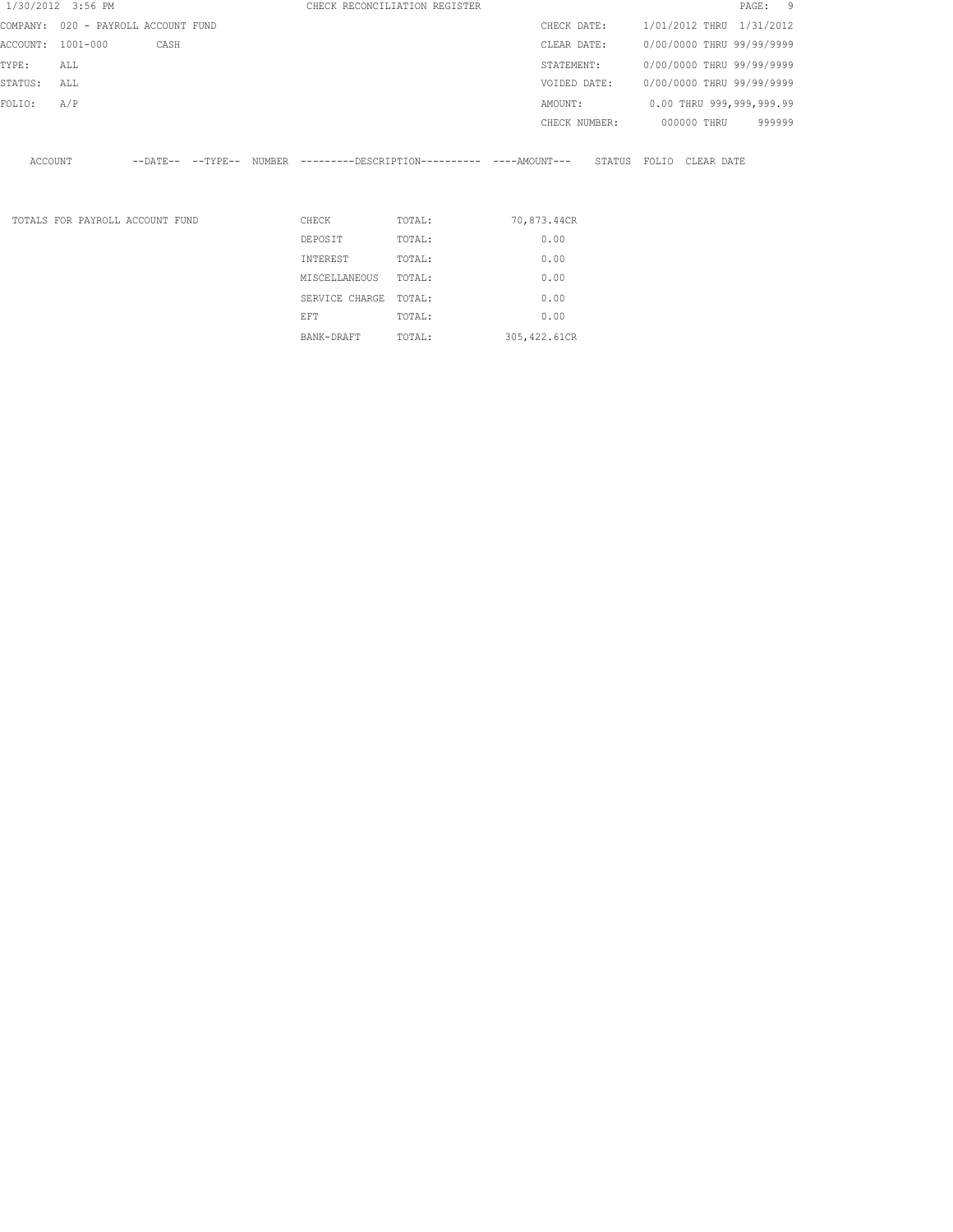| 1/30/2012 3:56 PM                   |     |                                 |  |                | CHECK RECONCILIATION REGISTER                                       |               |                         |                           |             | PAGE: 9 |        |
|-------------------------------------|-----|---------------------------------|--|----------------|---------------------------------------------------------------------|---------------|-------------------------|---------------------------|-------------|---------|--------|
| COMPANY: 020 - PAYROLL ACCOUNT FUND |     |                                 |  |                |                                                                     | CHECK DATE:   |                         | 1/01/2012 THRU 1/31/2012  |             |         |        |
| ACCOUNT: 1001-000                   |     | CASH                            |  |                |                                                                     | CLEAR DATE:   |                         | 0/00/0000 THRU 99/99/9999 |             |         |        |
| TYPE:                               | ALL |                                 |  |                |                                                                     | STATEMENT:    |                         | 0/00/0000 THRU 99/99/9999 |             |         |        |
| STATUS:                             | ALL |                                 |  |                |                                                                     | VOIDED DATE:  |                         | 0/00/0000 THRU 99/99/9999 |             |         |        |
| FOLIO:                              | A/P |                                 |  |                |                                                                     | AMOUNT:       |                         | 0.00 THRU 999,999,999.99  |             |         |        |
|                                     |     |                                 |  |                |                                                                     | CHECK NUMBER: |                         |                           | 000000 THRU |         | 999999 |
| ACCOUNT                             |     |                                 |  |                | --DATE-- --TYPE-- NUMBER ---------DESCRIPTION--------- ---AMOUNT--- |               | STATUS FOLIO CLEAR DATE |                           |             |         |        |
|                                     |     |                                 |  |                |                                                                     |               |                         |                           |             |         |        |
|                                     |     | TOTALS FOR PAYROLL ACCOUNT FUND |  | CHECK          | TOTAL:                                                              | 70,873.44CR   |                         |                           |             |         |        |
|                                     |     |                                 |  | DEPOSIT        | TOTAL:                                                              | 0.00          |                         |                           |             |         |        |
|                                     |     |                                 |  | INTEREST       | TOTAL:                                                              | 0.00          |                         |                           |             |         |        |
|                                     |     |                                 |  | MISCELLANEOUS  | TOTAL:                                                              | 0.00          |                         |                           |             |         |        |
|                                     |     |                                 |  | SERVICE CHARGE | TOTAL:                                                              | 0.00          |                         |                           |             |         |        |
|                                     |     |                                 |  | EFT            | TOTAL:                                                              | 0.00          |                         |                           |             |         |        |

BANK-DRAFT TOTAL: 305,422.61CR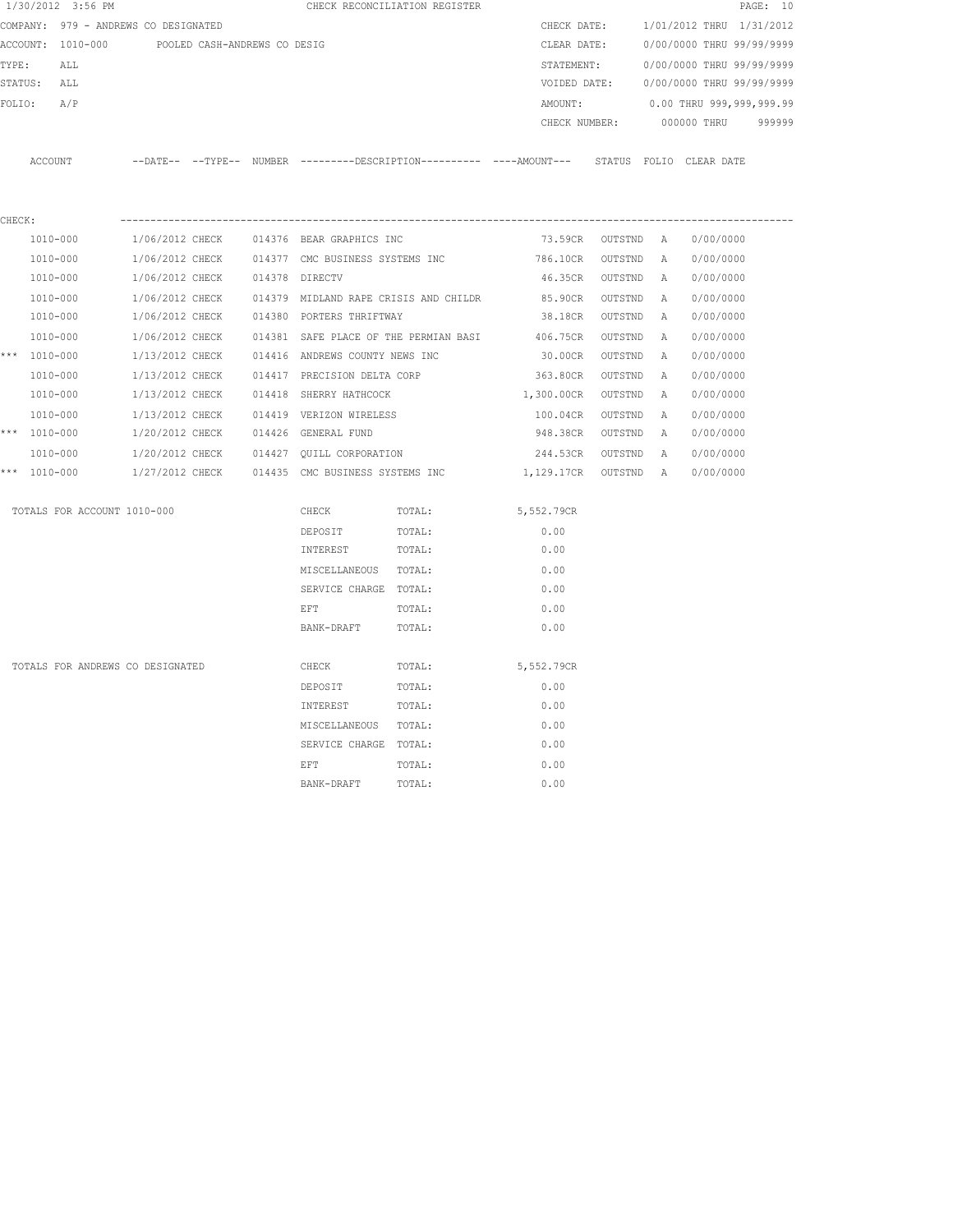| 1/30/2012 3:56 PM                |                                                                                              |                |                                       | CHECK RECONCILIATION REGISTER |                    |                 |   |                           | PAGE: 10 |
|----------------------------------|----------------------------------------------------------------------------------------------|----------------|---------------------------------------|-------------------------------|--------------------|-----------------|---|---------------------------|----------|
|                                  | COMPANY: 979 - ANDREWS CO DESIGNATED                                                         |                |                                       |                               | CHECK DATE:        |                 |   | 1/01/2012 THRU 1/31/2012  |          |
| ACCOUNT: 1010-000                | POOLED CASH-ANDREWS CO DESIG                                                                 |                |                                       |                               | CLEAR DATE:        |                 |   | 0/00/0000 THRU 99/99/9999 |          |
| TYPE:<br>ALL                     |                                                                                              |                |                                       |                               | STATEMENT:         |                 |   | 0/00/0000 THRU 99/99/9999 |          |
| STATUS:<br>ALL                   |                                                                                              |                |                                       |                               | VOIDED DATE:       |                 |   | 0/00/0000 THRU 99/99/9999 |          |
| FOLIO:<br>A/P                    |                                                                                              |                |                                       |                               | AMOUNT:            |                 |   | 0.00 THRU 999,999,999.99  |          |
|                                  |                                                                                              |                |                                       |                               | CHECK NUMBER:      |                 |   | 000000 THRU               | 999999   |
| ACCOUNT                          | --DATE-- --TYPE-- NUMBER ---------DESCRIPTION---------- ----AMOUNT--- STATUS FOLIO CLEARDATE |                |                                       |                               |                    |                 |   |                           |          |
| CHECK:                           |                                                                                              |                |                                       |                               |                    |                 |   |                           |          |
| 1010-000                         | 1/06/2012 CHECK 014376 BEAR GRAPHICS INC                                                     |                |                                       |                               | 73.59CR            | OUTSTND A       |   | 0/00/0000                 |          |
| 1010-000                         | 1/06/2012 CHECK                                                                              |                | 014377 CMC BUSINESS SYSTEMS INC       |                               | 786.10CR           | OUTSTND         | A | 0/00/0000                 |          |
| 1010-000                         | 1/06/2012 CHECK                                                                              | 014378 DIRECTV |                                       |                               | 46.35CR            | OUTSTND         | A | 0/00/0000                 |          |
| 1010-000                         | 1/06/2012 CHECK                                                                              |                | 014379 MIDLAND RAPE CRISIS AND CHILDR |                               | 85.90CR            | OUTSTND         | A | 0/00/0000                 |          |
| 1010-000                         | 1/06/2012 CHECK                                                                              |                | 014380 PORTERS THRIFTWAY              |                               |                    | 38.18CR OUTSTND | A | 0/00/0000                 |          |
| 1010-000                         | 1/06/2012 CHECK                                                                              |                | 014381 SAFE PLACE OF THE PERMIAN BASI |                               | 406.75CR           | OUTSTND         | Α | 0/00/0000                 |          |
| *** 1010-000                     | 1/13/2012 CHECK                                                                              |                | 014416 ANDREWS COUNTY NEWS INC        |                               | 30.00CR            | OUTSTND         | A | 0/00/0000                 |          |
| 1010-000                         | 1/13/2012 CHECK                                                                              |                | 014417 PRECISION DELTA CORP           |                               | 363.80CR           | OUTSTND         | Α | 0/00/0000                 |          |
| 1010-000                         | 1/13/2012 CHECK                                                                              |                | 014418 SHERRY HATHCOCK                |                               | 1,300.00CR         | OUTSTND         | А | 0/00/0000                 |          |
| 1010-000                         | 1/13/2012 CHECK                                                                              |                | 014419 VERIZON WIRELESS               |                               | 100.04CR           | OUTSTND         | Α | 0/00/0000                 |          |
| *** 1010-000                     | 1/20/2012 CHECK                                                                              |                | 014426 GENERAL FUND                   |                               | 948.38CR           | OUTSTND         | A | 0/00/0000                 |          |
| 1010-000                         | 1/20/2012 CHECK                                                                              |                | 014427 QUILL CORPORATION              |                               | 244.53CR OUTSTND   |                 | A | 0/00/0000                 |          |
| *** 1010-000                     | 1/27/2012 CHECK                                                                              |                | 014435 CMC BUSINESS SYSTEMS INC       |                               | 1,129.17CR OUTSTND |                 | A | 0/00/0000                 |          |
| TOTALS FOR ACCOUNT 1010-000      |                                                                                              |                | CHECK                                 | TOTAL:                        | 5,552.79CR         |                 |   |                           |          |
|                                  |                                                                                              |                | DEPOSIT                               | TOTAL:                        | 0.00               |                 |   |                           |          |
|                                  |                                                                                              |                | INTEREST                              | TOTAL:                        | 0.00               |                 |   |                           |          |
|                                  |                                                                                              |                | MISCELLANEOUS TOTAL:                  |                               | 0.00               |                 |   |                           |          |
|                                  |                                                                                              |                | SERVICE CHARGE TOTAL:                 |                               | 0.00               |                 |   |                           |          |
|                                  |                                                                                              |                | EFT                                   | TOTAL:                        | 0.00               |                 |   |                           |          |
|                                  |                                                                                              |                | BANK-DRAFT                            | TOTAL:                        | 0.00               |                 |   |                           |          |
| TOTALS FOR ANDREWS CO DESIGNATED |                                                                                              |                | CHECK                                 | TOTAL:                        | 5,552.79CR         |                 |   |                           |          |
|                                  |                                                                                              |                | DEPOSIT                               | TOTAL:                        | 0.00               |                 |   |                           |          |
|                                  |                                                                                              |                | INTEREST                              | TOTAL:                        | 0.00               |                 |   |                           |          |
|                                  |                                                                                              |                | MISCELLANEOUS                         | TOTAL:                        | 0.00               |                 |   |                           |          |
|                                  |                                                                                              |                | SERVICE CHARGE TOTAL:                 |                               | 0.00               |                 |   |                           |          |
|                                  |                                                                                              |                | EFT                                   | TOTAL:                        | 0.00               |                 |   |                           |          |
|                                  |                                                                                              |                | BANK-DRAFT                            | TOTAL:                        | 0.00               |                 |   |                           |          |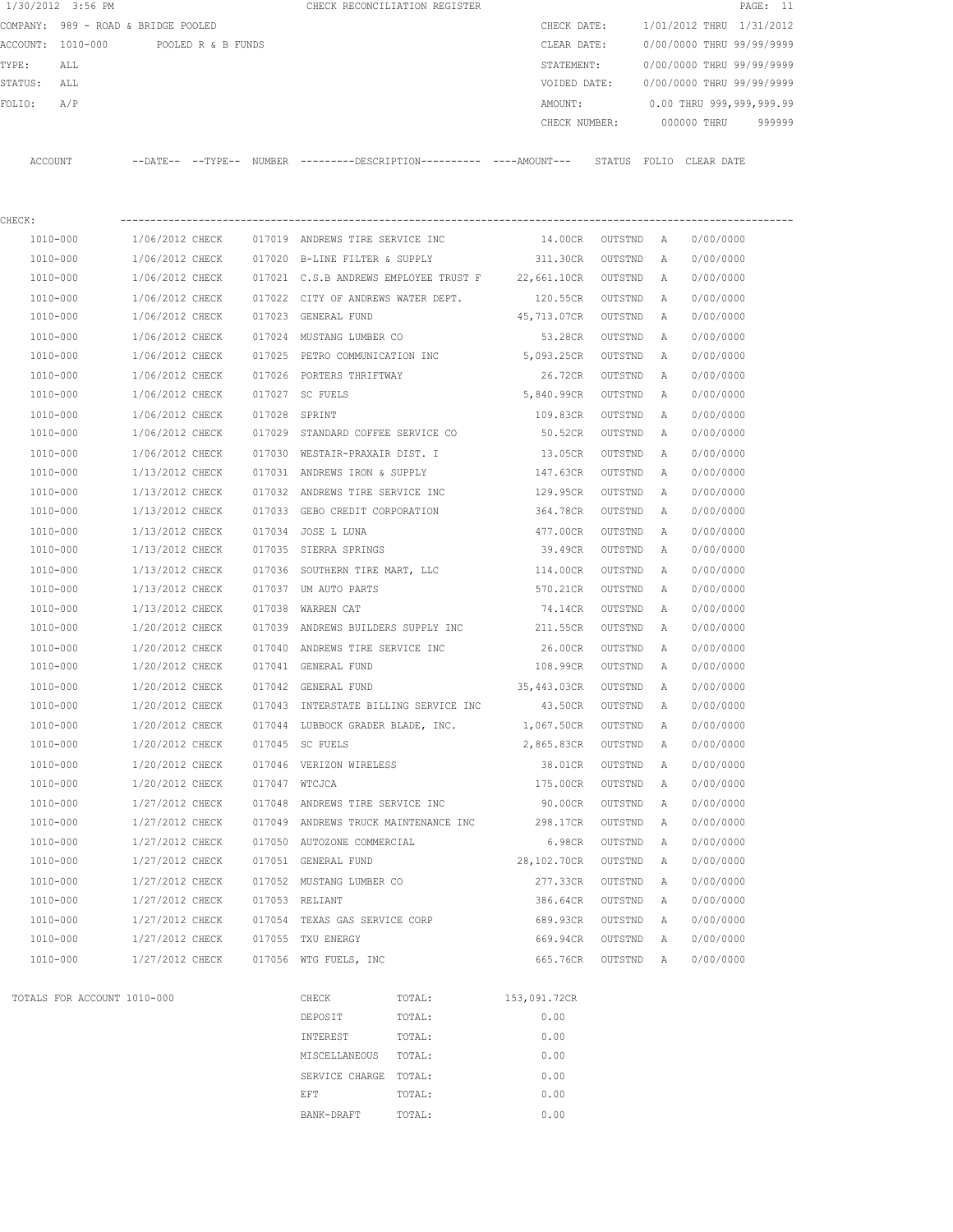|          | 1/30/2012 3:56 PM |                                     |        | CHECK RECONCILIATION REGISTER |               |                 |             | PAGE: 11                  |  |
|----------|-------------------|-------------------------------------|--------|-------------------------------|---------------|-----------------|-------------|---------------------------|--|
|          |                   | COMPANY: 989 - ROAD & BRIDGE POOLED |        |                               | CHECK DATE:   |                 |             | 1/01/2012 THRU 1/31/2012  |  |
| ACCOUNT: | 1010-000          | POOLED R & B FUNDS                  |        |                               | CLEAR DATE:   |                 |             | 0/00/0000 THRU 99/99/9999 |  |
| TYPE:    | ALL               |                                     |        |                               | STATEMENT:    |                 |             | 0/00/0000 THRU 99/99/9999 |  |
| STATUS:  | ALL               |                                     |        |                               | VOIDED DATE:  |                 |             | 0/00/0000 THRU 99/99/9999 |  |
| FOLIO:   | A/P               |                                     |        |                               | AMOUNT:       |                 |             | 0.00 THRU 999,999,999.99  |  |
|          |                   |                                     |        |                               | CHECK NUMBER: |                 | 000000 THRU | 999999                    |  |
|          |                   |                                     |        |                               |               |                 |             |                           |  |
| ACCOUNT  |                   | $---DATE---TYPE---$                 | NUMBER |                               |               | STATUS<br>FOLIO | CLEAR DATE  |                           |  |

| CHECK:       |                 |        |                                       |             |         |                |           |
|--------------|-----------------|--------|---------------------------------------|-------------|---------|----------------|-----------|
| $1010 - 000$ | 1/06/2012 CHECK |        | 017019 ANDREWS TIRE SERVICE INC       | 14.00CR     | OUTSTND | A              | 0/00/0000 |
| 1010-000     | 1/06/2012 CHECK |        | 017020 B-LINE FILTER & SUPPLY         | 311.30CR    | OUTSTND | $\mathbb{A}$   | 0/00/0000 |
| 1010-000     | 1/06/2012 CHECK |        | 017021 C.S.B ANDREWS EMPLOYEE TRUST F | 22,661.10CR | OUTSTND | A              | 0/00/0000 |
| 1010-000     | 1/06/2012 CHECK | 017022 | CITY OF ANDREWS WATER DEPT.           | 120.55CR    | OUTSTND | Α              | 0/00/0000 |
| 1010-000     | 1/06/2012 CHECK | 017023 | GENERAL FUND                          | 45,713.07CR | OUTSTND | $\mathbb{A}$   | 0/00/0000 |
| 1010-000     | 1/06/2012 CHECK | 017024 | MUSTANG LUMBER CO                     | 53.28CR     | OUTSTND | Α              | 0/00/0000 |
| 1010-000     | 1/06/2012 CHECK |        | 017025 PETRO COMMUNICATION INC        | 5,093.25CR  | OUTSTND | $\mathbb{A}$   | 0/00/0000 |
| 1010-000     | 1/06/2012 CHECK |        | 017026 PORTERS THRIFTWAY              | 26.72CR     | OUTSTND | Α              | 0/00/0000 |
| 1010-000     | 1/06/2012 CHECK | 017027 | SC FUELS                              | 5,840.99CR  | OUTSTND | $\mathbb{A}$   | 0/00/0000 |
| 1010-000     | 1/06/2012 CHECK |        | 017028 SPRINT                         | 109.83CR    | OUTSTND | A              | 0/00/0000 |
| 1010-000     | 1/06/2012 CHECK |        | 017029 STANDARD COFFEE SERVICE CO     | 50.52CR     | OUTSTND | Α              | 0/00/0000 |
| 1010-000     | 1/06/2012 CHECK | 017030 | WESTAIR-PRAXAIR DIST. I               | 13.05CR     | OUTSTND | $\mathbb{A}$   | 0/00/0000 |
| 1010-000     | 1/13/2012 CHECK |        | 017031 ANDREWS IRON & SUPPLY          | 147.63CR    | OUTSTND | Α              | 0/00/0000 |
| 1010-000     | 1/13/2012 CHECK |        | 017032 ANDREWS TIRE SERVICE INC       | 129.95CR    | OUTSTND | Α              | 0/00/0000 |
| 1010-000     | 1/13/2012 CHECK | 017033 | GEBO CREDIT CORPORATION               | 364.78CR    | OUTSTND | A              | 0/00/0000 |
| 1010-000     | 1/13/2012 CHECK |        | 017034 JOSE L LUNA                    | 477.00CR    | OUTSTND | $\overline{A}$ | 0/00/0000 |
| 1010-000     | 1/13/2012 CHECK |        | 017035 SIERRA SPRINGS                 | 39.49CR     | OUTSTND | $\mathbb{A}$   | 0/00/0000 |
| $1010 - 000$ | 1/13/2012 CHECK |        | 017036 SOUTHERN TIRE MART, LLC        | 114.00CR    | OUTSTND | $\mathbb{A}$   | 0/00/0000 |
| 1010-000     | 1/13/2012 CHECK | 017037 | UM AUTO PARTS                         | 570.21CR    | OUTSTND | $\mathbb{A}$   | 0/00/0000 |
| 1010-000     | 1/13/2012 CHECK | 017038 | WARREN CAT                            | 74.14CR     | OUTSTND | $\mathbb{A}$   | 0/00/0000 |
| 1010-000     | 1/20/2012 CHECK |        | 017039 ANDREWS BUILDERS SUPPLY INC    | 211.55CR    | OUTSTND | Α              | 0/00/0000 |
| 1010-000     | 1/20/2012 CHECK | 017040 | ANDREWS TIRE SERVICE INC              | 26.00CR     | OUTSTND | $\mathbb{A}$   | 0/00/0000 |
| 1010-000     | 1/20/2012 CHECK | 017041 | GENERAL FUND                          | 108.99CR    | OUTSTND | A              | 0/00/0000 |
| 1010-000     | 1/20/2012 CHECK | 017042 | GENERAL FUND                          | 35,443.03CR | OUTSTND | Α              | 0/00/0000 |
| 1010-000     | 1/20/2012 CHECK |        | 017043 INTERSTATE BILLING SERVICE INC | 43.50CR     | OUTSTND | Α              | 0/00/0000 |
| 1010-000     | 1/20/2012 CHECK |        | 017044 LUBBOCK GRADER BLADE, INC.     | 1,067.50CR  | OUTSTND | Α              | 0/00/0000 |
| 1010-000     | 1/20/2012 CHECK |        | 017045 SC FUELS                       | 2,865.83CR  | OUTSTND | Α              | 0/00/0000 |
| 1010-000     | 1/20/2012 CHECK |        | 017046 VERIZON WIRELESS               | 38.01CR     | OUTSTND | Α              | 0/00/0000 |
| 1010-000     | 1/20/2012 CHECK |        | 017047 WTCJCA                         | 175.00CR    | OUTSTND | A              | 0/00/0000 |
| 1010-000     | 1/27/2012 CHECK | 017048 | ANDREWS TIRE SERVICE INC              | 90.00CR     | OUTSTND | A              | 0/00/0000 |
| 1010-000     | 1/27/2012 CHECK | 017049 | ANDREWS TRUCK MAINTENANCE INC         | 298.17CR    | OUTSTND | Α              | 0/00/0000 |
| 1010-000     | 1/27/2012 CHECK |        | 017050 AUTOZONE COMMERCIAL            | 6.98CR      | OUTSTND | $\mathbb{A}$   | 0/00/0000 |
| 1010-000     | 1/27/2012 CHECK |        | 017051 GENERAL FUND                   | 28,102.70CR | OUTSTND | Α              | 0/00/0000 |
| 1010-000     | 1/27/2012 CHECK |        | 017052 MUSTANG LUMBER CO              | 277.33CR    | OUTSTND | $\mathbb{A}$   | 0/00/0000 |
| 1010-000     | 1/27/2012 CHECK |        | 017053 RELIANT                        | 386.64CR    | OUTSTND | $\mathbb{A}$   | 0/00/0000 |
| 1010-000     | 1/27/2012 CHECK | 017054 | TEXAS GAS SERVICE CORP                | 689.93CR    | OUTSTND | Α              | 0/00/0000 |
| 1010-000     | 1/27/2012 CHECK | 017055 | TXU ENERGY                            | 669.94CR    | OUTSTND | A              | 0/00/0000 |
| 1010-000     | 1/27/2012 CHECK |        | 017056 WTG FUELS, INC                 | 665.76CR    | OUTSTND | $\overline{A}$ | 0/00/0000 |
|              |                 |        |                                       |             |         |                |           |

| TOTALS FOR ACCOUNT 1010-000 |  |  |  |  |  |  |  |
|-----------------------------|--|--|--|--|--|--|--|
|-----------------------------|--|--|--|--|--|--|--|

CHECK TOTAL: 153,091.72CR DEPOSIT TOTAL:  $0.00$ INTEREST TOTAL: 0.00<br>MISCELLANEOUS TOTAL: 0.00 MISCELLANEOUS TOTAL: 0.00<br>
SERVICE CHARGE TOTAL: 0.00<br>
EFT TOTAL: 0.00<br>
BANK-DRAFT TOTAL: 0.00 SERVICE CHARGE TOTAL:  $\begin{minipage}{.4\linewidth} \begin{tabular}{l} \bf \texttt{EFT} \end{tabular} \end{minipage}$ BANK-DRAFT TOTAL: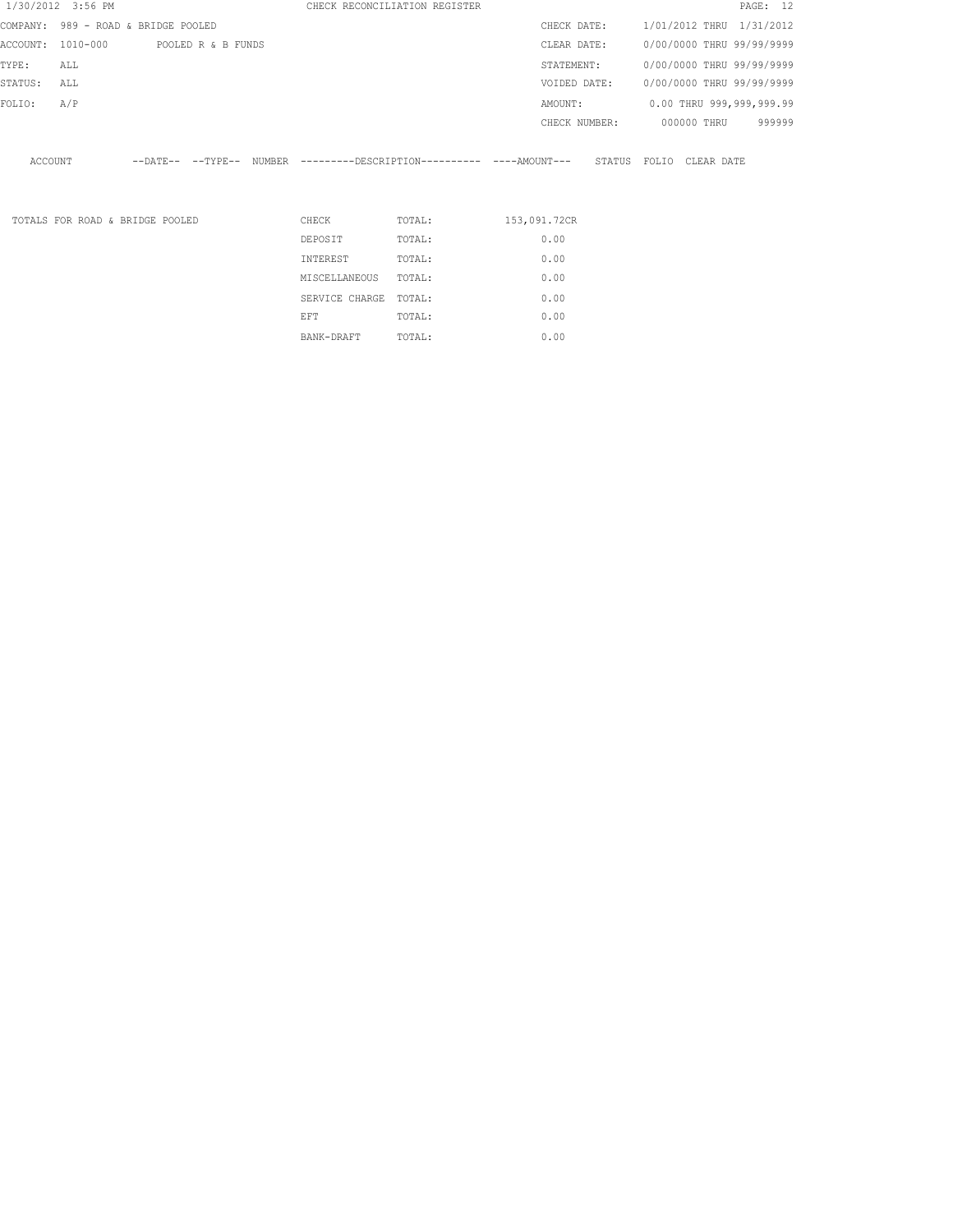|          | 1/30/2012 3:56 PM               |                     |                    |          | CHECK RECONCILIATION REGISTER                       |              |               |        |       |                           | PAGE: 12 |
|----------|---------------------------------|---------------------|--------------------|----------|-----------------------------------------------------|--------------|---------------|--------|-------|---------------------------|----------|
| COMPANY: | 989 - ROAD & BRIDGE POOLED      |                     |                    |          |                                                     |              | CHECK DATE:   |        |       | 1/01/2012 THRU 1/31/2012  |          |
| ACCOUNT: | 1010-000                        |                     | POOLED R & B FUNDS |          |                                                     |              | CLEAR DATE:   |        |       | 0/00/0000 THRU 99/99/9999 |          |
| TYPE:    | ALL                             |                     |                    |          |                                                     |              | STATEMENT:    |        |       | 0/00/0000 THRU 99/99/9999 |          |
| STATUS:  | ALL                             |                     |                    |          |                                                     |              | VOIDED DATE:  |        |       | 0/00/0000 THRU 99/99/9999 |          |
| FOLIO:   | A/P                             |                     |                    |          |                                                     |              | AMOUNT:       |        |       | 0.00 THRU 999,999,999.99  |          |
|          |                                 |                     |                    |          |                                                     |              | CHECK NUMBER: |        |       | 000000 THRU               | 999999   |
| ACCOUNT  |                                 | $---DATE---TYPE---$ |                    |          | NUMBER ---------DESCRIPTION---------- ----AMOUNT--- |              |               | STATUS | FOLIO | CLEAR DATE                |          |
|          | TOTALS FOR ROAD & BRIDGE POOLED |                     |                    | CHECK    | TOTAL:                                              | 153,091.72CR |               |        |       |                           |          |
|          |                                 |                     |                    | DEPOSIT  | TOTAL:                                              |              | 0.00          |        |       |                           |          |
|          |                                 |                     |                    | INTEREST | TOTAL:                                              |              | 0.00          |        |       |                           |          |

MISCELLANEOUS IOIAL.<br>
SERVICE CHARGE TOTAL: 0.00<br>
EFT TOTAL: 0.00 BANK-DRAFT TOTAL: 0.00

MISCELLANEOUS TOTAL: 0.00 SERVICE CHARGE TOTAL: 0.00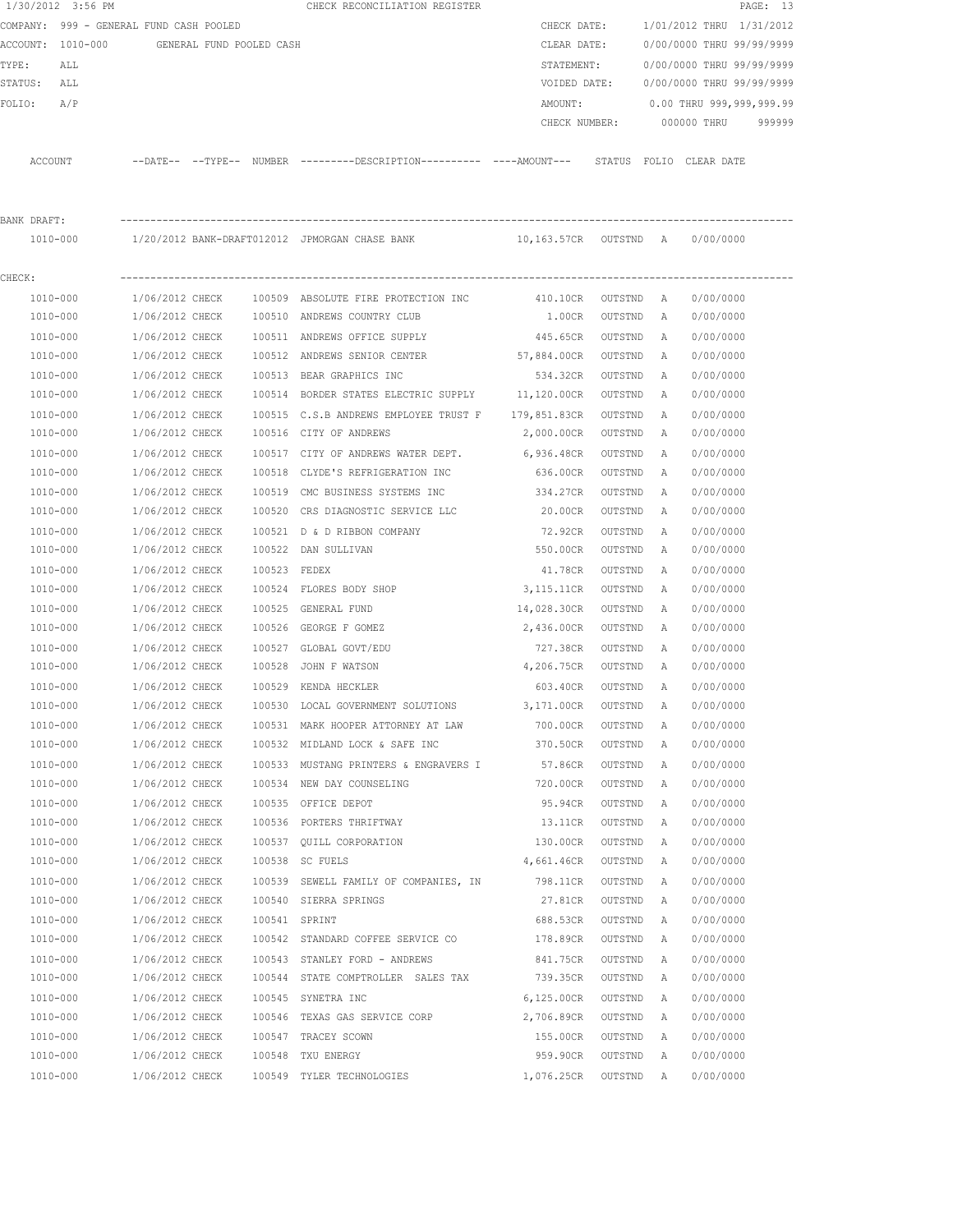|             | 1/30/2012 3:56 PM                       |                 |                          |               | CHECK RECONCILIATION REGISTER                                       |                       |         |              |                           | PAGE: 13 |
|-------------|-----------------------------------------|-----------------|--------------------------|---------------|---------------------------------------------------------------------|-----------------------|---------|--------------|---------------------------|----------|
|             | COMPANY: 999 - GENERAL FUND CASH POOLED |                 |                          |               |                                                                     | CHECK DATE:           |         |              | 1/01/2012 THRU 1/31/2012  |          |
|             | ACCOUNT: 1010-000                       |                 | GENERAL FUND POOLED CASH |               |                                                                     | CLEAR DATE:           |         |              | 0/00/0000 THRU 99/99/9999 |          |
| TYPE:       | ALL                                     |                 |                          |               |                                                                     | STATEMENT:            |         |              | 0/00/0000 THRU 99/99/9999 |          |
| STATUS:     | ALL                                     |                 |                          |               |                                                                     | VOIDED DATE:          |         |              | 0/00/0000 THRU 99/99/9999 |          |
| FOLIO:      | A/P                                     |                 |                          |               |                                                                     | AMOUNT:               |         |              | 0.00 THRU 999,999,999.99  |          |
|             |                                         |                 |                          |               |                                                                     | CHECK NUMBER:         |         |              | 000000 THRU               | 999999   |
|             |                                         |                 |                          |               |                                                                     |                       |         |              |                           |          |
|             | ACCOUNT                                 |                 |                          |               | --DATE-- --TYPE-- NUMBER --------DESCRIPTION--------- ----AMOUNT--- |                       |         |              | STATUS FOLIO CLEAR DATE   |          |
| BANK DRAFT: |                                         |                 |                          |               |                                                                     |                       |         |              |                           |          |
|             | 1010-000                                |                 |                          |               | 1/20/2012 BANK-DRAFT012012 JPMORGAN CHASE BANK                      | 10,163.57CR OUTSTND A |         |              | 0/00/0000                 |          |
| CHECK:      |                                         |                 |                          |               |                                                                     |                       |         |              |                           |          |
|             | 1010-000                                | 1/06/2012 CHECK |                          |               | 100509 ABSOLUTE FIRE PROTECTION INC                                 | 410.10CR              | OUTSTND | A            | 0/00/0000                 |          |
|             | 1010-000                                | 1/06/2012 CHECK |                          |               | 100510 ANDREWS COUNTRY CLUB                                         | 1.00CR                | OUTSTND | A            | 0/00/0000                 |          |
|             | 1010-000                                | 1/06/2012 CHECK |                          |               | 100511 ANDREWS OFFICE SUPPLY                                        | 445.65CR              | OUTSTND | A            | 0/00/0000                 |          |
|             | 1010-000                                | 1/06/2012 CHECK |                          |               | 100512 ANDREWS SENIOR CENTER                                        | 57,884.00CR           | OUTSTND | A            | 0/00/0000                 |          |
|             | 1010-000                                | 1/06/2012 CHECK |                          |               | 100513 BEAR GRAPHICS INC                                            | 534.32CR              | OUTSTND | А            | 0/00/0000                 |          |
|             | 1010-000                                | 1/06/2012 CHECK |                          |               | 100514 BORDER STATES ELECTRIC SUPPLY 11,120.00CR                    |                       | OUTSTND | А            | 0/00/0000                 |          |
|             | 1010-000                                | 1/06/2012 CHECK |                          |               | 100515 C.S.B ANDREWS EMPLOYEE TRUST F 179,851.83CR                  |                       | OUTSTND | Α            | 0/00/0000                 |          |
|             | 1010-000                                | 1/06/2012 CHECK |                          |               | 100516 CITY OF ANDREWS                                              | 2,000.00CR            | OUTSTND | Α            | 0/00/0000                 |          |
|             | 1010-000                                | 1/06/2012 CHECK |                          |               | 100517 CITY OF ANDREWS WATER DEPT.                                  | 6,936.48CR            | OUTSTND | Α            | 0/00/0000                 |          |
|             | 1010-000                                | 1/06/2012 CHECK |                          | 100518        | CLYDE'S REFRIGERATION INC                                           | 636.00CR              | OUTSTND | Α            | 0/00/0000                 |          |
|             | 1010-000                                | 1/06/2012 CHECK |                          | 100519        | CMC BUSINESS SYSTEMS INC                                            | 334.27CR              | OUTSTND | Α            | 0/00/0000                 |          |
|             | 1010-000                                | 1/06/2012 CHECK |                          | 100520        | CRS DIAGNOSTIC SERVICE LLC                                          | 20.00CR               | OUTSTND | Α            | 0/00/0000                 |          |
|             | 1010-000                                | 1/06/2012 CHECK |                          | 100521        | D & D RIBBON COMPANY                                                | 72.92CR               | OUTSTND | Α            | 0/00/0000                 |          |
|             | 1010-000                                | 1/06/2012 CHECK |                          | 100522        | DAN SULLIVAN                                                        | 550.00CR              | OUTSTND | Α            | 0/00/0000                 |          |
|             | 1010-000                                | 1/06/2012 CHECK |                          | 100523        | FEDEX                                                               | 41.78CR               | OUTSTND | A            | 0/00/0000                 |          |
|             | 1010-000                                | 1/06/2012 CHECK |                          |               | 100524 FLORES BODY SHOP                                             | 3, 115.11CR           | OUTSTND | Α            | 0/00/0000                 |          |
|             | 1010-000                                | 1/06/2012 CHECK |                          | 100525        | GENERAL FUND                                                        | 14,028.30CR           | OUTSTND | А            | 0/00/0000                 |          |
|             | 1010-000                                | 1/06/2012 CHECK |                          | 100526        | GEORGE F GOMEZ                                                      | 2,436.00CR            | OUTSTND | Α            | 0/00/0000                 |          |
|             | 1010-000                                | 1/06/2012 CHECK |                          |               | 100527 GLOBAL GOVT/EDU                                              | 727.38CR              | OUTSTND | А            | 0/00/0000                 |          |
|             | 1010-000                                | 1/06/2012 CHECK |                          | 100528        | JOHN F WATSON                                                       | 4,206.75CR            | OUTSTND | A            | 0/00/0000                 |          |
|             | 1010-000                                | 1/06/2012 CHECK |                          |               | 100529 KENDA HECKLER                                                | 603.40CR              | OUTSTND | A            | 0/00/0000                 |          |
|             | 1010-000                                | 1/06/2012 CHECK |                          |               | 100530 LOCAL GOVERNMENT SOLUTIONS                                   | 3,171.00CR            | OUTSTND | A            | 0/00/0000                 |          |
|             | 1010-000                                | 1/06/2012 CHECK |                          |               | 100531 MARK HOOPER ATTORNEY AT LAW                                  | 700.00CR              | OUTSTND | Α            | 0/00/0000                 |          |
|             | 1010-000                                | 1/06/2012 CHECK |                          |               | 100532 MIDLAND LOCK & SAFE INC                                      | 370.50CR              | OUTSTND | Α            | 0/00/0000                 |          |
|             | 1010-000                                | 1/06/2012 CHECK |                          |               | 100533 MUSTANG PRINTERS & ENGRAVERS I                               | 57.86CR               | OUTSTND | $\mathbb{A}$ | 0/00/0000                 |          |
|             | 1010-000                                | 1/06/2012 CHECK |                          |               | 100534 NEW DAY COUNSELING                                           | 720.00CR              | OUTSTND | A            | 0/00/0000                 |          |
|             | 1010-000                                | 1/06/2012 CHECK |                          |               | 100535 OFFICE DEPOT                                                 | 95.94CR               | OUTSTND | $\mathbb{A}$ | 0/00/0000                 |          |
|             | 1010-000                                | 1/06/2012 CHECK |                          |               | 100536 PORTERS THRIFTWAY                                            | 13.11CR               | OUTSTND | Α            | 0/00/0000                 |          |
|             | 1010-000                                | 1/06/2012 CHECK |                          |               | 100537 QUILL CORPORATION                                            | 130.00CR              | OUTSTND | Α            | 0/00/0000                 |          |
|             | 1010-000                                | 1/06/2012 CHECK |                          |               | 100538 SC FUELS                                                     | 4,661.46CR            | OUTSTND | Α            | 0/00/0000                 |          |
|             | $1010 - 000$                            | 1/06/2012 CHECK |                          |               | 100539 SEWELL FAMILY OF COMPANIES, IN                               | 798.11CR              | OUTSTND | Α            | 0/00/0000                 |          |
|             | 1010-000                                | 1/06/2012 CHECK |                          |               | 100540 SIERRA SPRINGS                                               | 27.81CR               | OUTSTND | Α            | 0/00/0000                 |          |
|             | 1010-000                                | 1/06/2012 CHECK |                          | 100541 SPRINT |                                                                     | 688.53CR              | OUTSTND | Α            | 0/00/0000                 |          |
|             | 1010-000                                | 1/06/2012 CHECK |                          |               | 100542 STANDARD COFFEE SERVICE CO                                   | 178.89CR              | OUTSTND | Α            | 0/00/0000                 |          |
|             | 1010-000                                | 1/06/2012 CHECK |                          |               | 100543 STANLEY FORD - ANDREWS                                       | 841.75CR              | OUTSTND | Α            | 0/00/0000                 |          |
|             | 1010-000                                | 1/06/2012 CHECK |                          |               | 100544 STATE COMPTROLLER SALES TAX                                  | 739.35CR              | OUTSTND | Α            | 0/00/0000                 |          |
|             | 1010-000                                | 1/06/2012 CHECK |                          |               | 100545 SYNETRA INC                                                  | 6,125.00CR            | OUTSTND | Α            | 0/00/0000                 |          |
|             | 1010-000                                | 1/06/2012 CHECK |                          |               | 100546 TEXAS GAS SERVICE CORP                                       | 2,706.89CR            | OUTSTND | Α            | 0/00/0000                 |          |
|             | 1010-000                                | 1/06/2012 CHECK |                          |               | 100547 TRACEY SCOWN                                                 | 155.00CR              | OUTSTND | Α            | 0/00/0000                 |          |
|             | 1010-000                                | 1/06/2012 CHECK |                          |               | 100548 TXU ENERGY                                                   | 959.90CR              | OUTSTND | Α            | 0/00/0000                 |          |
|             | 1010-000                                | 1/06/2012 CHECK |                          |               | 100549 TYLER TECHNOLOGIES                                           | 1,076.25CR            | OUTSTND | A            | 0/00/0000                 |          |
|             |                                         |                 |                          |               |                                                                     |                       |         |              |                           |          |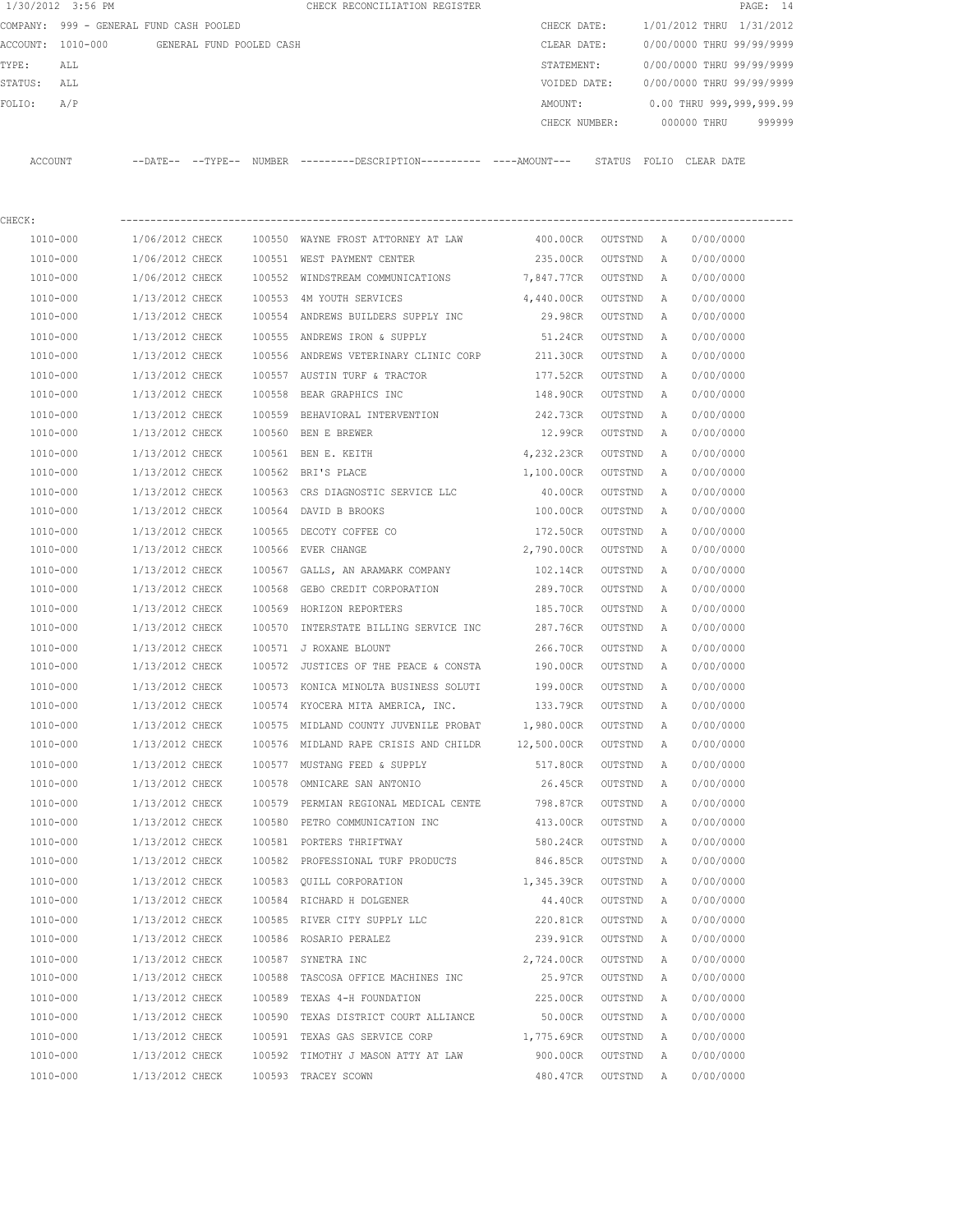|                   | 1/30/2012 3:56 PM                       |                          |        | CHECK RECONCILIATION REGISTER                                                              |              |           |              |                           | PAGE: 14 |
|-------------------|-----------------------------------------|--------------------------|--------|--------------------------------------------------------------------------------------------|--------------|-----------|--------------|---------------------------|----------|
|                   | COMPANY: 999 - GENERAL FUND CASH POOLED |                          |        |                                                                                            | CHECK DATE:  |           |              | 1/01/2012 THRU 1/31/2012  |          |
| ACCOUNT: 1010-000 |                                         | GENERAL FUND POOLED CASH |        |                                                                                            | CLEAR DATE:  |           |              | 0/00/0000 THRU 99/99/9999 |          |
| TYPE:             | ALL                                     |                          |        |                                                                                            | STATEMENT:   |           |              | 0/00/0000 THRU 99/99/9999 |          |
| STATUS:           | ALL                                     |                          |        |                                                                                            | VOIDED DATE: |           |              | 0/00/0000 THRU 99/99/9999 |          |
| FOLIO:            | A/P                                     |                          |        |                                                                                            | AMOUNT:      |           |              | 0.00 THRU 999,999,999.99  |          |
|                   |                                         |                          |        |                                                                                            |              |           |              | CHECK NUMBER: 000000 THRU | 999999   |
|                   |                                         |                          |        |                                                                                            |              |           |              |                           |          |
| ACCOUNT           |                                         |                          |        | --DATE-- --TYPE-- NUMBER --------DESCRIPTION---------- ---AMOUNT--- STATUS FOLIO CLEARDATE |              |           |              |                           |          |
|                   |                                         |                          |        |                                                                                            |              |           |              |                           |          |
|                   |                                         |                          |        |                                                                                            |              |           |              |                           |          |
| CHECK:            |                                         |                          |        |                                                                                            |              |           |              |                           |          |
| 1010-000          |                                         | 1/06/2012 CHECK          |        | 100550 WAYNE FROST ATTORNEY AT LAW                                                         | 400.00CR     | OUTSTND A |              | 0/00/0000                 |          |
| 1010-000          |                                         | 1/06/2012 CHECK          |        | 100551 WEST PAYMENT CENTER                                                                 | 235.00CR     | OUTSTND   | A            | 0/00/0000                 |          |
| 1010-000          |                                         | 1/06/2012 CHECK          |        | 100552 WINDSTREAM COMMUNICATIONS 7,847.77CR                                                |              | OUTSTND   | A            | 0/00/0000                 |          |
| 1010-000          |                                         | 1/13/2012 CHECK          | 100553 | 4M YOUTH SERVICES                                                                          | 4,440.00CR   | OUTSTND   | A            | 0/00/0000                 |          |
| 1010-000          |                                         | 1/13/2012 CHECK          |        | 100554 ANDREWS BUILDERS SUPPLY INC                                                         | 29.98CR      | OUTSTND   | $\mathbb{A}$ | 0/00/0000                 |          |
| 1010-000          |                                         | 1/13/2012 CHECK          |        | 100555 ANDREWS IRON & SUPPLY                                                               | 51.24CR      | OUTSTND   | $\mathbb{A}$ | 0/00/0000                 |          |
| 1010-000          |                                         | 1/13/2012 CHECK          |        | 100556 ANDREWS VETERINARY CLINIC CORP                                                      | 211.30CR     | OUTSTND   | A            | 0/00/0000                 |          |
| 1010-000          |                                         | 1/13/2012 CHECK          |        | 100557 AUSTIN TURF & TRACTOR                                                               | 177.52CR     | OUTSTND   | A            | 0/00/0000                 |          |
| 1010-000          |                                         | 1/13/2012 CHECK          | 100558 | BEAR GRAPHICS INC                                                                          | 148.90CR     | OUTSTND   | A            | 0/00/0000                 |          |
| 1010-000          |                                         | 1/13/2012 CHECK          | 100559 | BEHAVIORAL INTERVENTION                                                                    | 242.73CR     | OUTSTND   | A            | 0/00/0000                 |          |
| 1010-000          |                                         | 1/13/2012 CHECK          |        | 100560 BEN E BREWER                                                                        | 12.99CR      | OUTSTND   | A            | 0/00/0000                 |          |
| 1010-000          |                                         | 1/13/2012 CHECK          |        | 100561 BEN E. KEITH                                                                        | 4,232.23CR   | OUTSTND   | $\mathbb{A}$ | 0/00/0000                 |          |
| 1010-000          |                                         | 1/13/2012 CHECK          |        | 100562 BRI'S PLACE                                                                         | 1,100.00CR   | OUTSTND   | A            | 0/00/0000                 |          |
| 1010-000          |                                         | 1/13/2012 CHECK          |        | 100563 CRS DIAGNOSTIC SERVICE LLC                                                          | 40.00CR      | OUTSTND   | A            | 0/00/0000                 |          |
| 1010-000          |                                         | 1/13/2012 CHECK          |        | 100564 DAVID B BROOKS                                                                      | 100.00CR     | OUTSTND   | A            | 0/00/0000                 |          |
| 1010-000          |                                         | 1/13/2012 CHECK          |        | 100565 DECOTY COFFEE CO                                                                    | 172.50CR     | OUTSTND   | $\mathbb{A}$ | 0/00/0000                 |          |
| 1010-000          |                                         | 1/13/2012 CHECK          |        | 100566 EVER CHANGE                                                                         | 2,790.00CR   | OUTSTND   | A            | 0/00/0000                 |          |

 1010-000 1/13/2012 CHECK 100567 GALLS, AN ARAMARK COMPANY 102.14CR OUTSTND A 0/00/0000 1010-000 1/13/2012 CHECK 100568 GEBO CREDIT CORPORATION 289.70CR OUTSTND A 0/00/0000 1010-000 1/13/2012 CHECK 100569 HORIZON REPORTERS 185.70CR OUTSTND A 0/00/0000 1010-000 1/13/2012 CHECK 100570 INTERSTATE BILLING SERVICE INC 287.76CR OUTSTND A 0/00/0000 1010-000 1/13/2012 CHECK 100571 J ROXANE BLOUNT 266.70CR OUTSTND A 0/00/0000 1010-000 1/13/2012 CHECK 100572 JUSTICES OF THE PEACE & CONSTA 190.00CR OUTSTND A 0/00/0000 1010-000 1/13/2012 CHECK 100573 KONICA MINOLTA BUSINESS SOLUTI 199.00CR OUTSTND A 0/00/0000 1010-000 1/13/2012 CHECK 100574 KYOCERA MITA AMERICA, INC. 133.79CR OUTSTND A 0/00/0000 1010-000 1/13/2012 CHECK 100575 MIDLAND COUNTY JUVENILE PROBAT 1,980.00CR OUTSTND A 0/00/0000 1010-000 1/13/2012 CHECK 100576 MIDLAND RAPE CRISIS AND CHILDR 12,500.00CR OUTSTND A 0/00/0000 1010-000 1/13/2012 CHECK 100577 MUSTANG FEED & SUPPLY 517.80CR OUTSTND A 0/00/0000 1010-000 1/13/2012 CHECK 100578 OMNICARE SAN ANTONIO 26.45CR OUTSTND A 0/00/0000 1010-000 1/13/2012 CHECK 100579 PERMIAN REGIONAL MEDICAL CENTE 798.87CR OUTSTND A 0/00/0000 1010-000 1/13/2012 CHECK 100580 PETRO COMMUNICATION INC 413.00CR OUTSTND A 0/00/0000 1010-000 1/13/2012 CHECK 100581 PORTERS THRIFTWAY 580.24CR OUTSTND A 0/00/0000 1010-000 1/13/2012 CHECK 100582 PROFESSIONAL TURF PRODUCTS 846.85CR OUTSTND A 0/00/0000 1010-000 1/13/2012 CHECK 100583 QUILL CORPORATION 1,345.39CR OUTSTND A 0/00/0000 1010-000 1/13/2012 CHECK 100584 RICHARD H DOLGENER 44.40CR OUTSTND A 0/00/0000 1010-000 1/13/2012 CHECK 100585 RIVER CITY SUPPLY LLC 220.81CR OUTSTND A 0/00/0000 1010-000 1/13/2012 CHECK 100586 ROSARIO PERALEZ 239.91CR OUTSTND A 0/00/0000 1010-000 1/13/2012 CHECK 100587 SYNETRA INC 2,724.00CR OUTSTND A 0/00/0000 1010-000 1/13/2012 CHECK 100588 TASCOSA OFFICE MACHINES INC 25.97CR OUTSTND A 0/00/0000 1010-000 1/13/2012 CHECK 100589 TEXAS 4-H FOUNDATION 225.00CR OUTSTND A 0/00/0000 1010-000 1/13/2012 CHECK 100590 TEXAS DISTRICT COURT ALLIANCE 50.00CR OUTSTND A 0/00/0000 1010-000 1/13/2012 CHECK 100591 TEXAS GAS SERVICE CORP 1,775.69CR OUTSTND A 0/00/0000 1010-000 1/13/2012 CHECK 100592 TIMOTHY J MASON ATTY AT LAW 900.00CR OUTSTND A 0/00/0000 1010-000 1/13/2012 CHECK 100593 TRACEY SCOWN 480.47CR OUTSTND A 0/00/0000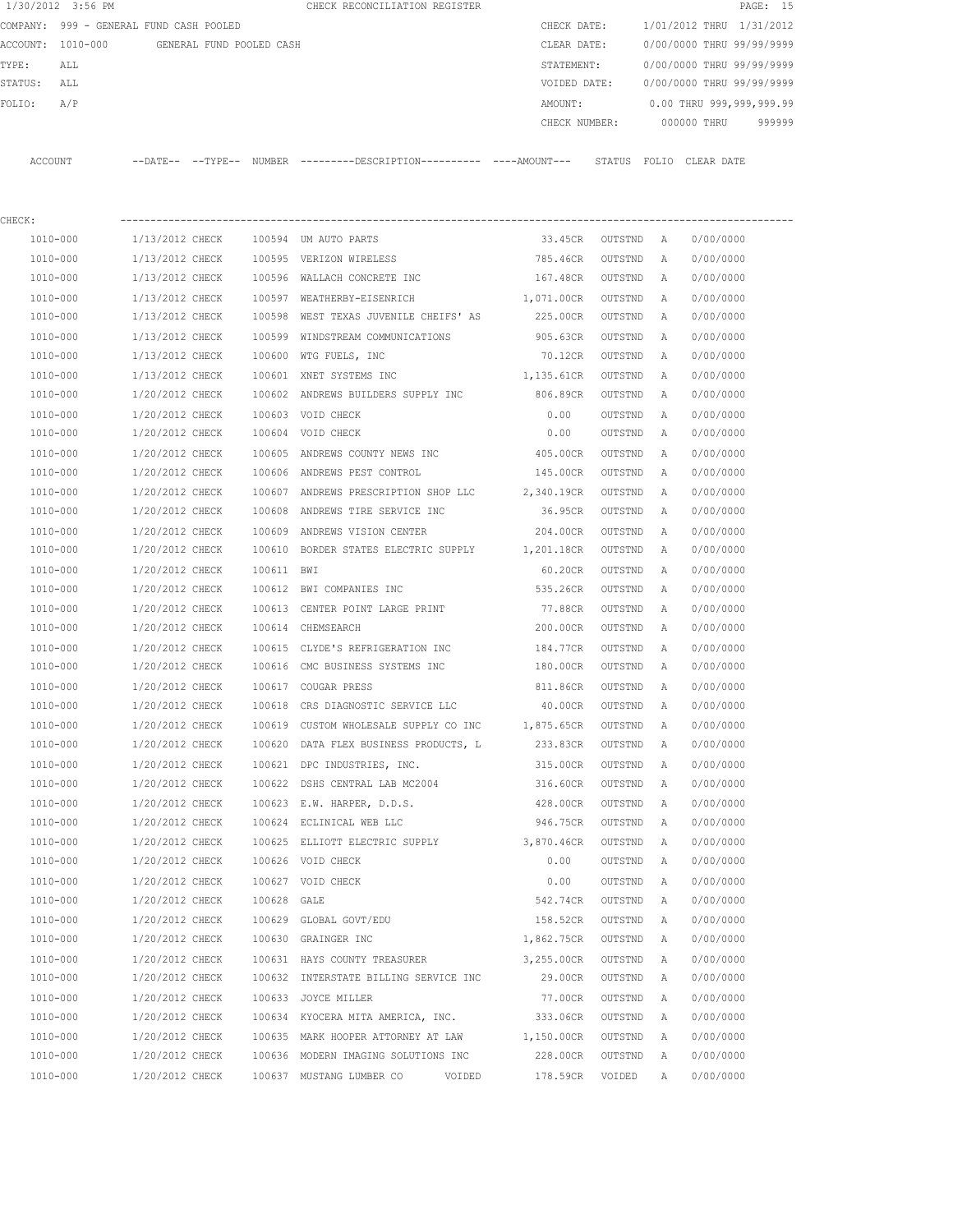|         | 1/30/2012 3:56 PM                       |                 |                          |             | CHECK RECONCILIATION REGISTER                                                                 |               |                    |        |                           | PAGE: 15 |
|---------|-----------------------------------------|-----------------|--------------------------|-------------|-----------------------------------------------------------------------------------------------|---------------|--------------------|--------|---------------------------|----------|
|         | COMPANY: 999 - GENERAL FUND CASH POOLED |                 |                          |             |                                                                                               | CHECK DATE:   |                    |        | 1/01/2012 THRU 1/31/2012  |          |
|         | ACCOUNT: 1010-000                       |                 | GENERAL FUND POOLED CASH |             |                                                                                               | CLEAR DATE:   |                    |        | 0/00/0000 THRU 99/99/9999 |          |
| TYPE:   | ALL                                     |                 |                          |             |                                                                                               | STATEMENT:    |                    |        | 0/00/0000 THRU 99/99/9999 |          |
| STATUS: | ALL                                     |                 |                          |             |                                                                                               | VOIDED DATE:  |                    |        | 0/00/0000 THRU 99/99/9999 |          |
| FOLIO:  | A/P                                     |                 |                          |             |                                                                                               | AMOUNT:       |                    |        | 0.00 THRU 999,999,999.99  |          |
|         |                                         |                 |                          |             |                                                                                               | CHECK NUMBER: |                    |        | 000000 THRU               | 999999   |
|         | ACCOUNT                                 |                 |                          |             | --DATE-- --TYPE-- NUMBER ---------DESCRIPTION---------- ----AMOUNT--- STATUS FOLIO CLEAR DATE |               |                    |        |                           |          |
| CHECK:  |                                         |                 |                          |             |                                                                                               |               |                    |        |                           |          |
|         | 1010-000                                | 1/13/2012 CHECK |                          |             | 100594 UM AUTO PARTS                                                                          | 33.45CR       | OUTSTND A          |        | 0/00/0000                 |          |
|         | 1010-000                                | 1/13/2012 CHECK |                          |             | 100595 VERIZON WIRELESS                                                                       | 785.46CR      | OUTSTND            | A      | 0/00/0000                 |          |
|         | 1010-000                                | 1/13/2012 CHECK |                          |             | 100596 WALLACH CONCRETE INC                                                                   | 167.48CR      | OUTSTND            | A      | 0/00/0000                 |          |
|         | 1010-000                                | 1/13/2012 CHECK |                          |             | 100597 WEATHERBY-EISENRICH                                                                    | 1,071.00CR    | OUTSTND            | Α      | 0/00/0000                 |          |
|         | 1010-000                                | 1/13/2012 CHECK |                          |             | 100598 WEST TEXAS JUVENILE CHEIFS' AS                                                         | 225.00CR      | OUTSTND            | Α      | 0/00/0000                 |          |
|         | 1010-000                                | 1/13/2012 CHECK |                          |             | 100599 WINDSTREAM COMMUNICATIONS                                                              | 905.63CR      | OUTSTND            | A      | 0/00/0000                 |          |
|         | 1010-000                                | 1/13/2012 CHECK |                          |             | 100600 WTG FUELS, INC                                                                         | 70.12CR       | OUTSTND            | Α      | 0/00/0000                 |          |
|         | 1010-000                                | 1/13/2012 CHECK |                          |             | 100601 XNET SYSTEMS INC                                                                       | 1,135.61CR    | OUTSTND            | A      | 0/00/0000                 |          |
|         | 1010-000                                | 1/20/2012 CHECK |                          |             | 100602 ANDREWS BUILDERS SUPPLY INC                                                            | 806.89CR      | OUTSTND            | A      | 0/00/0000                 |          |
|         | 1010-000                                | 1/20/2012 CHECK |                          |             | 100603 VOID CHECK                                                                             | 0.00          | OUTSTND            | Α      | 0/00/0000                 |          |
|         | 1010-000                                | 1/20/2012 CHECK |                          |             | 100604 VOID CHECK                                                                             | 0.00          | OUTSTND            | A      | 0/00/0000                 |          |
|         | 1010-000                                | 1/20/2012 CHECK |                          | 100605      | ANDREWS COUNTY NEWS INC                                                                       | 405.00CR      | OUTSTND            | Α      | 0/00/0000                 |          |
|         | 1010-000                                | 1/20/2012 CHECK |                          |             | 100606 ANDREWS PEST CONTROL                                                                   | 145.00CR      | OUTSTND            | Α      | 0/00/0000                 |          |
|         | 1010-000                                | 1/20/2012 CHECK |                          |             | 100607 ANDREWS PRESCRIPTION SHOP LLC                                                          | 2,340.19CR    | OUTSTND            | Α      | 0/00/0000                 |          |
|         | 1010-000                                | 1/20/2012 CHECK |                          |             | 100608 ANDREWS TIRE SERVICE INC                                                               | 36.95CR       | OUTSTND            | Α      | 0/00/0000                 |          |
|         | 1010-000                                | 1/20/2012 CHECK |                          |             | 100609 ANDREWS VISION CENTER                                                                  | 204.00CR      |                    |        | 0/00/0000                 |          |
|         | 1010-000                                | 1/20/2012 CHECK |                          |             | 100610 BORDER STATES ELECTRIC SUPPLY                                                          | 1,201.18CR    | OUTSTND<br>OUTSTND | Α<br>Α | 0/00/0000                 |          |
|         |                                         |                 |                          |             |                                                                                               |               |                    |        |                           |          |
|         | 1010-000                                | 1/20/2012 CHECK |                          | 100611 BWI  |                                                                                               | 60.20CR       | OUTSTND            | Α      | 0/00/0000                 |          |
|         | 1010-000                                | 1/20/2012 CHECK |                          |             | 100612 BWI COMPANIES INC                                                                      | 535.26CR      | OUTSTND            | A      | 0/00/0000                 |          |
|         | 1010-000                                | 1/20/2012 CHECK |                          |             | 100613 CENTER POINT LARGE PRINT                                                               | 77.88CR       | OUTSTND            | A      | 0/00/0000                 |          |
|         | 1010-000                                | 1/20/2012 CHECK |                          |             | 100614 CHEMSEARCH                                                                             | 200.00CR      | OUTSTND            | Α      | 0/00/0000                 |          |
|         | 1010-000                                | 1/20/2012 CHECK |                          | 100615      | CLYDE'S REFRIGERATION INC                                                                     | 184.77CR      | OUTSTND            | Α      | 0/00/0000                 |          |
|         | 1010-000                                | 1/20/2012 CHECK |                          |             | 100616 CMC BUSINESS SYSTEMS INC                                                               | 180.00CR      | OUTSTND            | Α      | 0/00/0000                 |          |
|         | 1010-000                                | 1/20/2012 CHECK |                          |             | 100617 COUGAR PRESS                                                                           | 811.86CR      | OUTSTND            | A      | 0/00/0000                 |          |
|         | 1010-000                                | 1/20/2012 CHECK |                          |             | 100618 CRS DIAGNOSTIC SERVICE LLC                                                             | 40.00CR       | OUTSTND            | A      | 0/00/0000                 |          |
|         | 1010-000                                | 1/20/2012 CHECK |                          |             | 100619 CUSTOM WHOLESALE SUPPLY CO INC                                                         | 1,875.65CR    | OUTSTND            | Α      | 0/00/0000                 |          |
|         | 1010-000                                | 1/20/2012 CHECK |                          |             | 100620 DATA FLEX BUSINESS PRODUCTS, L                                                         | 233.83CR      | OUTSTND            | Α      | 0/00/0000                 |          |
|         | 1010-000                                | 1/20/2012 CHECK |                          |             | 100621 DPC INDUSTRIES, INC.                                                                   | 315.00CR      | OUTSTND            | Α      | 0/00/0000                 |          |
|         | 1010-000                                | 1/20/2012 CHECK |                          |             | 100622 DSHS CENTRAL LAB MC2004                                                                | 316.60CR      | OUTSTND            | Α      | 0/00/0000                 |          |
|         | 1010-000                                | 1/20/2012 CHECK |                          |             | 100623 E.W. HARPER, D.D.S.                                                                    | 428.00CR      | OUTSTND            | Α      | 0/00/0000                 |          |
|         | 1010-000                                | 1/20/2012 CHECK |                          |             | 100624 ECLINICAL WEB LLC                                                                      | 946.75CR      | OUTSTND            | Α      | 0/00/0000                 |          |
|         | $1010 - 000$                            | 1/20/2012 CHECK |                          |             | 100625 ELLIOTT ELECTRIC SUPPLY                                                                | 3,870.46CR    | OUTSTND            | Α      | 0/00/0000                 |          |
|         | 1010-000                                | 1/20/2012 CHECK |                          |             | 100626 VOID CHECK                                                                             | 0.00          | OUTSTND            | Α      | 0/00/0000                 |          |
|         | 1010-000                                | 1/20/2012 CHECK |                          |             | 100627 VOID CHECK                                                                             | 0.00          | OUTSTND            | Α      | 0/00/0000                 |          |
|         | $1010 - 000$                            | 1/20/2012 CHECK |                          | 100628 GALE |                                                                                               | 542.74CR      | OUTSTND            | Α      | 0/00/0000                 |          |
|         | 1010-000                                | 1/20/2012 CHECK |                          |             | 100629 GLOBAL GOVT/EDU                                                                        | 158.52CR      | OUTSTND            | Α      | 0/00/0000                 |          |
|         | 1010-000                                | 1/20/2012 CHECK |                          |             | 100630 GRAINGER INC                                                                           | 1,862.75CR    | OUTSTND            | Α      | 0/00/0000                 |          |
|         | 1010-000                                | 1/20/2012 CHECK |                          |             | 100631 HAYS COUNTY TREASURER                                                                  | 3,255.00CR    | OUTSTND            | Α      | 0/00/0000                 |          |
|         | 1010-000                                | 1/20/2012 CHECK |                          |             | 100632 INTERSTATE BILLING SERVICE INC                                                         | 29.00CR       | OUTSTND            | Α      | 0/00/0000                 |          |
|         | 1010-000                                | 1/20/2012 CHECK |                          |             | 100633 JOYCE MILLER                                                                           | 77.00CR       | OUTSTND            | A      | 0/00/0000                 |          |
|         | 1010-000                                | 1/20/2012 CHECK |                          |             | 100634 KYOCERA MITA AMERICA, INC.                                                             | 333.06CR      | OUTSTND            | Α      | 0/00/0000                 |          |
|         | 1010-000                                | 1/20/2012 CHECK |                          |             | 100635 MARK HOOPER ATTORNEY AT LAW                                                            | 1,150.00CR    | OUTSTND            | Α      | 0/00/0000                 |          |
|         | 1010-000                                | 1/20/2012 CHECK |                          |             | 100636 MODERN IMAGING SOLUTIONS INC                                                           | 228.00CR      | OUTSTND            | Α      | 0/00/0000                 |          |

1010-000 1/20/2012 CHECK 100637 MUSTANG LUMBER CO VOIDED 178.59CR VOIDED A 0/00/0000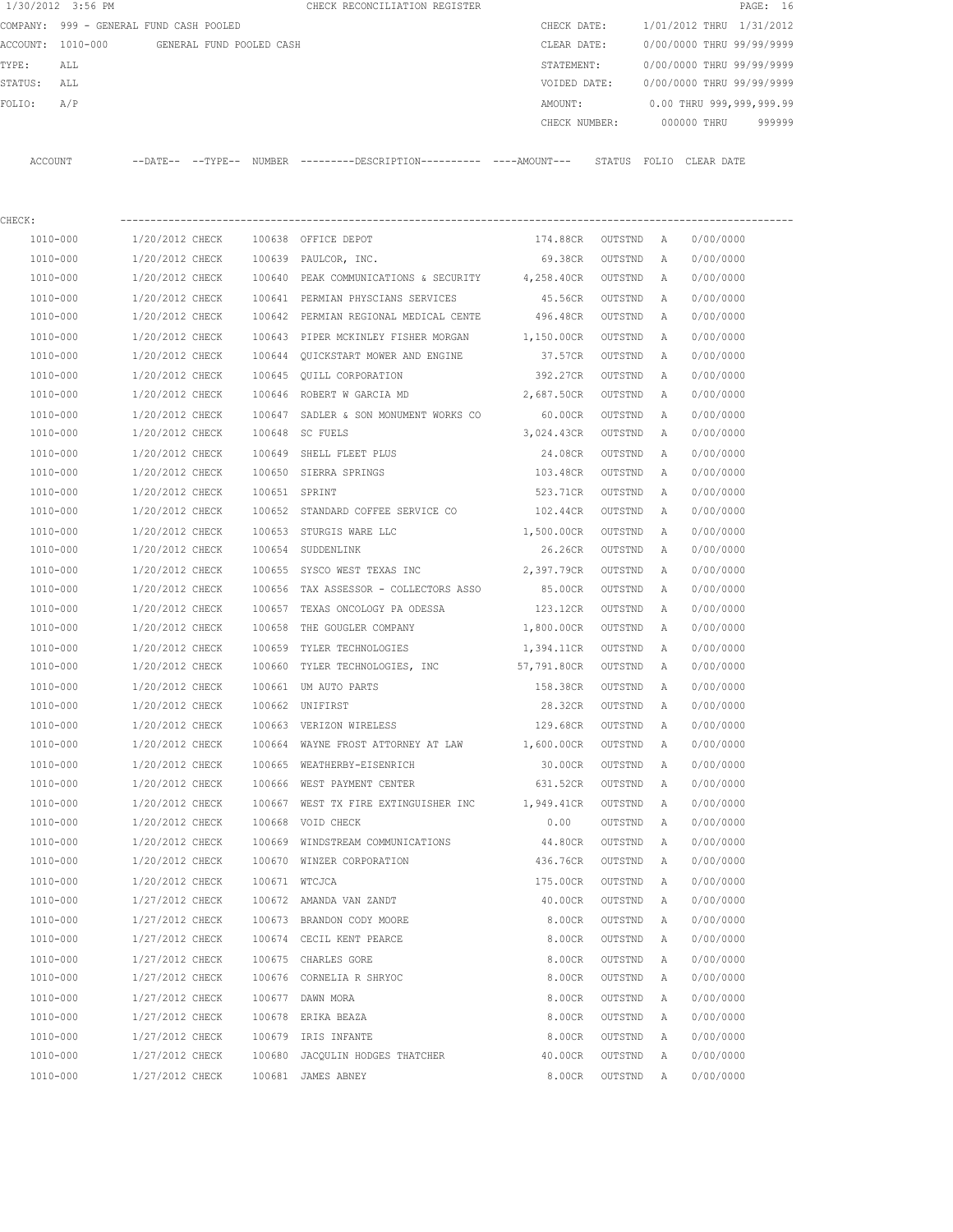|         | 1/30/2012 3:56 PM                       |                   |                          | CHECK RECONCILIATION REGISTER |  |               |        |                           |            | PAGE: 16 |        |
|---------|-----------------------------------------|-------------------|--------------------------|-------------------------------|--|---------------|--------|---------------------------|------------|----------|--------|
|         | COMPANY: 999 - GENERAL FUND CASH POOLED |                   |                          |                               |  | CHECK DATE:   |        | 1/01/2012 THRU 1/31/2012  |            |          |        |
|         | ACCOUNT: 1010-000                       |                   | GENERAL FUND POOLED CASH |                               |  | CLEAR DATE:   |        | 0/00/0000 THRU 99/99/9999 |            |          |        |
| TYPE:   | ALL                                     |                   |                          |                               |  | STATEMENT:    |        | 0/00/0000 THRU 99/99/9999 |            |          |        |
| STATUS: | ALL                                     |                   |                          |                               |  | VOIDED DATE:  |        | 0/00/0000 THRU 99/99/9999 |            |          |        |
| FOLTO:  | A/P                                     |                   |                          |                               |  | AMOUNT:       |        | 0.00 THRU 999,999,999.99  |            |          |        |
|         |                                         |                   |                          |                               |  | CHECK NUMBER: |        | 000000 THRU               |            |          | 999999 |
|         |                                         |                   |                          |                               |  |               |        |                           |            |          |        |
| ACCOUNT |                                         | --DATE-- --TYPE-- | NUMBER                   |                               |  |               | STATUS | FOLIO                     | CLEAR DATE |          |        |

| CHECK:   |                 |        |                                                  |            |         |   |           |
|----------|-----------------|--------|--------------------------------------------------|------------|---------|---|-----------|
| 1010-000 | 1/20/2012 CHECK |        | 100638 OFFICE DEPOT                              | 174.88CR   | OUTSTND | A | 0/00/0000 |
| 1010-000 | 1/20/2012 CHECK |        | 100639 PAULCOR, INC.                             | 69.38CR    | OUTSTND | A | 0/00/0000 |
| 1010-000 | 1/20/2012 CHECK |        | 100640 PEAK COMMUNICATIONS & SECURITY 4,258.40CR |            | OUTSTND | Α | 0/00/0000 |
| 1010-000 | 1/20/2012 CHECK |        | 100641 PERMIAN PHYSCIANS SERVICES                | 45.56CR    | OUTSTND | Α | 0/00/0000 |
| 1010-000 | 1/20/2012 CHECK |        | 100642 PERMIAN REGIONAL MEDICAL CENTE            | 496.48CR   | OUTSTND | Α | 0/00/0000 |
| 1010-000 | 1/20/2012 CHECK |        | 100643 PIPER MCKINLEY FISHER MORGAN              | 1,150.00CR | OUTSTND | Α | 0/00/0000 |
| 1010-000 | 1/20/2012 CHECK |        | 100644 QUICKSTART MOWER AND ENGINE               | 37.57CR    | OUTSTND | Α | 0/00/0000 |
| 1010-000 | 1/20/2012 CHECK |        | 100645 OUILL CORPORATION                         | 392.27CR   | OUTSTND | A | 0/00/0000 |
| 1010-000 | 1/20/2012 CHECK |        | 100646 ROBERT W GARCIA MD                        | 2,687.50CR | OUTSTND | Α | 0/00/0000 |
| 1010-000 | 1/20/2012 CHECK |        | 100647 SADLER & SON MONUMENT WORKS CO            | 60.00CR    | OUTSTND | A | 0/00/0000 |
| 1010-000 | 1/20/2012 CHECK |        | 100648 SC FUELS                                  | 3,024.43CR | OUTSTND | Α | 0/00/0000 |
| 1010-000 | 1/20/2012 CHECK | 100649 | SHELL FLEET PLUS                                 | 24.08CR    | OUTSTND | Α | 0/00/0000 |
| 1010-000 | 1/20/2012 CHECK |        | 100650 SIERRA SPRINGS                            | 103.48CR   | OUTSTND | Α | 0/00/0000 |
| 1010-000 | 1/20/2012 CHECK |        | 100651 SPRINT                                    | 523.71CR   | OUTSTND | Α | 0/00/0000 |
| 1010-000 | 1/20/2012 CHECK |        | 100652 STANDARD COFFEE SERVICE CO 102.44CR       |            | OUTSTND | Α | 0/00/0000 |
| 1010-000 | 1/20/2012 CHECK |        | 100653 STURGIS WARE LLC                          | 1,500.00CR | OUTSTND | Α | 0/00/0000 |
| 1010-000 | 1/20/2012 CHECK |        | 100654 SUDDENLINK                                | 26.26CR    | OUTSTND | A | 0/00/0000 |
| 1010-000 | 1/20/2012 CHECK |        | 100655 SYSCO WEST TEXAS INC                      | 2,397.79CR | OUTSTND | Α | 0/00/0000 |
| 1010-000 | 1/20/2012 CHECK |        | 100656 TAX ASSESSOR - COLLECTORS ASSO            | 85.00CR    | OUTSTND | Α | 0/00/0000 |
| 1010-000 | 1/20/2012 CHECK |        | 100657 TEXAS ONCOLOGY PA ODESSA                  | 123.12CR   | OUTSTND | Α | 0/00/0000 |
| 1010-000 | 1/20/2012 CHECK | 100658 | THE GOUGLER COMPANY                              | 1,800.00CR | OUTSTND | Α | 0/00/0000 |
| 1010-000 | 1/20/2012 CHECK | 100659 | TYLER TECHNOLOGIES                               | 1,394.11CR | OUTSTND | Α | 0/00/0000 |
| 1010-000 | 1/20/2012 CHECK | 100660 | TYLER TECHNOLOGIES, INC 57,791.80CR              |            | OUTSTND | A | 0/00/0000 |
| 1010-000 | 1/20/2012 CHECK |        | 100661 UM AUTO PARTS                             | 158.38CR   | OUTSTND | Α | 0/00/0000 |
| 1010-000 | 1/20/2012 CHECK |        | 100662 UNIFIRST                                  | 28.32CR    | OUTSTND | Α | 0/00/0000 |
| 1010-000 | 1/20/2012 CHECK |        | 100663 VERIZON WIRELESS                          | 129.68CR   | OUTSTND | Α | 0/00/0000 |
| 1010-000 | 1/20/2012 CHECK |        | 100664 WAYNE FROST ATTORNEY AT LAW 1,600.00CR    |            | OUTSTND | Α | 0/00/0000 |
| 1010-000 | 1/20/2012 CHECK | 100665 | WEATHERBY-EISENRICH                              | 30.00CR    | OUTSTND | Α | 0/00/0000 |
| 1010-000 | 1/20/2012 CHECK |        | 100666 WEST PAYMENT CENTER                       | 631.52CR   | OUTSTND | Α | 0/00/0000 |
| 1010-000 | 1/20/2012 CHECK |        | 100667 WEST TX FIRE EXTINGUISHER INC             | 1,949.41CR | OUTSTND | Α | 0/00/0000 |
| 1010-000 | 1/20/2012 CHECK |        | 100668 VOID CHECK                                | 0.00       | OUTSTND | Α | 0/00/0000 |
| 1010-000 | 1/20/2012 CHECK |        | 100669 WINDSTREAM COMMUNICATIONS                 | 44.80CR    | OUTSTND | Α | 0/00/0000 |
| 1010-000 | 1/20/2012 CHECK |        | 100670 WINZER CORPORATION                        | 436.76CR   | OUTSTND | A | 0/00/0000 |
| 1010-000 | 1/20/2012 CHECK |        | 100671 WTCJCA                                    | 175.00CR   | OUTSTND | A | 0/00/0000 |
| 1010-000 | 1/27/2012 CHECK |        | 100672 AMANDA VAN ZANDT                          | 40.00CR    | OUTSTND | A | 0/00/0000 |
| 1010-000 | 1/27/2012 CHECK |        | 100673 BRANDON CODY MOORE                        | 8.00CR     | OUTSTND | Α | 0/00/0000 |
| 1010-000 | 1/27/2012 CHECK |        | 100674 CECIL KENT PEARCE                         | 8.00CR     | OUTSTND | Α | 0/00/0000 |
| 1010-000 | 1/27/2012 CHECK |        | 100675 CHARLES GORE                              | 8.00CR     | OUTSTND | Α | 0/00/0000 |
| 1010-000 | 1/27/2012 CHECK |        | 100676 CORNELIA R SHRYOC                         | 8.00CR     | OUTSTND | Α | 0/00/0000 |
| 1010-000 | 1/27/2012 CHECK | 100677 | DAWN MORA                                        | 8.00CR     | OUTSTND | Α | 0/00/0000 |
| 1010-000 | 1/27/2012 CHECK |        | 100678 ERIKA BEAZA                               | 8.00CR     | OUTSTND | Α | 0/00/0000 |
| 1010-000 | 1/27/2012 CHECK | 100679 | IRIS INFANTE                                     | 8.00CR     | OUTSTND | Α | 0/00/0000 |
| 1010-000 | 1/27/2012 CHECK | 100680 | JACQULIN HODGES THATCHER                         | 40.00CR    | OUTSTND | Α | 0/00/0000 |
| 1010-000 | 1/27/2012 CHECK |        | 100681 JAMES ABNEY                               | 8.00CR     | OUTSTND | Α | 0/00/0000 |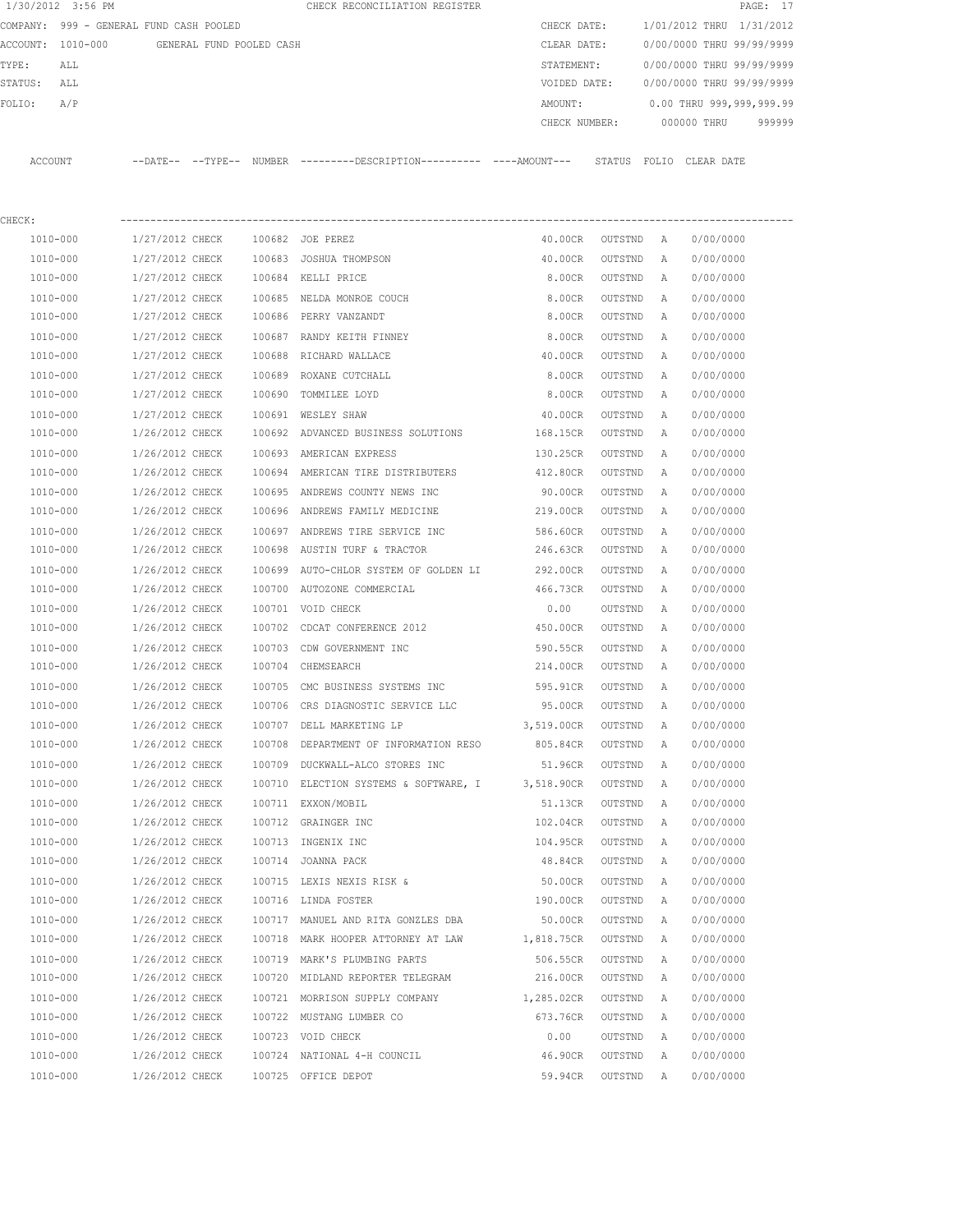|         | 1/30/2012 3:56 PM                       |                 |                          |        | CHECK RECONCILIATION REGISTER                                                               |               |         |   |                           | PAGE: 17 |
|---------|-----------------------------------------|-----------------|--------------------------|--------|---------------------------------------------------------------------------------------------|---------------|---------|---|---------------------------|----------|
|         | COMPANY: 999 - GENERAL FUND CASH POOLED |                 |                          |        |                                                                                             | CHECK DATE:   |         |   | 1/01/2012 THRU 1/31/2012  |          |
|         | ACCOUNT: 1010-000                       |                 | GENERAL FUND POOLED CASH |        |                                                                                             | CLEAR DATE:   |         |   | 0/00/0000 THRU 99/99/9999 |          |
| TYPE:   | ALL                                     |                 |                          |        |                                                                                             | STATEMENT:    |         |   | 0/00/0000 THRU 99/99/9999 |          |
| STATUS: | ALL                                     |                 |                          |        |                                                                                             | VOIDED DATE:  |         |   | 0/00/0000 THRU 99/99/9999 |          |
| FOLIO:  | A/P                                     |                 |                          |        |                                                                                             | AMOUNT:       |         |   | 0.00 THRU 999,999,999.99  |          |
|         |                                         |                 |                          |        |                                                                                             | CHECK NUMBER: |         |   | 000000 THRU               | 999999   |
|         | ACCOUNT                                 |                 |                          |        | --DATE-- --TYPE-- NUMBER --------DESCRIPTION---------- ---AMOUNT--- STATUS FOLIO CLEAR DATE |               |         |   |                           |          |
| CHECK:  |                                         |                 |                          |        |                                                                                             |               |         |   |                           |          |
|         | 1010-000                                | 1/27/2012 CHECK |                          |        | 100682 JOE PEREZ                                                                            | 40.00CR       | OUTSTND | A | 0/00/0000                 |          |
|         | 1010-000                                | 1/27/2012 CHECK |                          |        | 100683 JOSHUA THOMPSON                                                                      | 40.00CR       | OUTSTND | Α | 0/00/0000                 |          |
|         | 1010-000                                | 1/27/2012 CHECK |                          |        | 100684 KELLI PRICE                                                                          | 8.00CR        | OUTSTND | Α | 0/00/0000                 |          |
|         | 1010-000                                | 1/27/2012 CHECK |                          |        | 100685 NELDA MONROE COUCH                                                                   | 8.00CR        | OUTSTND | Α | 0/00/0000                 |          |
|         | 1010-000                                | 1/27/2012 CHECK |                          |        | 100686 PERRY VANZANDT                                                                       | 8.00CR        | OUTSTND | Α | 0/00/0000                 |          |
|         | 1010-000                                | 1/27/2012 CHECK |                          |        | 100687 RANDY KEITH FINNEY                                                                   | 8.00CR        | OUTSTND | A | 0/00/0000                 |          |
|         | 1010-000                                | 1/27/2012 CHECK |                          |        | 100688 RICHARD WALLACE                                                                      | 40.00CR       | OUTSTND | Α | 0/00/0000                 |          |
|         | 1010-000                                | 1/27/2012 CHECK |                          |        | 100689 ROXANE CUTCHALL                                                                      | 8.00CR        | OUTSTND | A | 0/00/0000                 |          |
|         | 1010-000                                | 1/27/2012 CHECK |                          | 100690 | TOMMILEE LOYD                                                                               | 8.00CR        | OUTSTND | Α | 0/00/0000                 |          |
|         | 1010-000                                | 1/27/2012 CHECK |                          |        | 100691 WESLEY SHAW                                                                          | 40.00CR       | OUTSTND | Α | 0/00/0000                 |          |
|         | 1010-000                                | 1/26/2012 CHECK |                          |        | 100692 ADVANCED BUSINESS SOLUTIONS                                                          | 168.15CR      | OUTSTND | A | 0/00/0000                 |          |
|         | 1010-000                                | 1/26/2012 CHECK |                          |        | 100693 AMERICAN EXPRESS                                                                     | 130.25CR      | OUTSTND | Α | 0/00/0000                 |          |
|         | 1010-000                                | 1/26/2012 CHECK |                          |        | 100694 AMERICAN TIRE DISTRIBUTERS                                                           | 412.80CR      | OUTSTND | Α | 0/00/0000                 |          |
|         | 1010-000                                | 1/26/2012 CHECK |                          |        | 100695 ANDREWS COUNTY NEWS INC                                                              | 90.00CR       | OUTSTND | Α | 0/00/0000                 |          |
|         | 1010-000                                | 1/26/2012 CHECK |                          |        | 100696 ANDREWS FAMILY MEDICINE                                                              | 219.00CR      | OUTSTND | Α | 0/00/0000                 |          |
|         | 1010-000                                | 1/26/2012 CHECK |                          |        | 100697 ANDREWS TIRE SERVICE INC                                                             | 586.60CR      | OUTSTND | Α | 0/00/0000                 |          |
|         | 1010-000                                | 1/26/2012 CHECK |                          |        | 100698 AUSTIN TURF & TRACTOR                                                                | 246.63CR      | OUTSTND | Α | 0/00/0000                 |          |
|         | 1010-000                                | 1/26/2012 CHECK |                          |        | 100699 AUTO-CHLOR SYSTEM OF GOLDEN LI                                                       | 292.00CR      | OUTSTND | Α | 0/00/0000                 |          |
|         | 1010-000                                | 1/26/2012 CHECK |                          |        | 100700 AUTOZONE COMMERCIAL                                                                  | 466.73CR      | OUTSTND | A | 0/00/0000                 |          |
|         | 1010-000                                | 1/26/2012 CHECK |                          |        | 100701 VOID CHECK                                                                           | 0.00          | OUTSTND | A | 0/00/0000                 |          |
|         | 1010-000                                | 1/26/2012 CHECK |                          |        | 100702 CDCAT CONFERENCE 2012                                                                | 450.00CR      | OUTSTND | Α | 0/00/0000                 |          |
|         | 1010-000                                | 1/26/2012 CHECK |                          | 100703 | CDW GOVERNMENT INC                                                                          | 590.55CR      | OUTSTND | Α | 0/00/0000                 |          |
|         | 1010-000                                | 1/26/2012 CHECK |                          |        | 100704 CHEMSEARCH                                                                           | 214.00CR      | OUTSTND | Α | 0/00/0000                 |          |
|         | 1010-000                                | 1/26/2012 CHECK |                          |        | 100705 CMC BUSINESS SYSTEMS INC                                                             | 595.91CR      | OUTSTND | A | 0/00/0000                 |          |
|         | 1010-000                                | 1/26/2012 CHECK |                          |        | 100706 CRS DIAGNOSTIC SERVICE LLC                                                           | 95.00CR       | OUTSTND | A | 0/00/0000                 |          |
|         | $1010 - 000$                            | 1/26/2012 CHECK |                          |        | 100707 DELL MARKETING LP                                                                    | 3,519.00CR    | OUTSTND | Α | 0/00/0000                 |          |
|         | 1010-000                                | 1/26/2012 CHECK |                          |        | 100708 DEPARTMENT OF INFORMATION RESO                                                       | 805.84CR      | OUTSTND | Α | 0/00/0000                 |          |
|         | 1010-000                                | 1/26/2012 CHECK |                          |        | 100709 DUCKWALL-ALCO STORES INC                                                             | 51.96CR       | OUTSTND | Α | 0/00/0000                 |          |
|         | 1010-000                                | 1/26/2012 CHECK |                          |        | 100710 ELECTION SYSTEMS & SOFTWARE, I                                                       | 3,518.90CR    | OUTSTND | Α | 0/00/0000                 |          |
|         | $1010 - 000$                            | 1/26/2012 CHECK |                          |        | 100711 EXXON/MOBIL                                                                          | 51.13CR       | OUTSTND | Α | 0/00/0000                 |          |
|         | 1010-000                                | 1/26/2012 CHECK |                          |        | 100712 GRAINGER INC                                                                         | 102.04CR      | OUTSTND | Α | 0/00/0000                 |          |
|         | 1010-000                                | 1/26/2012 CHECK |                          |        | 100713 INGENIX INC                                                                          | 104.95CR      | OUTSTND | Α | 0/00/0000                 |          |
|         | 1010-000                                | 1/26/2012 CHECK |                          |        | 100714 JOANNA PACK                                                                          | 48.84CR       | OUTSTND | Α | 0/00/0000                 |          |
|         | 1010-000                                | 1/26/2012 CHECK |                          |        | 100715 LEXIS NEXIS RISK &                                                                   | 50.00CR       | OUTSTND | Α | 0/00/0000                 |          |
|         | 1010-000                                | 1/26/2012 CHECK |                          |        | 100716 LINDA FOSTER                                                                         | 190.00CR      | OUTSTND | Α | 0/00/0000                 |          |
|         | 1010-000                                | 1/26/2012 CHECK |                          |        | 100717 MANUEL AND RITA GONZLES DBA                                                          | 50.00CR       | OUTSTND | Α | 0/00/0000                 |          |
|         | 1010-000                                | 1/26/2012 CHECK |                          |        | 100718 MARK HOOPER ATTORNEY AT LAW 1,818.75CR                                               |               | OUTSTND | Α | 0/00/0000                 |          |
|         | 1010-000                                | 1/26/2012 CHECK |                          |        | 100719 MARK'S PLUMBING PARTS                                                                | 506.55CR      | OUTSTND | Α | 0/00/0000                 |          |
|         | 1010-000                                | 1/26/2012 CHECK |                          |        | 100720 MIDLAND REPORTER TELEGRAM                                                            | 216.00CR      | OUTSTND | Α | 0/00/0000                 |          |
|         | 1010-000                                | 1/26/2012 CHECK |                          |        | 100721 MORRISON SUPPLY COMPANY                                                              | 1,285.02CR    | OUTSTND | Α | 0/00/0000                 |          |
|         | 1010-000                                | 1/26/2012 CHECK |                          |        | 100722 MUSTANG LUMBER CO                                                                    | 673.76CR      | OUTSTND | Α | 0/00/0000                 |          |
|         | 1010-000                                | 1/26/2012 CHECK |                          |        | 100723 VOID CHECK                                                                           | 0.00          | OUTSTND | Α | 0/00/0000                 |          |
|         | 1010-000                                | 1/26/2012 CHECK |                          |        | 100724 NATIONAL 4-H COUNCIL                                                                 | 46.90CR       | OUTSTND | Α | 0/00/0000                 |          |
|         | 1010-000                                | 1/26/2012 CHECK |                          |        | 100725 OFFICE DEPOT                                                                         | 59.94CR       | OUTSTND | Α | 0/00/0000                 |          |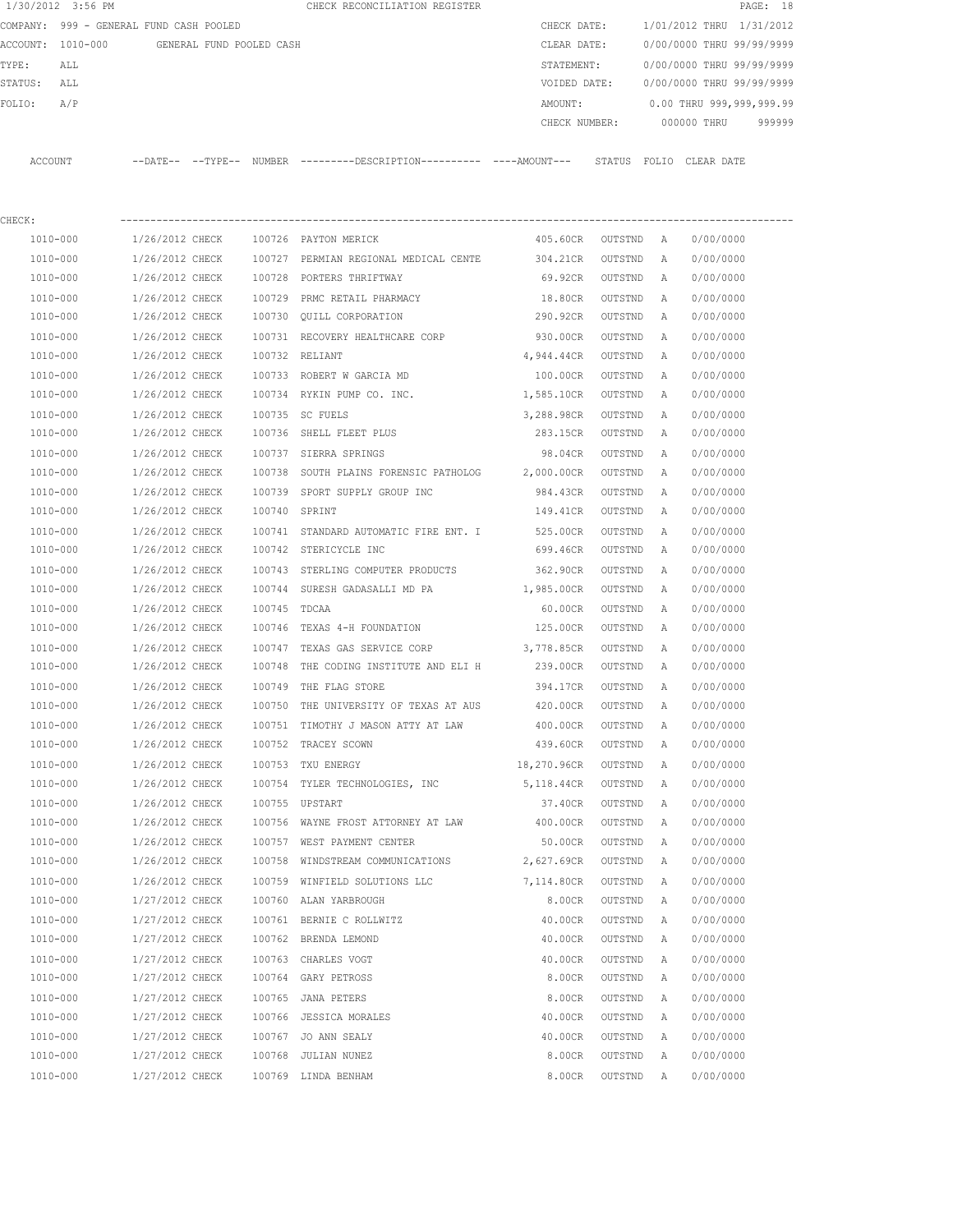|         | 1/30/2012 3:56 PM                       |                   |                          | CHECK RECONCILIATION REGISTER |  |               |        |                           |             | PAGE: 18 |        |  |
|---------|-----------------------------------------|-------------------|--------------------------|-------------------------------|--|---------------|--------|---------------------------|-------------|----------|--------|--|
|         | COMPANY: 999 - GENERAL FUND CASH POOLED |                   |                          |                               |  | CHECK DATE:   |        | 1/01/2012 THRU 1/31/2012  |             |          |        |  |
|         | ACCOUNT: 1010-000                       |                   | GENERAL FUND POOLED CASH |                               |  | CLEAR DATE:   |        | 0/00/0000 THRU 99/99/9999 |             |          |        |  |
| TYPE:   | ALL                                     |                   |                          |                               |  | STATEMENT:    |        | 0/00/0000 THRU 99/99/9999 |             |          |        |  |
| STATUS: | ALL                                     |                   |                          |                               |  | VOIDED DATE:  |        | 0/00/0000 THRU 99/99/9999 |             |          |        |  |
| FOLTO:  | A/P                                     |                   |                          |                               |  | AMOUNT:       |        | 0.00 THRU 999,999,999.99  |             |          |        |  |
|         |                                         |                   |                          |                               |  | CHECK NUMBER: |        |                           | 000000 THRU |          | 999999 |  |
|         |                                         |                   |                          |                               |  |               |        |                           |             |          |        |  |
| ACCOUNT |                                         | --DATE-- --TYPE-- | NUMBER                   |                               |  |               | STATUS | FOLTO                     | CLEAR DATE  |          |        |  |

| CHECK:       |                 |              |                                                |             |         |   |           |
|--------------|-----------------|--------------|------------------------------------------------|-------------|---------|---|-----------|
| 1010-000     | 1/26/2012 CHECK |              | 100726 PAYTON MERICK                           | 405.60CR    | OUTSTND | A | 0/00/0000 |
| 1010-000     | 1/26/2012 CHECK |              | 100727 PERMIAN REGIONAL MEDICAL CENTE 304.21CR |             | OUTSTND | Α | 0/00/0000 |
| 1010-000     | 1/26/2012 CHECK | 100728       | PORTERS THRIFTWAY                              | 69.92CR     | OUTSTND | Α | 0/00/0000 |
| 1010-000     | 1/26/2012 CHECK | 100729       | PRMC RETAIL PHARMACY                           | 18.80CR     | OUTSTND | Α | 0/00/0000 |
| 1010-000     | 1/26/2012 CHECK | 100730       | QUILL CORPORATION                              | 290.92CR    | OUTSTND | Α | 0/00/0000 |
| 1010-000     | 1/26/2012 CHECK |              | 100731 RECOVERY HEALTHCARE CORP                | 930.00CR    | OUTSTND | Α | 0/00/0000 |
| 1010-000     | 1/26/2012 CHECK |              | 100732 RELIANT                                 | 4,944.44CR  | OUTSTND | Α | 0/00/0000 |
| 1010-000     | 1/26/2012 CHECK |              | 100733 ROBERT W GARCIA MD                      | 100.00CR    | OUTSTND | Α | 0/00/0000 |
| 1010-000     | 1/26/2012 CHECK |              | 100734 RYKIN PUMP CO. INC.                     | 1,585.10CR  | OUTSTND | Α | 0/00/0000 |
| 1010-000     | 1/26/2012 CHECK |              | 100735 SC FUELS                                | 3,288.98CR  | OUTSTND | A | 0/00/0000 |
| 1010-000     | 1/26/2012 CHECK |              | 100736 SHELL FLEET PLUS                        | 283.15CR    | OUTSTND | Α | 0/00/0000 |
| 1010-000     | 1/26/2012 CHECK |              | 100737 SIERRA SPRINGS                          | 98.04CR     | OUTSTND | Α | 0/00/0000 |
| 1010-000     | 1/26/2012 CHECK | 100738       | SOUTH PLAINS FORENSIC PATHOLOG 2,000.00CR      |             | OUTSTND | Α | 0/00/0000 |
| 1010-000     | 1/26/2012 CHECK | 100739       | SPORT SUPPLY GROUP INC                         | 984.43CR    | OUTSTND | Α | 0/00/0000 |
| 1010-000     | 1/26/2012 CHECK |              | 100740 SPRINT                                  | 149.41CR    | OUTSTND | Α | 0/00/0000 |
| 1010-000     | 1/26/2012 CHECK |              | 100741 STANDARD AUTOMATIC FIRE ENT. I          | 525.00CR    | OUTSTND | Α | 0/00/0000 |
| 1010-000     | 1/26/2012 CHECK |              | 100742 STERICYCLE INC                          | 699.46CR    | OUTSTND | Α | 0/00/0000 |
| 1010-000     | 1/26/2012 CHECK |              | 100743 STERLING COMPUTER PRODUCTS              | 362.90CR    | OUTSTND | Α | 0/00/0000 |
| 1010-000     | 1/26/2012 CHECK |              | 100744 SURESH GADASALLI MD PA                  | 1,985.00CR  | OUTSTND | Α | 0/00/0000 |
| 1010-000     | 1/26/2012 CHECK | 100745 TDCAA |                                                | 60.00CR     | OUTSTND | Α | 0/00/0000 |
| 1010-000     | 1/26/2012 CHECK | 100746       | TEXAS 4-H FOUNDATION                           | 125.00CR    | OUTSTND | Α | 0/00/0000 |
| 1010-000     | 1/26/2012 CHECK | 100747       | TEXAS GAS SERVICE CORP                         | 3,778.85CR  | OUTSTND | Α | 0/00/0000 |
| 1010-000     | 1/26/2012 CHECK | 100748       | THE CODING INSTITUTE AND ELI H                 | 239.00CR    | OUTSTND | Α | 0/00/0000 |
| 1010-000     | 1/26/2012 CHECK | 100749       | THE FLAG STORE                                 | 394.17CR    | OUTSTND | Α | 0/00/0000 |
| 1010-000     | 1/26/2012 CHECK | 100750       | THE UNIVERSITY OF TEXAS AT AUS                 | 420.00CR    | OUTSTND | Α | 0/00/0000 |
| 1010-000     | 1/26/2012 CHECK | 100751       | TIMOTHY J MASON ATTY AT LAW                    | 400.00CR    | OUTSTND | Α | 0/00/0000 |
| 1010-000     | 1/26/2012 CHECK | 100752       | TRACEY SCOWN                                   | 439.60CR    | OUTSTND | Α | 0/00/0000 |
| 1010-000     | 1/26/2012 CHECK | 100753       | TXU ENERGY                                     | 18,270.96CR | OUTSTND | Α | 0/00/0000 |
| 1010-000     | 1/26/2012 CHECK |              | 100754 TYLER TECHNOLOGIES, INC                 | 5,118.44CR  | OUTSTND | Α | 0/00/0000 |
| 1010-000     | 1/26/2012 CHECK |              | 100755 UPSTART                                 | 37.40CR     | OUTSTND | Α | 0/00/0000 |
| 1010-000     | 1/26/2012 CHECK |              | 100756 WAYNE FROST ATTORNEY AT LAW             | 400.00CR    | OUTSTND | Α | 0/00/0000 |
| 1010-000     | 1/26/2012 CHECK |              | 100757 WEST PAYMENT CENTER                     | 50.00CR     | OUTSTND | Α | 0/00/0000 |
| 1010-000     | 1/26/2012 CHECK | 100758       | WINDSTREAM COMMUNICATIONS                      | 2,627.69CR  | OUTSTND | Α | 0/00/0000 |
| $1010 - 000$ | 1/26/2012 CHECK | 100759       | WINFIELD SOLUTIONS LLC                         | 7,114.80CR  | OUTSTND | A | 0/00/0000 |
| 1010-000     | 1/27/2012 CHECK |              | 100760 ALAN YARBROUGH                          | 8.00CR      | OUTSTND | A | 0/00/0000 |
| $1010 - 000$ | 1/27/2012 CHECK |              | 100761 BERNIE C ROLLWITZ                       | 40.00CR     | OUTSTND | Α | 0/00/0000 |
| 1010-000     | 1/27/2012 CHECK |              | 100762 BRENDA LEMOND                           | 40.00CR     | OUTSTND | Α | 0/00/0000 |
| $1010 - 000$ | 1/27/2012 CHECK |              | 100763 CHARLES VOGT                            | 40.00CR     | OUTSTND | Α | 0/00/0000 |
| 1010-000     | 1/27/2012 CHECK | 100764       | GARY PETROSS                                   | 8.00CR      | OUTSTND | Α | 0/00/0000 |
| 1010-000     | 1/27/2012 CHECK | 100765       | JANA PETERS                                    | 8.00CR      | OUTSTND | Α | 0/00/0000 |
| 1010-000     | 1/27/2012 CHECK | 100766       | <b>JESSICA MORALES</b>                         | 40.00CR     | OUTSTND | Α | 0/00/0000 |
| 1010-000     | 1/27/2012 CHECK | 100767       | JO ANN SEALY                                   | 40.00CR     | OUTSTND | Α | 0/00/0000 |
| 1010-000     | 1/27/2012 CHECK | 100768       | JULIAN NUNEZ                                   | 8.00CR      | OUTSTND | Α | 0/00/0000 |
| 1010-000     | 1/27/2012 CHECK |              | 100769 LINDA BENHAM                            | 8.00CR      | OUTSTND | Α | 0/00/0000 |